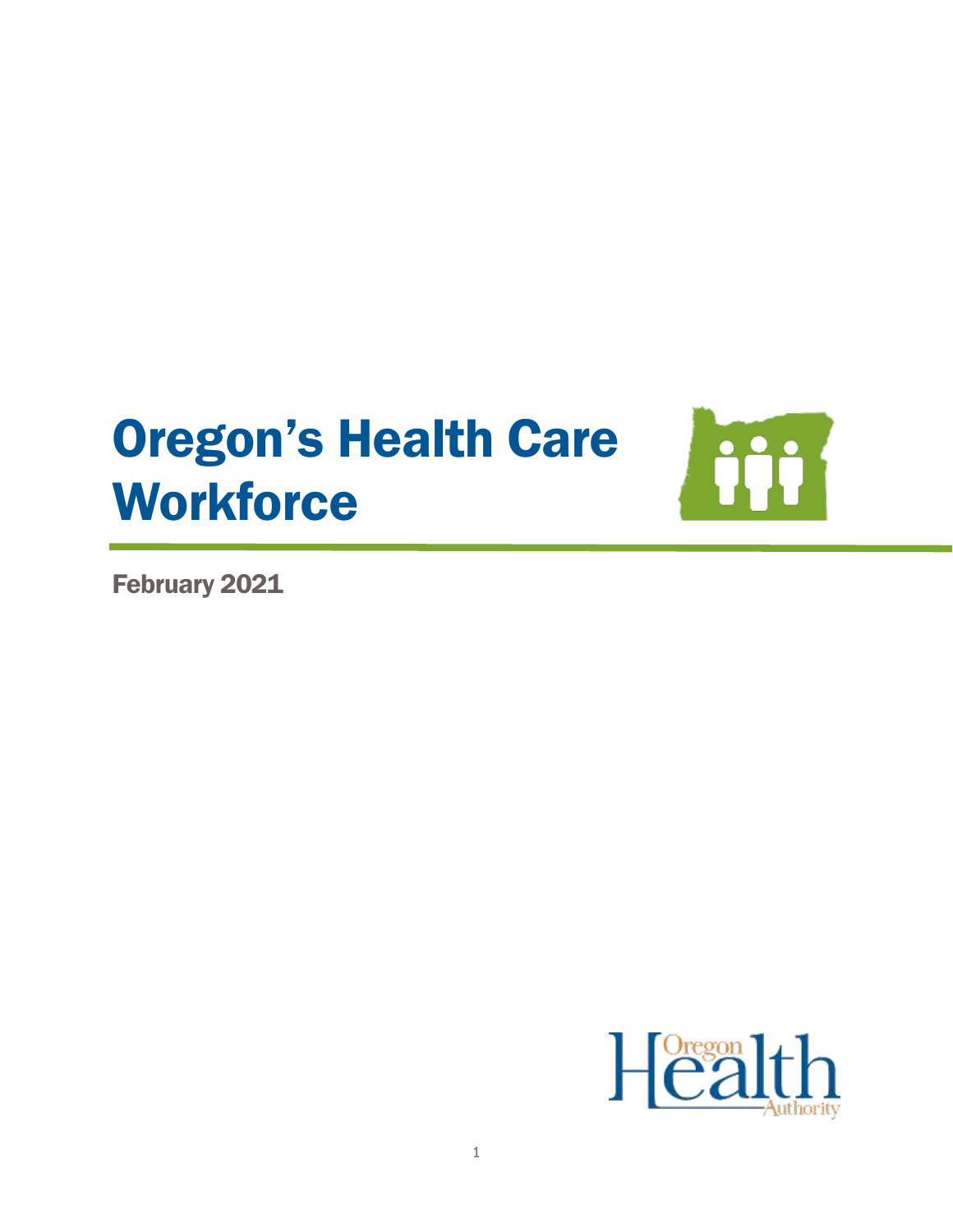# Oregon's Health Care **Workforce**



February 2021

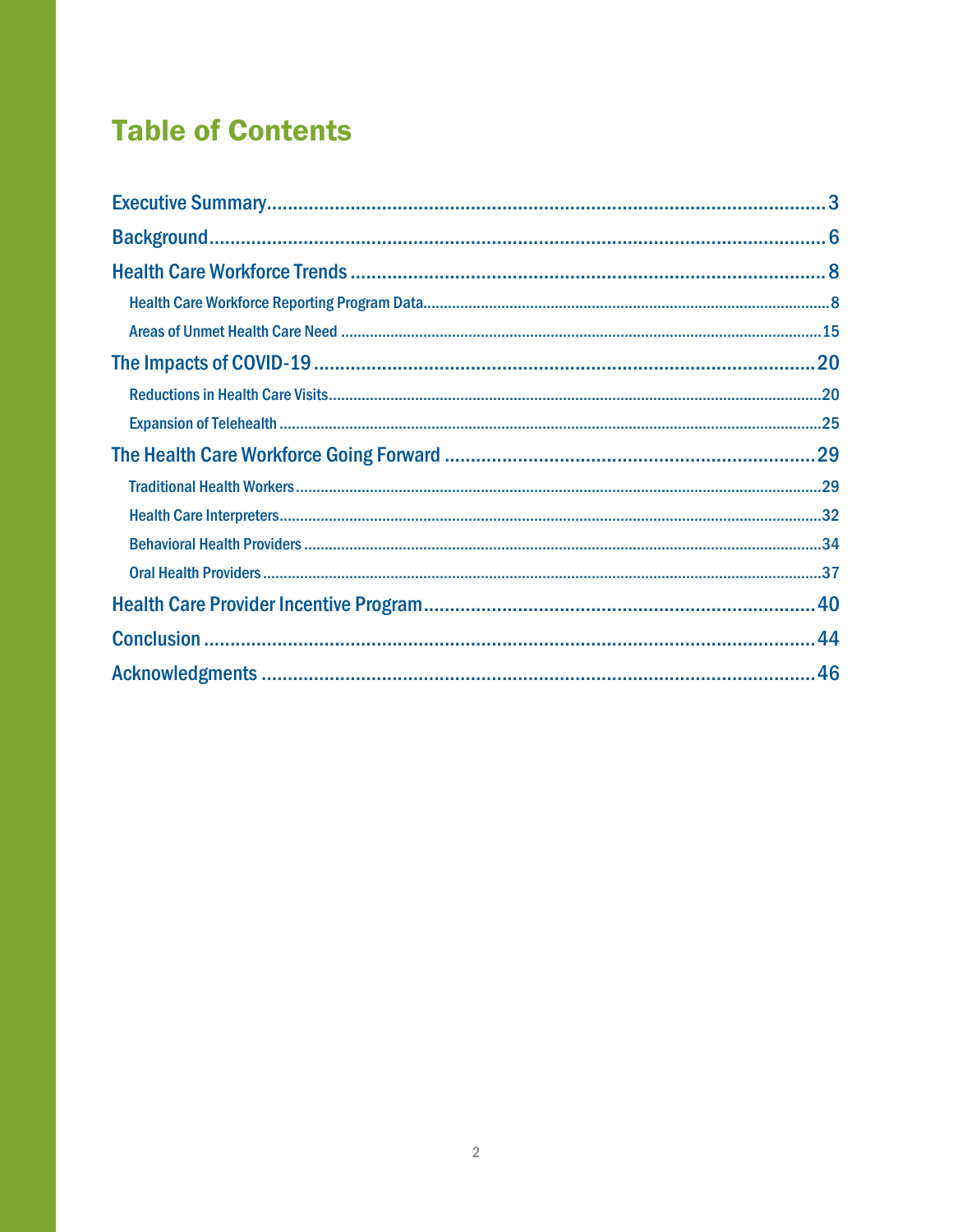## **Table of Contents**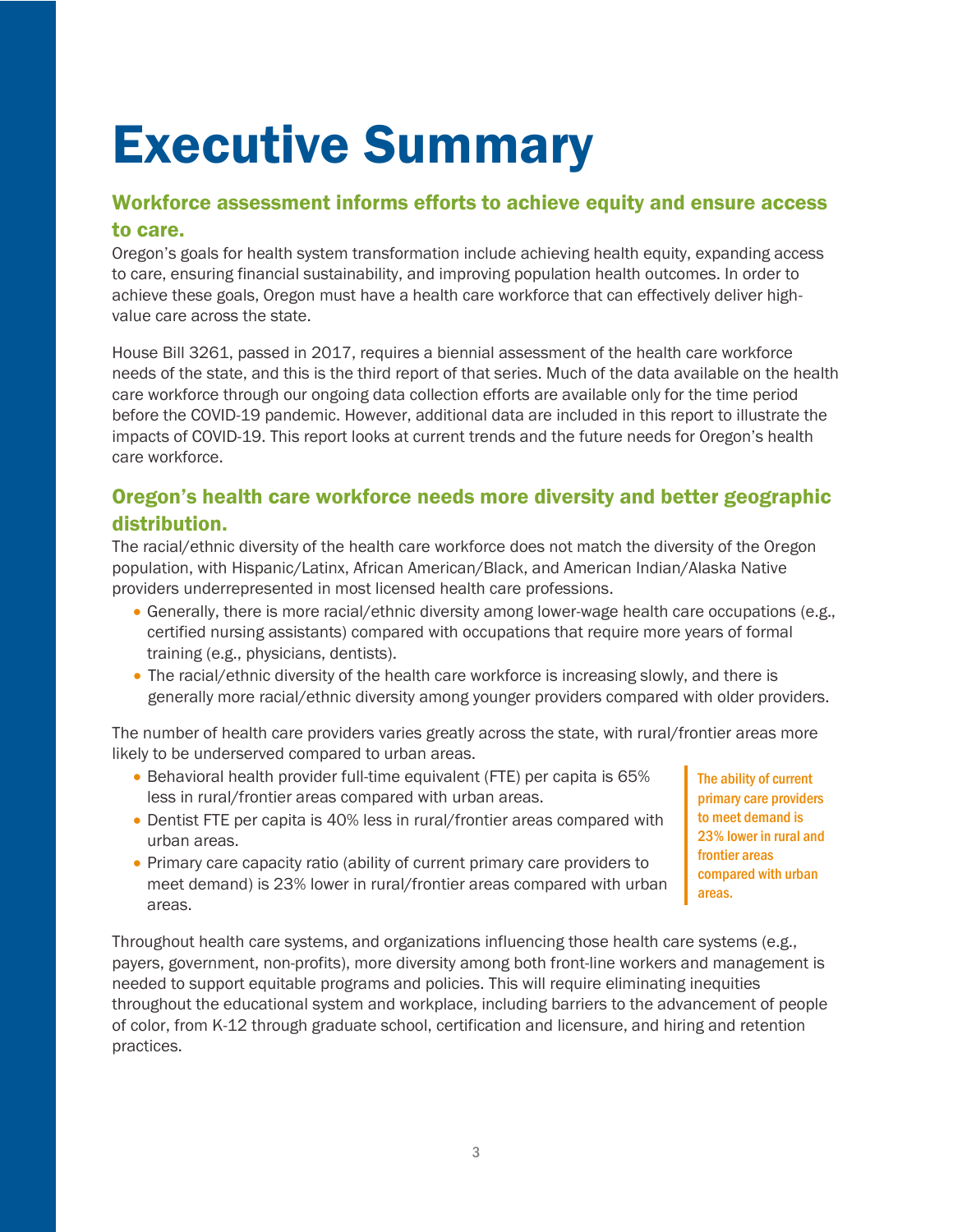# <span id="page-2-0"></span>Executive Summary

## Workforce assessment informs efforts to achieve equity and ensure access to care.

Oregon's goals for health system transformation include achieving health equity, expanding access to care, ensuring financial sustainability, and improving population health outcomes. In order to achieve these goals, Oregon must have a health care workforce that can effectively deliver highvalue care across the state.

House Bill 3261, passed in 2017, requires a biennial assessment of the health care workforce needs of the state, and this is the third report of that series. Much of the data available on the health care workforce through our ongoing data collection efforts are available only for the time period before the COVID-19 pandemic. However, additional data are included in this report to illustrate the impacts of COVID-19. This report looks at current trends and the future needs for Oregon's health care workforce.

## Oregon's health care workforce needs more diversity and better geographic distribution.

The racial/ethnic diversity of the health care workforce does not match the diversity of the Oregon population, with Hispanic/Latinx, African American/Black, and American Indian/Alaska Native providers underrepresented in most licensed health care professions.

- Generally, there is more racial/ethnic diversity among lower-wage health care occupations (e.g., certified nursing assistants) compared with occupations that require more years of formal training (e.g., physicians, dentists).
- The racial/ethnic diversity of the health care workforce is increasing slowly, and there is generally more racial/ethnic diversity among younger providers compared with older providers.

The number of health care providers varies greatly across the state, with rural/frontier areas more likely to be underserved compared to urban areas.

- Behavioral health provider full-time equivalent (FTE) per capita is 65% less in rural/frontier areas compared with urban areas.
- Dentist FTE per capita is 40% less in rural/frontier areas compared with urban areas.
- Primary care capacity ratio (ability of current primary care providers to meet demand) is 23% lower in rural/frontier areas compared with urban areas.

The ability of current primary care providers to meet demand is 23% lower in rural and frontier areas compared with urban areas.

Throughout health care systems, and organizations influencing those health care systems (e.g., payers, government, non-profits), more diversity among both front-line workers and management is needed to support equitable programs and policies. This will require eliminating inequities throughout the educational system and workplace, including barriers to the advancement of people of color, from K-12 through graduate school, certification and licensure, and hiring and retention practices.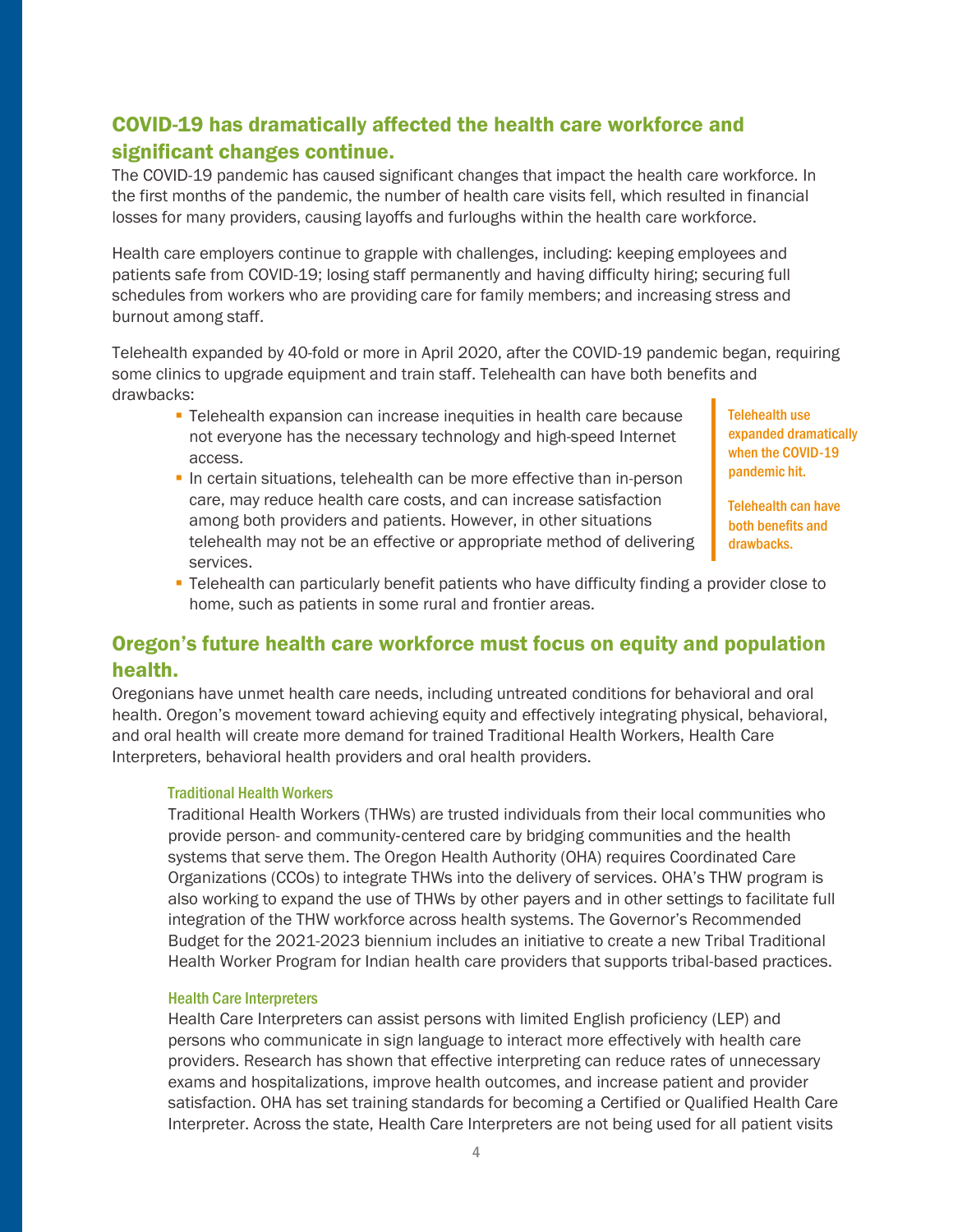## COVID-19 has dramatically affected the health care workforce and significant changes continue.

The COVID-19 pandemic has caused significant changes that impact the health care workforce. In the first months of the pandemic, the number of health care visits fell, which resulted in financial losses for many providers, causing layoffs and furloughs within the health care workforce.

Health care employers continue to grapple with challenges, including: keeping employees and patients safe from COVID-19; losing staff permanently and having difficulty hiring; securing full schedules from workers who are providing care for family members; and increasing stress and burnout among staff.

Telehealth expanded by 40-fold or more in April 2020, after the COVID-19 pandemic began, requiring some clinics to upgrade equipment and train staff. Telehealth can have both benefits and drawbacks:

- **EXP** Telehealth expansion can increase inequities in health care because not everyone has the necessary technology and high-speed Internet access.
- **.** In certain situations, telehealth can be more effective than in-person care, may reduce health care costs, and can increase satisfaction among both providers and patients. However, in other situations telehealth may not be an effective or appropriate method of delivering services.

Telehealth use expanded dramatically when the COVID-19 pandemic hit.

Telehealth can have both benefits and drawbacks.

**• Telehealth can particularly benefit patients who have difficulty finding a provider close to** home, such as patients in some rural and frontier areas.

## Oregon's future health care workforce must focus on equity and population health.

Oregonians have unmet health care needs, including untreated conditions for behavioral and oral health. Oregon's movement toward achieving equity and effectively integrating physical, behavioral, and oral health will create more demand for trained Traditional Health Workers, Health Care Interpreters, behavioral health providers and oral health providers.

#### Traditional Health Workers

Traditional Health Workers (THWs) are trusted individuals from their local communities who provide person- and community‐centered care by bridging communities and the health systems that serve them. The Oregon Health Authority (OHA) requires Coordinated Care Organizations (CCOs) to integrate THWs into the delivery of services. OHA's THW program is also working to expand the use of THWs by other payers and in other settings to facilitate full integration of the THW workforce across health systems. The Governor's Recommended Budget for the 2021-2023 biennium includes an initiative to create a new Tribal Traditional Health Worker Program for Indian health care providers that supports tribal-based practices.

#### Health Care Interpreters

Health Care Interpreters can assist persons with limited English proficiency (LEP) and persons who communicate in sign language to interact more effectively with health care providers. Research has shown that effective interpreting can reduce rates of unnecessary exams and hospitalizations, improve health outcomes, and increase patient and provider satisfaction. OHA has set training standards for becoming a Certified or Qualified Health Care Interpreter. Across the state, Health Care Interpreters are not being used for all patient visits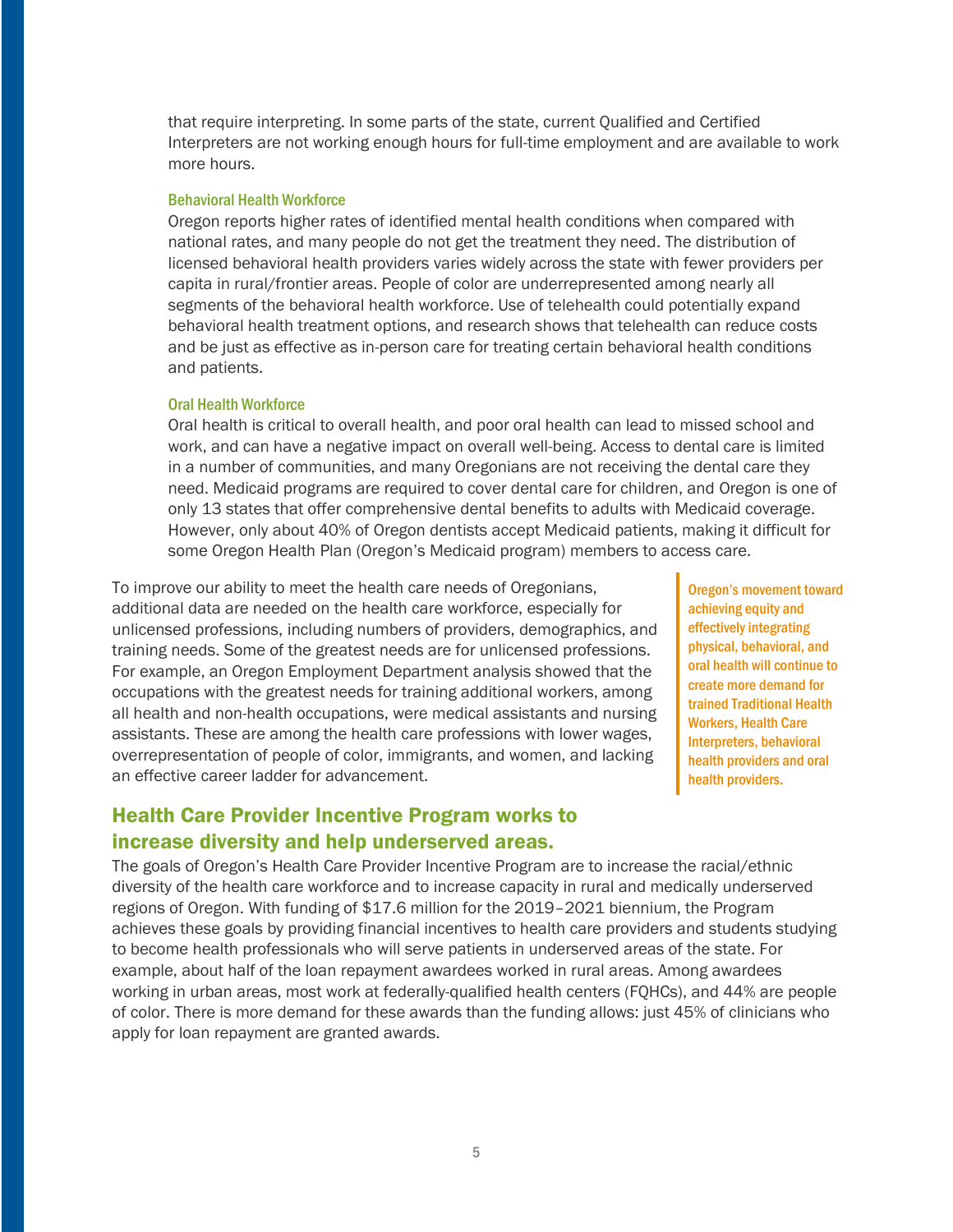that require interpreting. In some parts of the state, current Qualified and Certified Interpreters are not working enough hours for full-time employment and are available to work more hours.

#### Behavioral Health Workforce

Oregon reports higher rates of identified mental health conditions when compared with national rates, and many people do not get the treatment they need. The distribution of licensed behavioral health providers varies widely across the state with fewer providers per capita in rural/frontier areas. People of color are underrepresented among nearly all segments of the behavioral health workforce. Use of telehealth could potentially expand behavioral health treatment options, and research shows that telehealth can reduce costs and be just as effective as in-person care for treating certain behavioral health conditions and patients.

#### Oral Health Workforce

Oral health is critical to overall health, and poor oral health can lead to missed school and work, and can have a negative impact on overall well-being. Access to dental care is limited in a number of communities, and many Oregonians are not receiving the dental care they need. Medicaid programs are required to cover dental care for children, and Oregon is one of only 13 states that offer comprehensive dental benefits to adults with Medicaid coverage. However, only about 40% of Oregon dentists accept Medicaid patients, making it difficult for some Oregon Health Plan (Oregon's Medicaid program) members to access care.

To improve our ability to meet the health care needs of Oregonians, additional data are needed on the health care workforce, especially for unlicensed professions, including numbers of providers, demographics, and training needs. Some of the greatest needs are for unlicensed professions. For example, an Oregon Employment Department analysis showed that the occupations with the greatest needs for training additional workers, among all health and non-health occupations, were medical assistants and nursing assistants. These are among the health care professions with lower wages, overrepresentation of people of color, immigrants, and women, and lacking an effective career ladder for advancement.

Oregon's movement toward achieving equity and effectively integrating physical, behavioral, and oral health will continue to create more demand for trained Traditional Health Workers, Health Care Interpreters, behavioral health providers and oral health providers.

## Health Care Provider Incentive Program works to increase diversity and help underserved areas.

The goals of Oregon's Health Care Provider Incentive Program are to increase the racial/ethnic diversity of the health care workforce and to increase capacity in rural and medically underserved regions of Oregon. With funding of \$17.6 million for the 2019–2021 biennium, the Program achieves these goals by providing financial incentives to health care providers and students studying to become health professionals who will serve patients in underserved areas of the state. For example, about half of the loan repayment awardees worked in rural areas. Among awardees working in urban areas, most work at federally-qualified health centers (FQHCs), and 44% are people of color. There is more demand for these awards than the funding allows: just 45% of clinicians who apply for loan repayment are granted awards.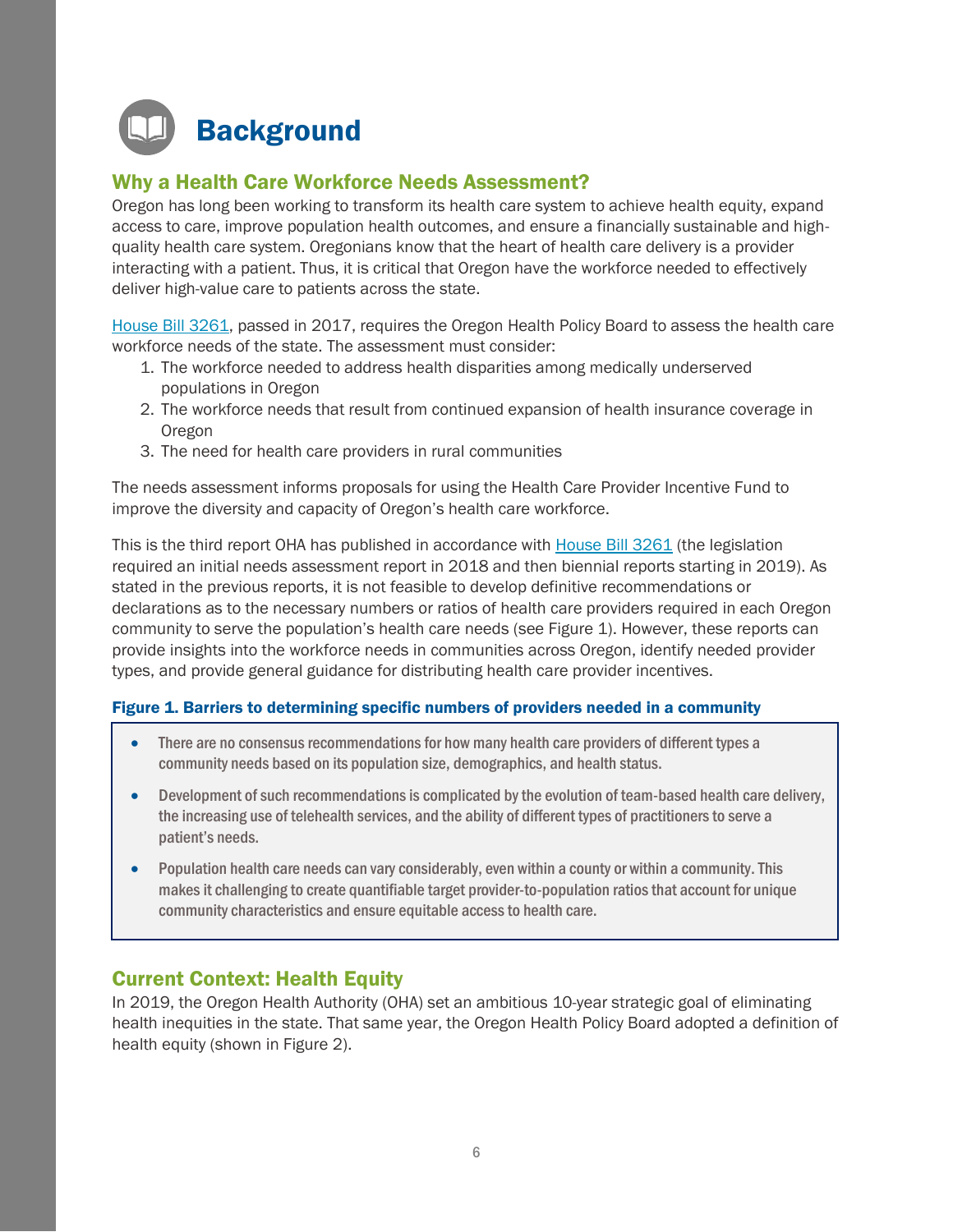<span id="page-5-0"></span>

## Why a Health Care Workforce Needs Assessment?

Oregon has long been working to transform its health care system to achieve health equity, expand access to care, improve population health outcomes, and ensure a financially sustainable and highquality health care system. Oregonians know that the heart of health care delivery is a provider interacting with a patient. Thus, it is critical that Oregon have the workforce needed to effectively deliver high-value care to patients across the state.

[House Bill 3261,](https://olis.leg.state.or.us/liz/2019R1/Downloads/MeasureDocument/HB3261/A-Engrossed) passed in 2017, requires the Oregon Health Policy Board to assess the health care workforce needs of the state. The assessment must consider:

- 1. The workforce needed to address health disparities among medically underserved populations in Oregon
- 2. The workforce needs that result from continued expansion of health insurance coverage in Oregon
- 3. The need for health care providers in rural communities

The needs assessment informs proposals for using the Health Care Provider Incentive Fund to improve the diversity and capacity of Oregon's health care workforce.

This is the third report OHA has published in accordance with [House Bill](https://olis.leg.state.or.us/liz/2019R1/Downloads/MeasureDocument/HB3261/A-Engrossed) 3261 (the legislation required an initial needs assessment report in 2018 and then biennial reports starting in 2019). As stated in the previous reports, it is not feasible to develop definitive recommendations or declarations as to the necessary numbers or ratios of health care providers required in each Oregon community to serve the population's health care needs (see Figure 1). However, these reports can provide insights into the workforce needs in communities across Oregon, identify needed provider types, and provide general guidance for distributing health care provider incentives.

#### Figure 1. Barriers to determining specific numbers of providers needed in a community

- There are no consensus recommendations for how many health care providers of different types a community needs based on its population size, demographics, and health status.
- Development of such recommendations is complicated by the evolution of team-based health care delivery, the increasing use of telehealth services, and the ability of different types of practitioners to serve a patient's needs.
- Population health care needs can vary considerably, even within a county or within a community.This makes it challenging to create quantifiable target provider-to-population ratios that account for unique community characteristics and ensure equitable access to health care.

## Current Context: Health Equity

In 2019, the Oregon Health Authority (OHA) set an ambitious 10-year strategic goal of eliminating health inequities in the state. That same year, the Oregon Health Policy Board adopted a definition of health equity (shown in Figure 2).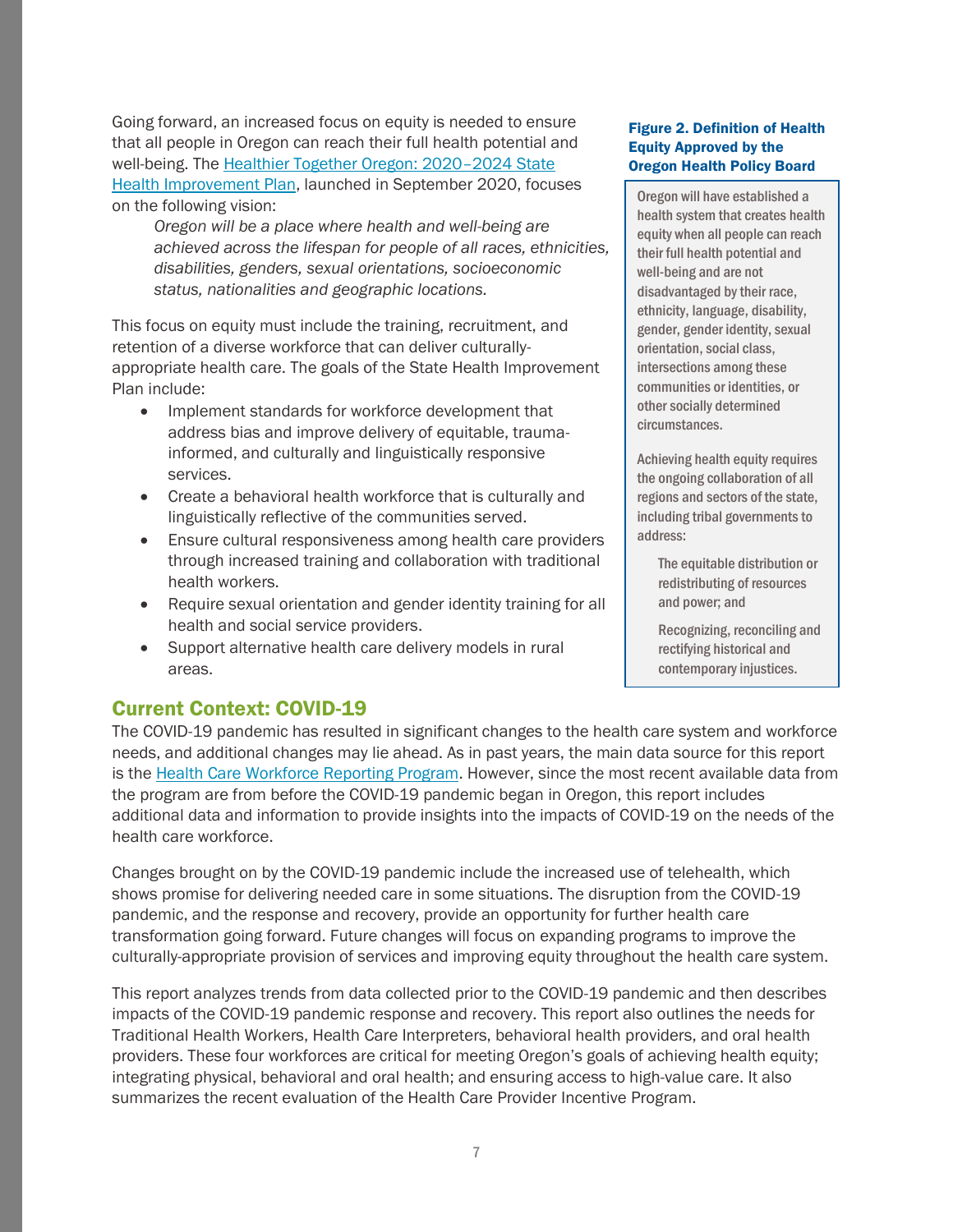Going forward, an increased focus on equity is needed to ensure that all people in Oregon can reach their full health potential and well-being. The [Healthier Together Oregon: 2020](https://www.oregon.gov/oha/PH/ABOUT/Documents/ship/2020-2024/Healthier-Together-Oregon-full-plan.pdf)–2024 State [Health Improvement Plan,](https://www.oregon.gov/oha/PH/ABOUT/Documents/ship/2020-2024/Healthier-Together-Oregon-full-plan.pdf) launched in September 2020, focuses on the following vision:

*Oregon will be a place where health and well-being are achieved across the lifespan for people of all races, ethnicities, disabilities, genders, sexual orientations, socioeconomic status, nationalities and geographic locations.*

This focus on equity must include the training, recruitment, and retention of a diverse workforce that can deliver culturallyappropriate health care. The goals of the State Health Improvement Plan include:

- Implement standards for workforce development that address bias and improve delivery of equitable, traumainformed, and culturally and linguistically responsive services.
- Create a behavioral health workforce that is culturally and linguistically reflective of the communities served.
- Ensure cultural responsiveness among health care providers through increased training and collaboration with traditional health workers.
- Require sexual orientation and gender identity training for all health and social service providers.
- Support alternative health care delivery models in rural areas.

## Current Context: COVID-19

The COVID-19 pandemic has resulted in significant changes to the health care system and workforce needs, and additional changes may lie ahead. As in past years, the main data source for this report is the [Health Care Workforce](https://www.oregon.gov/oha/hpa/analytics/Pages/Health-Care-Workforce-Reporting.aspx) Reporting Program. However, since the most recent available data from the program are from before the COVID-19 pandemic began in Oregon, this report includes additional data and information to provide insights into the impacts of COVID-19 on the needs of the health care workforce.

Changes brought on by the COVID-19 pandemic include the increased use of telehealth, which shows promise for delivering needed care in some situations. The disruption from the COVID-19 pandemic, and the response and recovery, provide an opportunity for further health care transformation going forward. Future changes will focus on expanding programs to improve the culturally-appropriate provision of services and improving equity throughout the health care system.

This report analyzes trends from data collected prior to the COVID-19 pandemic and then describes impacts of the COVID-19 pandemic response and recovery. This report also outlines the needs for Traditional Health Workers, Health Care Interpreters, behavioral health providers, and oral health providers. These four workforces are critical for meeting Oregon's goals of achieving health equity; integrating physical, behavioral and oral health; and ensuring access to high-value care. It also summarizes the recent evaluation of the Health Care Provider Incentive Program.

#### Figure 2. Definition of Health Equity Approved by the Oregon Health Policy Board

Oregon will have established a health system that creates health equity when all people can reach their full health potential and well-being and are not disadvantaged by their race, ethnicity, language, disability, gender, gender identity, sexual orientation, social class, intersections among these communities or identities, or other socially determined circumstances.

Achieving health equity requires the ongoing collaboration of all regions and sectors of the state, including tribal governments to address:

> The equitable distribution or redistributing of resources and power; and

Recognizing, reconciling and rectifying historical and contemporary injustices.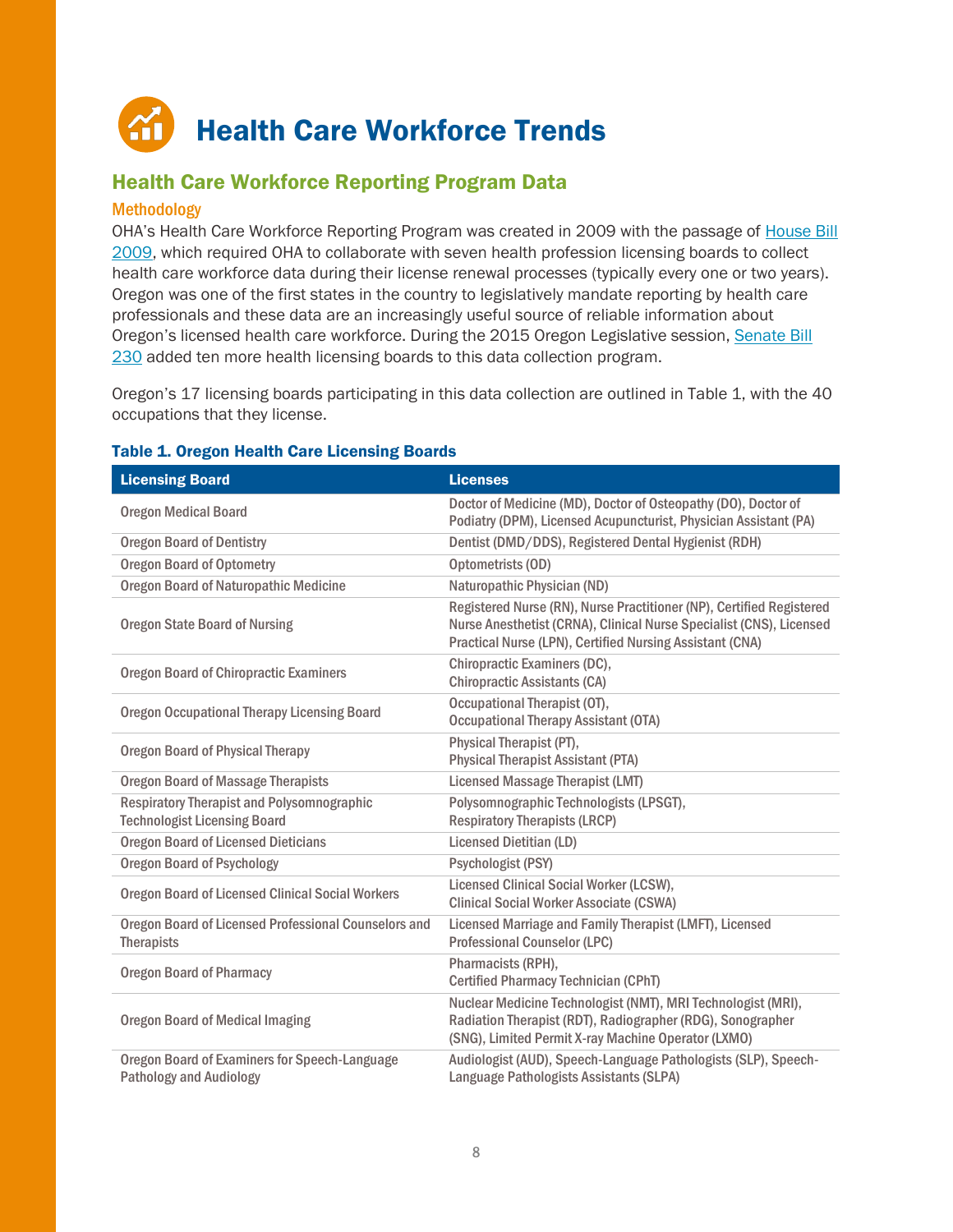## <span id="page-7-0"></span>Health Care Workforce Trends

## <span id="page-7-1"></span>Health Care Workforce Reporting Program Data

#### Methodology

OHA's Health Care Workforce Reporting Program was created in 2009 with the passage of [House Bill](https://olis.oregonlegislature.gov/liz/2009R1/Downloads/MeasureDocument/HB2009/C-Engrossed) [2009,](https://olis.oregonlegislature.gov/liz/2009R1/Downloads/MeasureDocument/HB2009/C-Engrossed) which required OHA to collaborate with seven health profession licensing boards to collect health care workforce data during their license renewal processes (typically every one or two years). Oregon was one of the first states in the country to legislatively mandate reporting by health care professionals and these data are an increasingly useful source of reliable information about Oregon's licensed health care workforce. During the 2015 Oregon Legislative session, [Senate Bill](https://olis.oregonlegislature.gov/liz/2015R1/Downloads/MeasureDocument/SB230/B-Engrossed) [230](https://olis.oregonlegislature.gov/liz/2015R1/Downloads/MeasureDocument/SB230/B-Engrossed) added ten more health licensing boards to this data collection program.

Oregon's 17 licensing boards participating in this data collection are outlined in Table 1, with the 40 occupations that they license.

| <b>Licensing Board</b>                                                                 | <b>Licenses</b>                                                                                                                                                                                         |
|----------------------------------------------------------------------------------------|---------------------------------------------------------------------------------------------------------------------------------------------------------------------------------------------------------|
| <b>Oregon Medical Board</b>                                                            | Doctor of Medicine (MD), Doctor of Osteopathy (DO), Doctor of<br>Podiatry (DPM), Licensed Acupuncturist, Physician Assistant (PA)                                                                       |
| <b>Oregon Board of Dentistry</b>                                                       | Dentist (DMD/DDS), Registered Dental Hygienist (RDH)                                                                                                                                                    |
| <b>Oregon Board of Optometry</b>                                                       | Optometrists (OD)                                                                                                                                                                                       |
| <b>Oregon Board of Naturopathic Medicine</b>                                           | Naturopathic Physician (ND)                                                                                                                                                                             |
| <b>Oregon State Board of Nursing</b>                                                   | Registered Nurse (RN), Nurse Practitioner (NP), Certified Registered<br>Nurse Anesthetist (CRNA), Clinical Nurse Specialist (CNS), Licensed<br>Practical Nurse (LPN), Certified Nursing Assistant (CNA) |
| <b>Oregon Board of Chiropractic Examiners</b>                                          | Chiropractic Examiners (DC),<br><b>Chiropractic Assistants (CA)</b>                                                                                                                                     |
| <b>Oregon Occupational Therapy Licensing Board</b>                                     | Occupational Therapist (OT),<br><b>Occupational Therapy Assistant (OTA)</b>                                                                                                                             |
| <b>Oregon Board of Physical Therapy</b>                                                | Physical Therapist (PT),<br><b>Physical Therapist Assistant (PTA)</b>                                                                                                                                   |
| <b>Oregon Board of Massage Therapists</b>                                              | <b>Licensed Massage Therapist (LMT)</b>                                                                                                                                                                 |
| <b>Respiratory Therapist and Polysomnographic</b>                                      | Polysomnographic Technologists (LPSGT),                                                                                                                                                                 |
| <b>Technologist Licensing Board</b>                                                    | <b>Respiratory Therapists (LRCP)</b>                                                                                                                                                                    |
| <b>Oregon Board of Licensed Dieticians</b>                                             | Licensed Dietitian (LD)                                                                                                                                                                                 |
| <b>Oregon Board of Psychology</b>                                                      | Psychologist (PSY)                                                                                                                                                                                      |
| <b>Oregon Board of Licensed Clinical Social Workers</b>                                | Licensed Clinical Social Worker (LCSW),<br><b>Clinical Social Worker Associate (CSWA)</b>                                                                                                               |
| Oregon Board of Licensed Professional Counselors and<br><b>Therapists</b>              | Licensed Marriage and Family Therapist (LMFT), Licensed<br><b>Professional Counselor (LPC)</b>                                                                                                          |
| <b>Oregon Board of Pharmacy</b>                                                        | Pharmacists (RPH),<br><b>Certified Pharmacy Technician (CPhT)</b>                                                                                                                                       |
| <b>Oregon Board of Medical Imaging</b>                                                 | Nuclear Medicine Technologist (NMT), MRI Technologist (MRI),<br>Radiation Therapist (RDT), Radiographer (RDG), Sonographer<br>(SNG), Limited Permit X-ray Machine Operator (LXMO)                       |
| <b>Oregon Board of Examiners for Speech-Language</b><br><b>Pathology and Audiology</b> | Audiologist (AUD), Speech-Language Pathologists (SLP), Speech-<br>Language Pathologists Assistants (SLPA)                                                                                               |

#### Table 1. Oregon Health Care Licensing Boards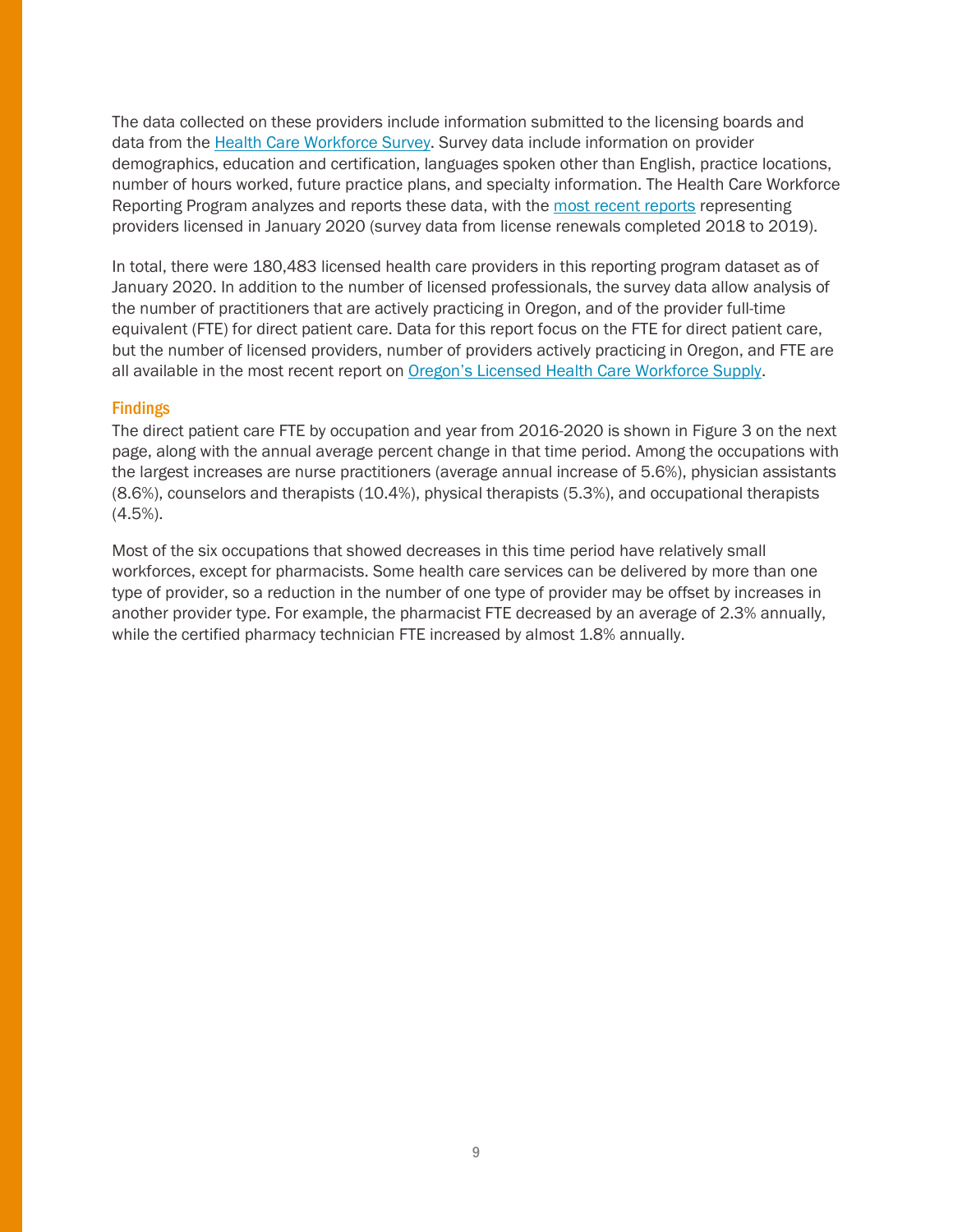The data collected on these providers include information submitted to the licensing boards and data from the [Health Care Workforce](https://dhsoha.az1.qualtrics.com/jfe/preview/SV_2os6p2oYfj8GG6F?Q_SurveyVersionID=current&Q_CHL=preview) Survey. Survey data include information on provider demographics, education and certification, languages spoken other than English, practice locations, number of hours worked, future practice plans, and specialty information. The Health Care Workforce Reporting Program analyzes and reports these data, with th[e most recent reports](https://www.oregon.gov/OHA/HPA/ANALYTICS/Pages/Health-Care-Workforce-Reporting.aspx) representing providers licensed in January 2020 (survey data from license renewals completed 2018 to 2019).

In total, there were 180,483 licensed health care providers in this reporting program dataset as of January 2020. In addition to the number of licensed professionals, the survey data allow analysis of the number of practitioners that are actively practicing in Oregon, and of the provider full-time equivalent (FTE) for direct patient care. Data for this report focus on the FTE for direct patient care, but the number of licensed providers, number of providers actively practicing in Oregon, and FTE are all available in the most recent report on [Oregon's Licensed Health Care Workforce Supply](https://www.oregon.gov/oha/HPA/ANALYTICS/HealthCareWorkforceReporting/2021-Workforce-Supply-for-web.pdf).

#### Findings

The direct patient care FTE by occupation and year from 2016-2020 is shown in Figure 3 on the next page, along with the annual average percent change in that time period. Among the occupations with the largest increases are nurse practitioners (average annual increase of 5.6%), physician assistants (8.6%), counselors and therapists (10.4%), physical therapists (5.3%), and occupational therapists (4.5%).

Most of the six occupations that showed decreases in this time period have relatively small workforces, except for pharmacists. Some health care services can be delivered by more than one type of provider, so a reduction in the number of one type of provider may be offset by increases in another provider type. For example, the pharmacist FTE decreased by an average of 2.3% annually, while the certified pharmacy technician FTE increased by almost 1.8% annually.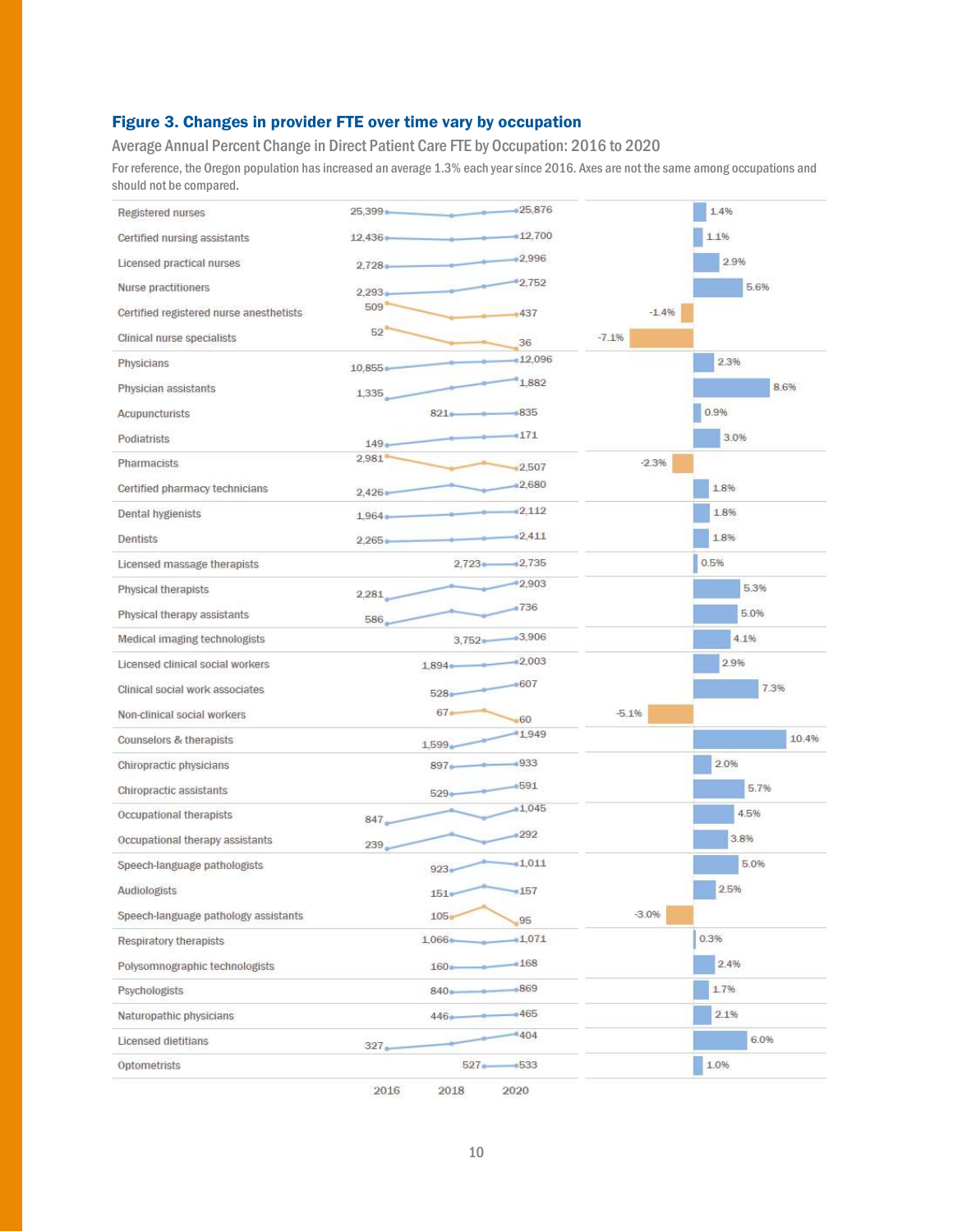### Figure 3. Changes in provider FTE over time vary by occupation

Average Annual Percent Change in Direct Patient Care FTE by Occupation: 2016 to 2020

For reference, the Oregon population has increased an average 1.3% each year since 2016. Axes are not the same among occupations and should not be compared.

| Registered nurses                       | 25,399     |                  | $-25,876$   |         | 1.4%  |
|-----------------------------------------|------------|------------------|-------------|---------|-------|
| Certified nursing assistants            | $12,436 -$ | ستعت             | $-12,700$   |         | 1.1%  |
| Licensed practical nurses               | $2.728 -$  |                  | $-2,996$    |         | 2.9%  |
| Nurse practitioners                     | $2,293 -$  |                  | 92,752      |         | 5.6%  |
| Certified registered nurse anesthetists | 509        |                  | 437         | $-1.4%$ |       |
| Clinical nurse specialists              | 52         |                  | 36          | $-7.1%$ |       |
| Physicians                              | $10,855 -$ |                  | $-12,096$   |         | 2.3%  |
| Physician assistants                    | 1,335      |                  | 1,882       |         | 8.6%  |
| Acupuncturists                          |            | $821 -$          | -835        |         | 0.9%  |
| Podiatrists                             | $149 -$    |                  | $-171$      |         | 3.0%  |
| <b>Pharmacists</b>                      | 2.981      |                  | 2,507       | $-2.3%$ |       |
|                                         |            |                  | $-2,680$    |         | 1.8%  |
| Certified pharmacy technicians          | $2.426 -$  |                  |             |         |       |
| Dental hygienists                       | $1.964 -$  |                  | $-2,112$    |         | 1.8%  |
| Dentists                                | $2,265 -$  |                  | $-2,411$    |         | 1.8%  |
| Licensed massage therapists             |            | $2,723 -$        | $-2,735$    |         | 0.5%  |
| Physical therapists                     | 2,281      |                  | $-2,903$    |         | 5.3%  |
| Physical therapy assistants             | 586.       |                  | $-736$      |         | 5.0%  |
| Medical imaging technologists           |            | $3,752 -$        | $-3,906$    |         | 4.1%  |
| Licensed clinical social workers        |            | $1.894 +$        | $-2,003$    |         | 2.9%  |
| Clinical social work associates         |            | $528 -$          | $-607$      |         | 7.3%  |
| Non-clinical social workers             |            | 67 <sub>o</sub>  | $-60$       | $-5.1%$ |       |
| Counselors & therapists                 |            | $1.599 -$        | $-1.949$    |         | 10.4% |
| Chiropractic physicians                 |            | $897 -$          | $-933$      |         | 2.0%  |
| Chiropractic assistants                 |            | $529 -$          | .591        |         | 5.7%  |
| Occupational therapists                 | $847 -$    |                  | $-1,045$    |         | 4.5%  |
| Occupational therapy assistants         | 239        |                  | $-292$      |         | 3.8%  |
| Speech-language pathologists            |            | $923 -$          | $-1.011$    |         | 5.0%  |
| Audiologists                            |            | $151 -$          | •157        |         | 2.5%  |
| Speech-language pathology assistants    |            | 105 <sub>0</sub> | 95          | $-3.0%$ |       |
| Respiratory therapists                  |            | 1,066+           | $-1,071$    |         | 0.3%  |
| Polysomnographic technologists          |            | $160 -$          | $-168$      |         | 2.4%  |
| Psychologists                           |            | $840 -$          | .869        |         | 1.7%  |
| Naturopathic physicians                 |            | $446 -$          | +465        |         | 2.1%  |
| Licensed dietitians                     | $327 -$    |                  | *404        |         | 6.0%  |
| Optometrists                            |            |                  | $527 - 533$ |         | 1.0%  |
|                                         | 2016       | 2018             | 2020        |         |       |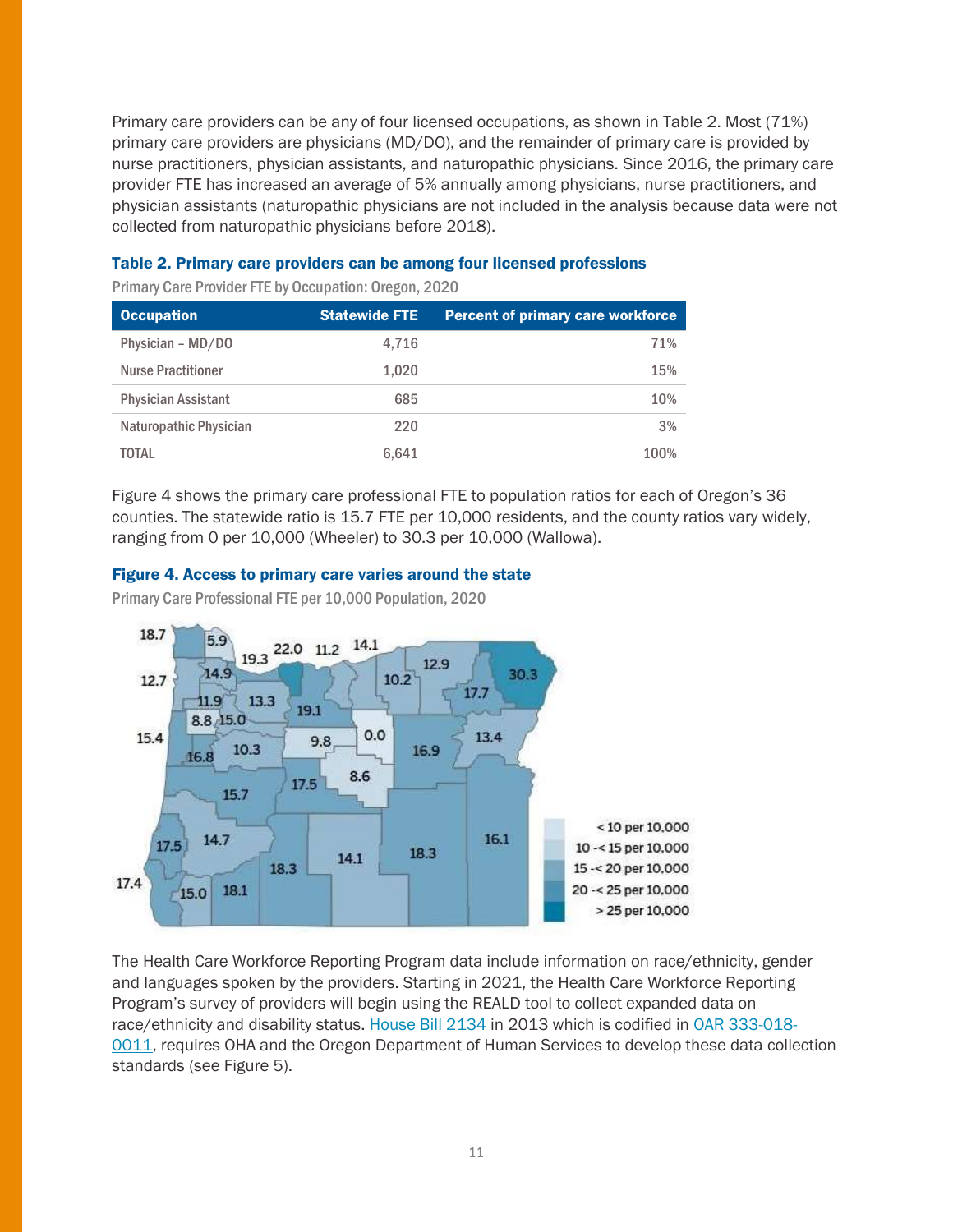Primary care providers can be any of four licensed occupations, as shown in Table 2. Most (71%) primary care providers are physicians (MD/DO), and the remainder of primary care is provided by nurse practitioners, physician assistants, and naturopathic physicians. Since 2016, the primary care provider FTE has increased an average of 5% annually among physicians, nurse practitioners, and physician assistants (naturopathic physicians are not included in the analysis because data were not collected from naturopathic physicians before 2018).

#### Table 2. Primary care providers can be among four licensed professions

Primary Care Provider FTE by Occupation: Oregon, 2020

| <b>Occupation</b>          | <b>Statewide FTE</b> | <b>Percent of primary care workforce</b> |
|----------------------------|----------------------|------------------------------------------|
| Physician - MD/DO          | 4.716                | 71%                                      |
| <b>Nurse Practitioner</b>  | 1.020                | 15%                                      |
| <b>Physician Assistant</b> | 685                  | 10%                                      |
| Naturopathic Physician     | 220                  | 3%                                       |
| TOTAL                      | 6.641                | 100%                                     |

Figure 4 shows the primary care professional FTE to population ratios for each of Oregon's 36 counties. The statewide ratio is 15.7 FTE per 10,000 residents, and the county ratios vary widely, ranging from 0 per 10,000 (Wheeler) to 30.3 per 10,000 (Wallowa).

#### Figure 4. Access to primary care varies around the state

Primary Care Professional FTE per 10,000 Population, 2020



The Health Care Workforce Reporting Program data include information on race/ethnicity, gender and languages spoken by the providers. Starting in 2021, the Health Care Workforce Reporting Program's survey of providers will begin using the REALD tool to collect expanded data on race/ethnicity and disability status. [House Bill 2134](https://olis.oregonlegislature.gov/liz/2013R1/Downloads/MeasureDocument/HB2134/B-Engrossed) in 2013 which is codified in [OAR 333-018-](https://secure.sos.state.or.us/oard/viewSingleRule.action?ruleVrsnRsn=273170) [0011,](https://secure.sos.state.or.us/oard/viewSingleRule.action?ruleVrsnRsn=273170) requires OHA and the Oregon Department of Human Services to develop these data collection standards (see Figure 5).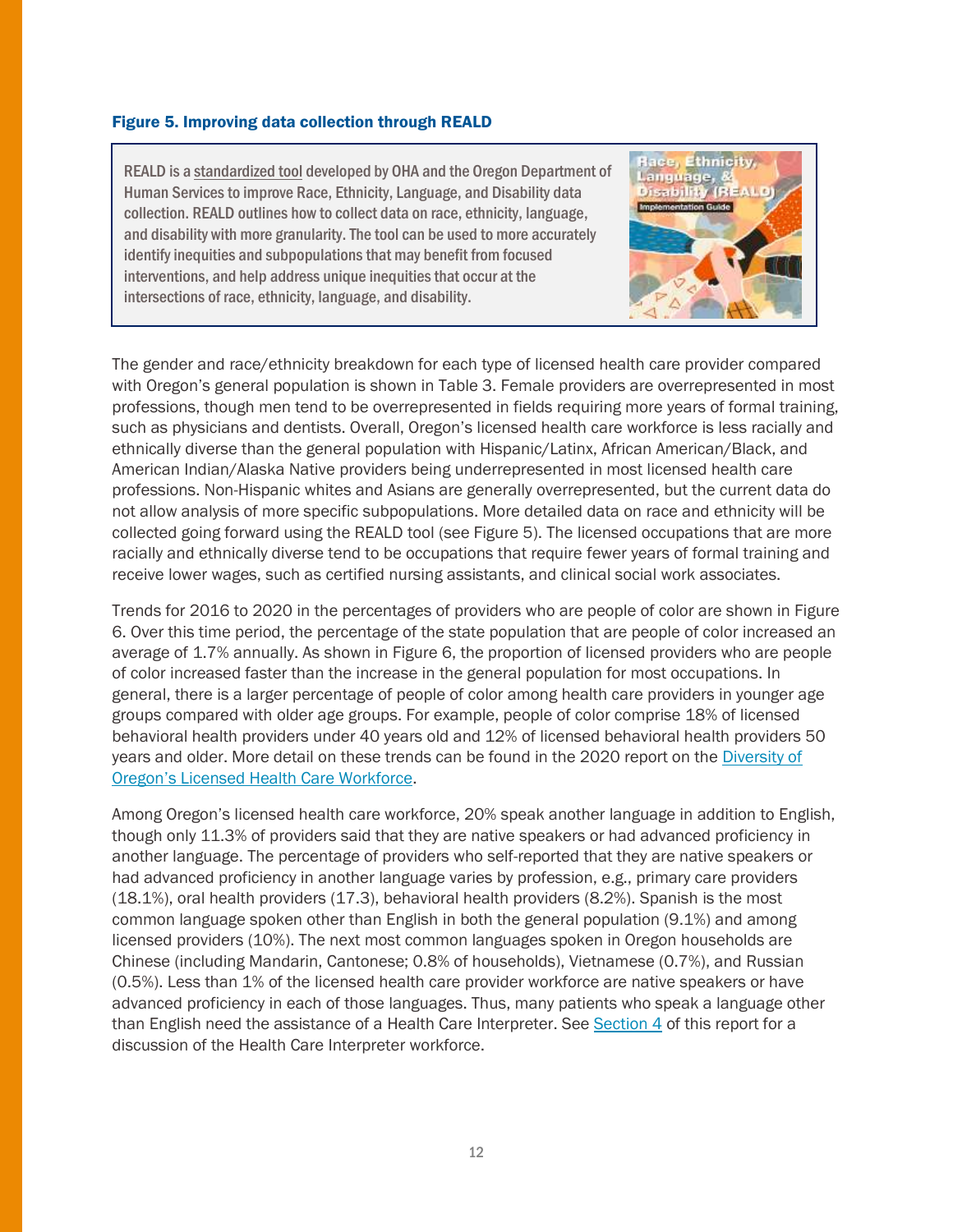#### Figure 5. Improving data collection through REALD

REALD is [a standardized tool](https://www.oregon.gov/oha/OEI/Pages/REALD.aspx) developed by OHA and the Oregon Department of Human Services to improve Race, Ethnicity, Language, and Disability data collection. REALD outlines how to collect data on race, ethnicity, language, and disability with more granularity. The tool can be used to more accurately identify inequities and subpopulations that may benefit from focused interventions, and help address unique inequities that occur at the intersections of race, ethnicity, language, and disability.

The gender and race/ethnicity breakdown for each type of licensed health care provider compared with Oregon's general population is shown in Table 3. Female providers are overrepresented in most professions, though men tend to be overrepresented in fields requiring more years of formal training, such as physicians and dentists. Overall, Oregon's licensed health care workforce is less racially and ethnically diverse than the general population with Hispanic/Latinx, African American/Black, and American Indian/Alaska Native providers being underrepresented in most licensed health care professions. Non-Hispanic whites and Asians are generally overrepresented, but the current data do not allow analysis of more specific subpopulations. More detailed data on race and ethnicity will be collected going forward using the REALD tool (see Figure 5). The licensed occupations that are more racially and ethnically diverse tend to be occupations that require fewer years of formal training and receive lower wages, such as certified nursing assistants, and clinical social work associates.

Trends for 2016 to 2020 in the percentages of providers who are people of color are shown in Figure 6. Over this time period, the percentage of the state population that are people of color increased an average of 1.7% annually. As shown in Figure 6, the proportion of licensed providers who are people of color increased faster than the increase in the general population for most occupations. In general, there is a larger percentage of people of color among health care providers in younger age groups compared with older age groups. For example, people of color comprise 18% of licensed behavioral health providers under 40 years old and 12% of licensed behavioral health providers 50 years and older. More detail on these trends can be found in the 2020 report on the [Diversity of](https://www.oregon.gov/oha/HPA/ANALYTICS/HealthCareWorkforceReporting/2021-Workforce-Diversity-for-web.pdf)  [Oregon's Licensed Health Care Workforce](https://www.oregon.gov/oha/HPA/ANALYTICS/HealthCareWorkforceReporting/2021-Workforce-Diversity-for-web.pdf).

Among Oregon's licensed health care workforce, 20% speak another language in addition to English, though only 11.3% of providers said that they are native speakers or had advanced proficiency in another language. The percentage of providers who self-reported that they are native speakers or had advanced proficiency in another language varies by profession, e.g., primary care providers (18.1%), oral health providers (17.3), behavioral health providers (8.2%). Spanish is the most common language spoken other than English in both the general population (9.1%) and among licensed providers (10%). The next most common languages spoken in Oregon households are Chinese (including Mandarin, Cantonese; 0.8% of households), Vietnamese (0.7%), and Russian (0.5%). Less than 1% of the licensed health care provider workforce are native speakers or have advanced proficiency in each of those languages. Thus, many patients who speak a language other than English need the assistance of a Health Care Interpreter. See [Section 4](#page-31-0) of this report for a discussion of the Health Care Interpreter workforce.



**Ethnicity** 

Etness. Language,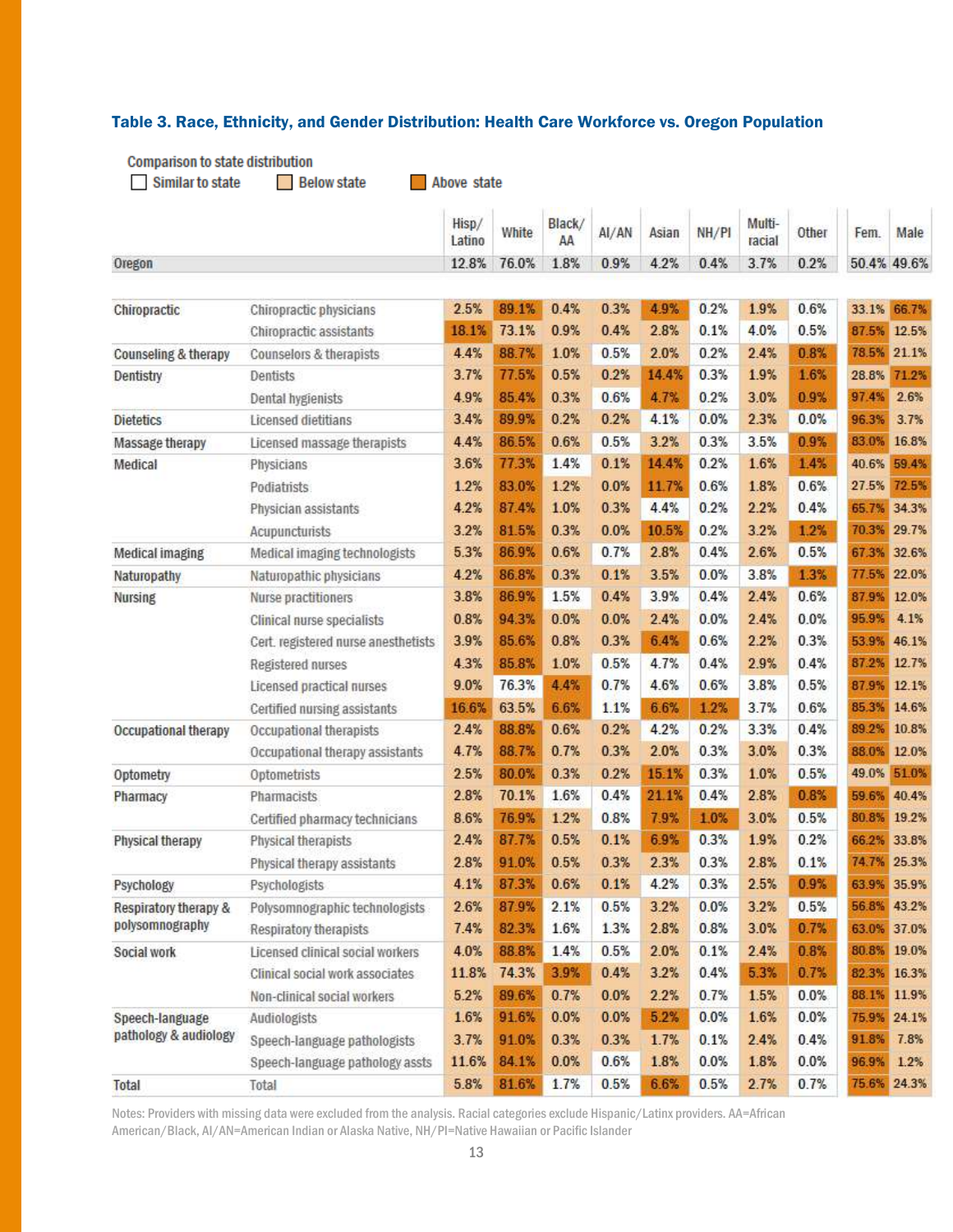#### Table 3. Race, Ethnicity, and Gender Distribution: Health Care Workforce vs. Oregon Population

**Comparison to state distribution** 

|                        |                                     | Hisp/<br>Latino | White | Black/<br>AA | AI/AN | Asian | NH/P1 | Multi-<br>racial | Other | Fem.  | Male        |
|------------------------|-------------------------------------|-----------------|-------|--------------|-------|-------|-------|------------------|-------|-------|-------------|
| Oregon                 |                                     | 12.8%           | 76.0% | 1.8%         | 0.9%  | 4.2%  | 0.4%  | 3.7%             | 0.2%  |       | 50.4% 49.6% |
|                        |                                     |                 |       |              |       |       |       |                  |       |       |             |
| Chiropractic           | Chiropractic physicians             | 2.5%            | 89.1% | 0.4%         | 0.3%  | 4.9%  | 0.2%  | 1.9%             | 0.6%  | 33.1% | 66.7%       |
|                        | Chiropractic assistants             | 18.1%           | 73.1% | 0.9%         | 0.4%  | 2.8%  | 0.1%  | 4.0%             | 0.5%  | 87.5% | 12.5%       |
| Counseling & therapy   | Counselors & therapists             | 4.4%            | 88.7% | 1.0%         | 0.5%  | 2.0%  | 0.2%  | 2.4%             | 0.8%  | 78.5% | 21.1%       |
| Dentistry              | Dentists                            | 3.7%            | 77.5% | 0.5%         | 0.2%  | 14.4% | 0.3%  | 1.9%             | 1.6%  | 28.8% | 71.2%       |
|                        | <b>Dental hygienists</b>            | 4.9%            | 85.4% | 0.3%         | 0.6%  | 4.7%  | 0.2%  | 3.0%             | 0.9%  | 97.4% | 2.6%        |
| <b>Dietetics</b>       | Licensed dietitians                 | 3.4%            | 89.9% | 0.2%         | 0.2%  | 4.1%  | 0.0%  | 2.3%             | 0.0%  | 96.3% | 3.7%        |
| Massage therapy        | Licensed massage therapists         | 4.4%            | 86.5% | 0.6%         | 0.5%  | 3.2%  | 0.3%  | 3.5%             | 0.9%  | 83.0% | 16.8%       |
| Medical                | Physicians                          | 3.6%            | 77.3% | 1.4%         | 0.1%  | 14.4% | 0.2%  | 1.6%             | 1.4%  | 40.6% | 59.4%       |
|                        | Podiatrists                         | 1.2%            | 83.0% | 1.2%         | 0.0%  | 11.7% | 0.6%  | 1.8%             | 0.6%  | 27.5% | 72.5%       |
|                        | Physician assistants                | 4.2%            | 87.4% | 1.0%         | 0.3%  | 4.4%  | 0.2%  | 2.2%             | 0.4%  | 65.7% | 34.3%       |
|                        | Acupuncturists                      | 3.2%            | 81.5% | 0.3%         | 0.0%  | 10.5% | 0.2%  | 3.2%             | 1.2%  | 70.3% | 29.7%       |
| <b>Medical imaging</b> | Medical imaging technologists       | 5.3%            | 86.9% | 0.6%         | 0.7%  | 2.8%  | 0.4%  | 2.6%             | 0.5%  | 67.3% | 32.6%       |
| Naturopathy            | Naturopathic physicians             | 4.2%            | 86.8% | 0.3%         | 0.1%  | 3.5%  | 0.0%  | 3.8%             | 1.3%  | 77.5% | 22.0%       |
| <b>Nursing</b>         | Nurse practitioners                 | 3.8%            | 86.9% | 1.5%         | 0.4%  | 3.9%  | 0.4%  | 2.4%             | 0.6%  | 87.9% | 12.0%       |
|                        | Clinical nurse specialists          | 0.8%            | 94.3% | 0.0%         | 0.0%  | 2.4%  | 0.0%  | 2.4%             | 0.0%  | 95.9% | 4.1%        |
|                        | Cert. registered nurse anesthetists | 3.9%            | 85.6% | 0.8%         | 0.3%  | 6.4%  | 0.6%  | 2.2%             | 0.3%  | 53.9% | 46.1%       |
|                        | <b>Registered nurses</b>            | 4.3%            | 85.8% | 1.0%         | 0.5%  | 4.7%  | 0.4%  | 2.9%             | 0.4%  | 87.2% | 12.7%       |
|                        | Licensed practical nurses           | 9.0%            | 76.3% | 4.4%         | 0.7%  | 4.6%  | 0.6%  | 3.8%             | 0.5%  | 87.9% | 12.1%       |
|                        | Certified nursing assistants        | 16.6%           | 63.5% | 6.6%         | 1.1%  | 6.6%  | 1.2%  | 3.7%             | 0.6%  | 85.3% | 14.6%       |
| Occupational therapy   | Occupational therapists             | 2.4%            | 88.8% | 0.6%         | 0.2%  | 4.2%  | 0.2%  | 3.3%             | 0.4%  | 89.2% | 10.8%       |
|                        | Occupational therapy assistants     | 4.7%            | 88.7% | 0.7%         | 0.3%  | 2.0%  | 0.3%  | 3.0%             | 0.3%  | 88.0% | 12.0%       |
| Optometry              | Optometrists                        | 2.5%            | 80.0% | 0.3%         | 0.2%  | 15.1% | 0.3%  | 1.0%             | 0.5%  | 49.0% | 51.0%       |
| Pharmacy               | <b>Pharmacists</b>                  | 2.8%            | 70.1% | 1.6%         | 0.4%  | 21.1% | 0.4%  | 2.8%             | 0.8%  | 59.6% | 40.4%       |
|                        | Certified pharmacy technicians      | 8.6%            | 76.9% | 1.2%         | 0.8%  | 7.9%  | 1.0%  | 3.0%             | 0.5%  | 80.8% | 19.2%       |
| Physical therapy       | Physical therapists                 | 2.4%            | 87.7% | 0.5%         | 0.1%  | 6.9%  | 0.3%  | 1.9%             | 0.2%  | 66.2% | 33.8%       |
|                        | Physical therapy assistants         | 2.8%            | 91.0% | 0.5%         | 0.3%  | 2.3%  | 0.3%  | 2.8%             | 0.1%  |       | 74.7% 25.3% |
| <b>Psychology</b>      | Psychologists                       | 4.1%            | 87.3% | 0.6%         | 0.1%  | 4.2%  | 0.3%  | 2.5%             | 0.9%  |       | 63.9% 35.9% |
| Respiratory therapy &  | Polysomnographic technologists      | 2.6%            | 87.9% | 2.1%         | 0.5%  | 3.2%  | 0.0%  | 3.2%             | 0.5%  | 56.8% | 43.2%       |
| polysomnography        | Respiratory therapists              | 7.4%            | 82.3% | 1.6%         | 1.3%  | 2.8%  | 0.8%  | 3.0%             | 0.7%  | 63.0% | 37.0%       |
| Social work            | Licensed clinical social workers    | 4.0%            | 88.8% | 1.4%         | 0.5%  | 2.0%  | 0.1%  | 2.4%             | 0.8%  | 80.8% | 19.0%       |
|                        | Clinical social work associates     | 11.8%           | 74.3% | 3.9%         | 0.4%  | 3.2%  | 0.4%  | 5.3%             | 0.7%  | 82.3% | 16.3%       |
|                        | Non-clinical social workers         | 5.2%            | 89.6% | 0.7%         | 0.0%  | 2.2%  | 0.7%  | 1.5%             | 0.0%  | 88.1% | 11.9%       |
| Speech-language        | Audiologists                        | 1.6%            | 91.6% | 0.0%         | 0.0%  | 5.2%  | 0.0%  | 1.6%             | 0.0%  |       | 75.9% 24.1% |
| pathology & audiology  | Speech-language pathologists        | 3.7%            | 91.0% | 0.3%         | 0.3%  | 1.7%  | 0.1%  | 2.4%             | 0.4%  | 91.8% | 7.8%        |
|                        | Speech-language pathology assts     | 11.6%           | 84.1% | 0.0%         | 0.6%  | 1.8%  | 0.0%  | 1.8%             | 0.0%  | 96.9% | 1.2%        |
| Total                  | Total                               | 5.8%            | 81.6% | 1.7%         | 0.5%  | 6.6%  | 0.5%  | 2.7%             | 0.7%  |       | 75.6% 24.3% |

Notes: Providers with missing data were excluded from the analysis. Racial categories exclude Hispanic/Latinx providers. AA=African American/Black, AI/AN=American Indian or Alaska Native, NH/PI=Native Hawaiian or Pacific Islander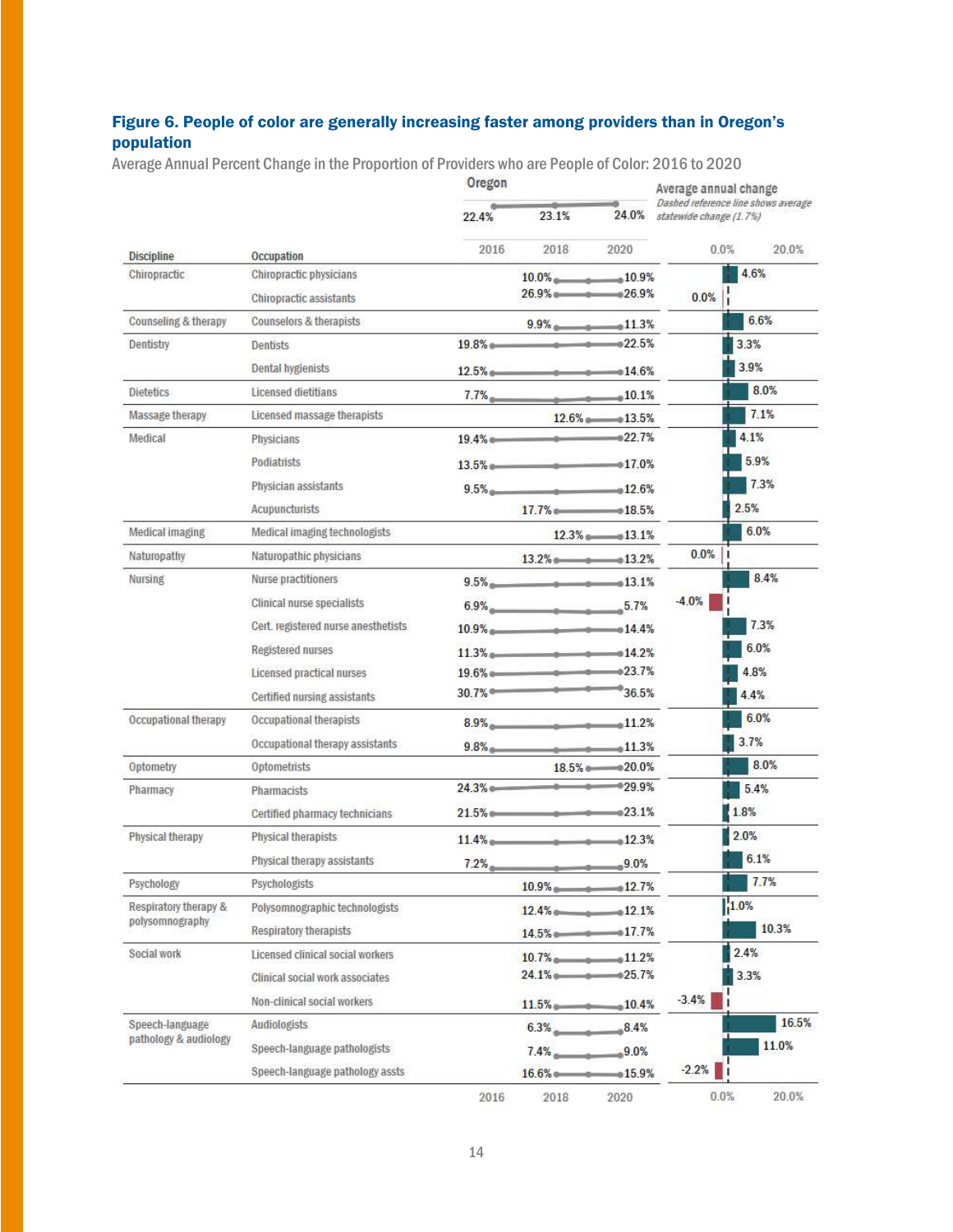### Figure 6. People of color are generally increasing faster among providers than in Oregon's population

Average Annual Percent Change in the Proportion of Providers who are People of Color: 2016 to 2020

|                       |                                     | Oregon |                                  | Average annual change |                                                                      |  |
|-----------------------|-------------------------------------|--------|----------------------------------|-----------------------|----------------------------------------------------------------------|--|
|                       |                                     | 22.4%  | 23.1%                            |                       | Dashed reference line shows average<br>24.0% statewide change (1.7%) |  |
| <b>Discipline</b>     | Occupation                          | 2016   | 2018                             | 2020                  | $0.0\%$<br>20.0%                                                     |  |
| Chiropractic          | Chiropractic physicians             |        | $10.0\%$ 10.9%                   |                       | 4.6%                                                                 |  |
|                       | Chiropractic assistants             |        | $26.9\%$ $26.9\%$                |                       | 0.0%                                                                 |  |
| Counseling & therapy  | Counselors & therapists             |        | $9.9\%$ $11.3\%$                 |                       | 6.6%                                                                 |  |
| Dentistry             | Dentists                            |        | $19.8\%$                         |                       | 3.3%                                                                 |  |
|                       | Dental hygienists                   |        | $12.5\%$                         |                       | 3.9%                                                                 |  |
| <b>Dietetics</b>      | Licensed dietitians                 |        | $7.7\%$                          |                       | 8.0%                                                                 |  |
| Massage therapy       | Licensed massage therapists         |        |                                  | $12.6\%$ and $13.5\%$ | 7.1%                                                                 |  |
| Medical               | Physicians                          |        | $19.4\%$ e $\bullet$ 22.7%       |                       | 4.1%                                                                 |  |
|                       | Podiatrists                         |        | $13.5\%$ a 017.0%                |                       | 5.9%                                                                 |  |
|                       | Physician assistants                |        | $9.5\%$ $12.6\%$                 |                       | 7.3%                                                                 |  |
|                       | Acupuncturists                      |        | $17.7\%$ $0.5\%$                 |                       | 2.5%                                                                 |  |
| Medical imaging       | Medical imaging technologists       |        |                                  | $12.3\%$ $13.1\%$     | 6.0%                                                                 |  |
| Naturopathy           | Naturopathic physicians             |        | $13.2\%$ $\longrightarrow$ 13.2% |                       | 0.0%                                                                 |  |
| Nursing               | Nurse practitioners                 |        | $9.5\%$                          |                       | 8.4%                                                                 |  |
|                       | Clinical nurse specialists          |        | $6.9\%$ 5.7%                     |                       | $-4.0%$                                                              |  |
|                       | Cert. registered nurse anesthetists |        | $10.9\%$                         |                       | 7.3%                                                                 |  |
|                       | <b>Registered nurses</b>            |        | $11.3\%$                         |                       | 6.0%                                                                 |  |
|                       | Licensed practical nurses           |        | $19.6\%$ and $\longrightarrow$   | $-0.23.7%$            | 4.8%                                                                 |  |
|                       | Certified nursing assistants        |        | 30.7%                            | $-36.5%$              | 4.4%                                                                 |  |
| Occupational therapy  | Occupational therapists             |        |                                  |                       | 6.0%                                                                 |  |
|                       | Occupational therapy assistants     |        | $8.9\%$ $11.2\%$                 |                       | 3.7%                                                                 |  |
|                       |                                     |        | $9.8\%$                          |                       | 8.0%                                                                 |  |
| Optometry             | Optometrists                        |        | $24.3\%$ e $3\%$                 | 18.5% @ 020.0%        |                                                                      |  |
| Pharmacy              | Pharmacists                         |        |                                  |                       | 5.4%                                                                 |  |
|                       | Certified pharmacy technicians      |        | $21.5\%$ e 23.1%                 |                       | 1.8%                                                                 |  |
| Physical therapy      | Physical therapists                 |        | $11.4\%$ $12.3\%$                |                       | 2.0%                                                                 |  |
|                       | Physical therapy assistants         |        | $7.2\%$ $9.0\%$                  |                       | 6.1%                                                                 |  |
| Psychology            | Psychologists                       |        | $10.9\%$ $12.7\%$                |                       | 7.7%                                                                 |  |
| Respiratory therapy & | Polysomnographic technologists      |        | $12.4\%$ $0.12.1\%$              |                       | 1.0%                                                                 |  |
| polysomnography       | Respiratory therapists              |        | $14.5\%$ $17.7\%$                |                       | 10.3%                                                                |  |
| Social work           | Licensed clinical social workers    |        | $10.7\%$ $11.2\%$                |                       | 2.4%                                                                 |  |
|                       | Clinical social work associates     |        | $24.1\%$ $25.7\%$                |                       | 3.3%                                                                 |  |
|                       | Non-clinical social workers         |        | $11.5\%$ and $10.4\%$            |                       | $-3.4%$                                                              |  |
| Speech-language       | Audiologists                        |        | $6.3\%$ $8.4\%$                  |                       | 16.5%                                                                |  |
| pathology & audiology | Speech-language pathologists        |        | $7.4\%$ $9.0\%$                  |                       | 11.0%                                                                |  |
|                       | Speech-language pathology assts     |        | $16.6\%$ and $15.9\%$            |                       | $-2.2%$                                                              |  |
|                       |                                     | 2016   | 2018                             | 2020                  | 0.0%<br>20.0%                                                        |  |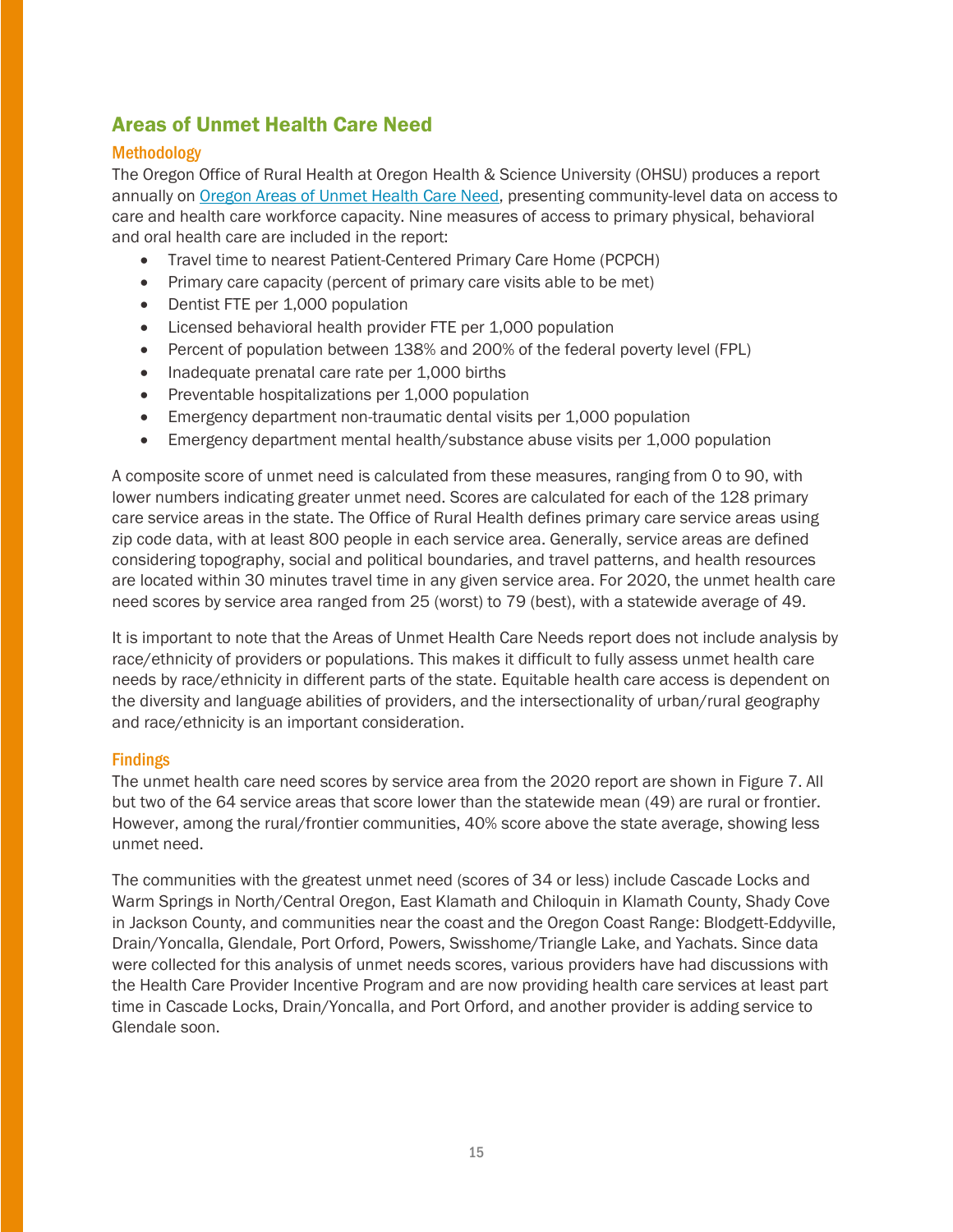## Areas of Unmet Health Care Need

#### <span id="page-14-0"></span>**Methodology**

The Oregon Office of Rural Health at Oregon Health & Science University (OHSU) produces a report annually on [Oregon Areas of Unmet Health Care Need,](https://www.ohsu.edu/sites/default/files/2020-08/2020%20Areas%20of%20Unmet%20Health%20Care%20Needs%20Report.pdf) presenting community-level data on access to care and health care workforce capacity. Nine measures of access to primary physical, behavioral and oral health care are included in the report:

- Travel time to nearest Patient-Centered Primary Care Home (PCPCH)
- Primary care capacity (percent of primary care visits able to be met)
- Dentist FTE per 1,000 population
- Licensed behavioral health provider FTE per 1,000 population
- Percent of population between 138% and 200% of the federal poverty level (FPL)
- Inadequate prenatal care rate per 1,000 births
- Preventable hospitalizations per 1,000 population
- Emergency department non-traumatic dental visits per 1,000 population
- Emergency department mental health/substance abuse visits per 1,000 population

A composite score of unmet need is calculated from these measures, ranging from 0 to 90, with lower numbers indicating greater unmet need. Scores are calculated for each of the 128 primary care service areas in the state. The Office of Rural Health defines primary care service areas using zip code data, with at least 800 people in each service area. Generally, service areas are defined considering topography, social and political boundaries, and travel patterns, and health resources are located within 30 minutes travel time in any given service area. For 2020, the unmet health care need scores by service area ranged from 25 (worst) to 79 (best), with a statewide average of 49.

It is important to note that the Areas of Unmet Health Care Needs report does not include analysis by race/ethnicity of providers or populations. This makes it difficult to fully assess unmet health care needs by race/ethnicity in different parts of the state. Equitable health care access is dependent on the diversity and language abilities of providers, and the intersectionality of urban/rural geography and race/ethnicity is an important consideration.

#### Findings

The unmet health care need scores by service area from the 2020 report are shown in Figure 7. All but two of the 64 service areas that score lower than the statewide mean (49) are rural or frontier. However, among the rural/frontier communities, 40% score above the state average, showing less unmet need.

The communities with the greatest unmet need (scores of 34 or less) include Cascade Locks and Warm Springs in North/Central Oregon, East Klamath and Chiloquin in Klamath County, Shady Cove in Jackson County, and communities near the coast and the Oregon Coast Range: Blodgett-Eddyville, Drain/Yoncalla, Glendale, Port Orford, Powers, Swisshome/Triangle Lake, and Yachats. Since data were collected for this analysis of unmet needs scores, various providers have had discussions with the Health Care Provider Incentive Program and are now providing health care services at least part time in Cascade Locks, Drain/Yoncalla, and Port Orford, and another provider is adding service to Glendale soon.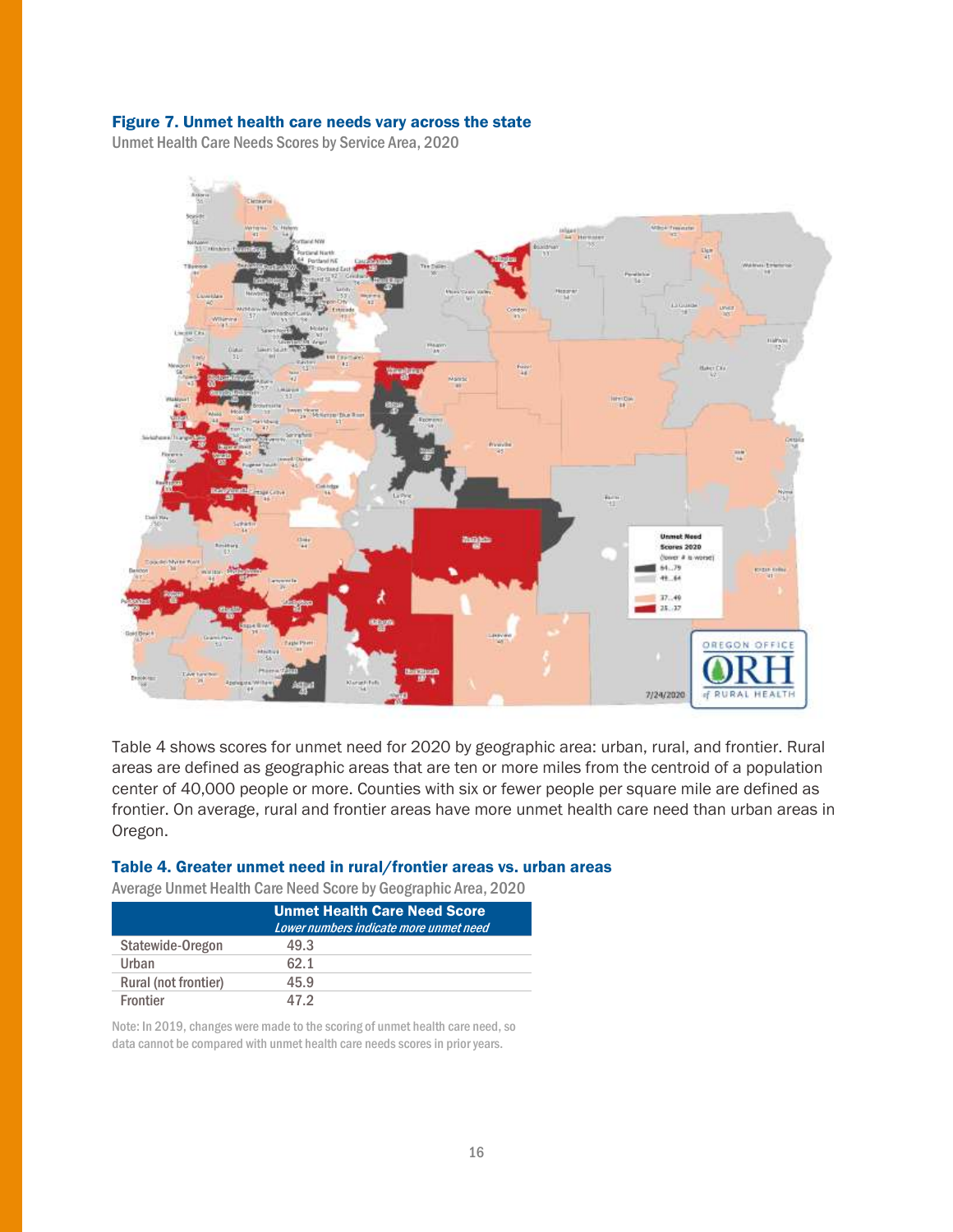#### Figure 7. Unmet health care needs vary across the state

Unmet Health Care Needs Scores by Service Area, 2020



Table 4 shows scores for unmet need for 2020 by geographic area: urban, rural, and frontier. Rural areas are defined as geographic areas that are ten or more miles from the centroid of a population center of 40,000 people or more. Counties with six or fewer people per square mile are defined as frontier. On average, rural and frontier areas have more unmet health care need than urban areas in Oregon.

#### Table 4. Greater unmet need in rural/frontier areas vs. urban areas

Average Unmet Health Care Need Score by Geographic Area, 2020

|                      | <b>Unmet Health Care Need Score</b><br>Lower numbers indicate more unmet need |
|----------------------|-------------------------------------------------------------------------------|
| Statewide-Oregon     | 49.3                                                                          |
| Urban                | 62.1                                                                          |
| Rural (not frontier) | 45.9                                                                          |
| <b>Frontier</b>      | 47 2                                                                          |

Note: In 2019, changes were made to the scoring of unmet health care need, so data cannot be compared with unmet health care needs scores in prior years.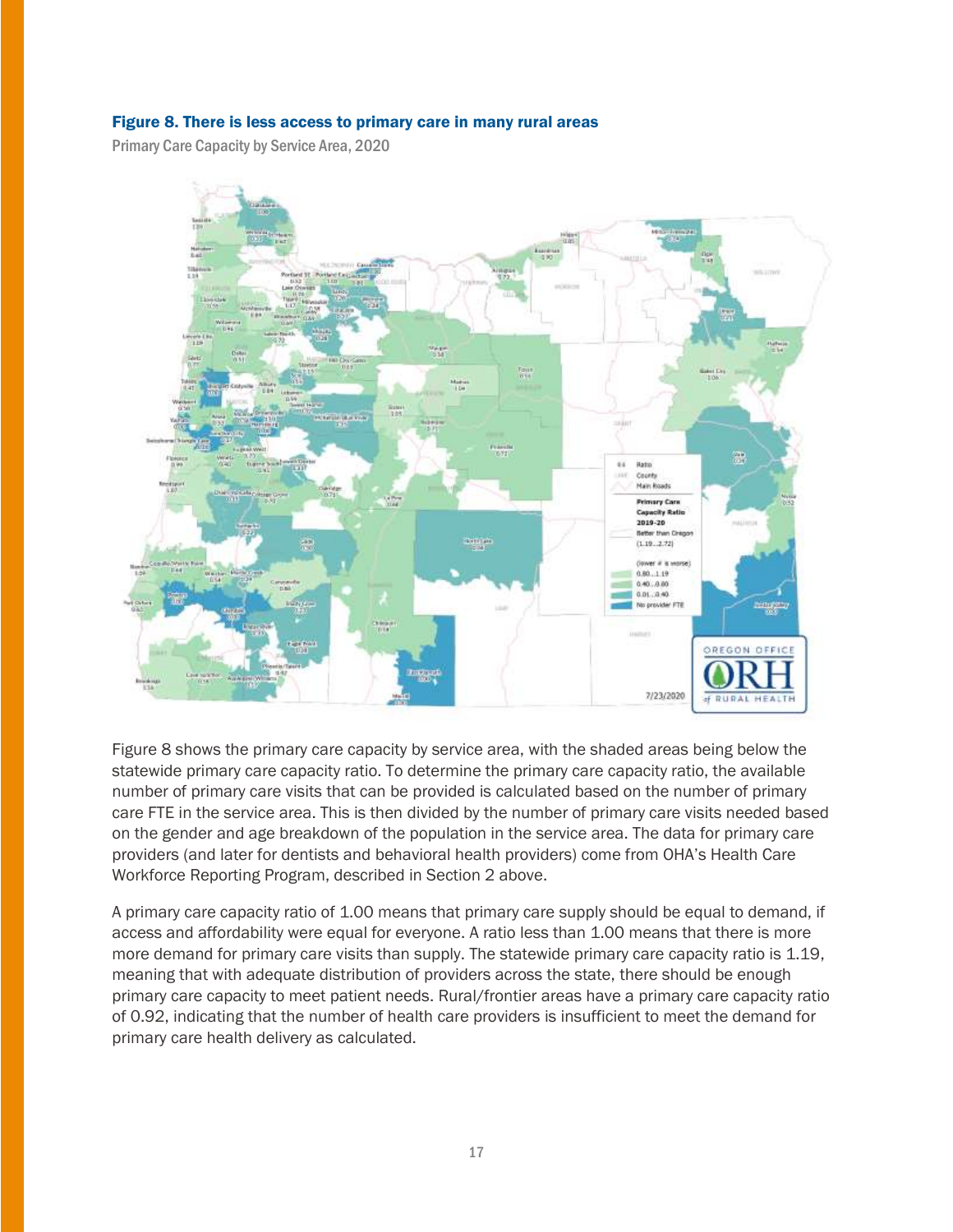#### Figure 8. There is less access to primary care in many rural areas

Primary Care Capacity by Service Area, 2020



Figure 8 shows the primary care capacity by service area, with the shaded areas being below the statewide primary care capacity ratio. To determine the primary care capacity ratio, the available number of primary care visits that can be provided is calculated based on the number of primary care FTE in the service area. This is then divided by the number of primary care visits needed based on the gender and age breakdown of the population in the service area. The data for primary care providers (and later for dentists and behavioral health providers) come from OHA's Health Care Workforce Reporting Program, described in Section 2 above.

A primary care capacity ratio of 1.00 means that primary care supply should be equal to demand, if access and affordability were equal for everyone. A ratio less than 1.00 means that there is more more demand for primary care visits than supply. The statewide primary care capacity ratio is 1.19, meaning that with adequate distribution of providers across the state, there should be enough primary care capacity to meet patient needs. Rural/frontier areas have a primary care capacity ratio of 0.92, indicating that the number of health care providers is insufficient to meet the demand for primary care health delivery as calculated.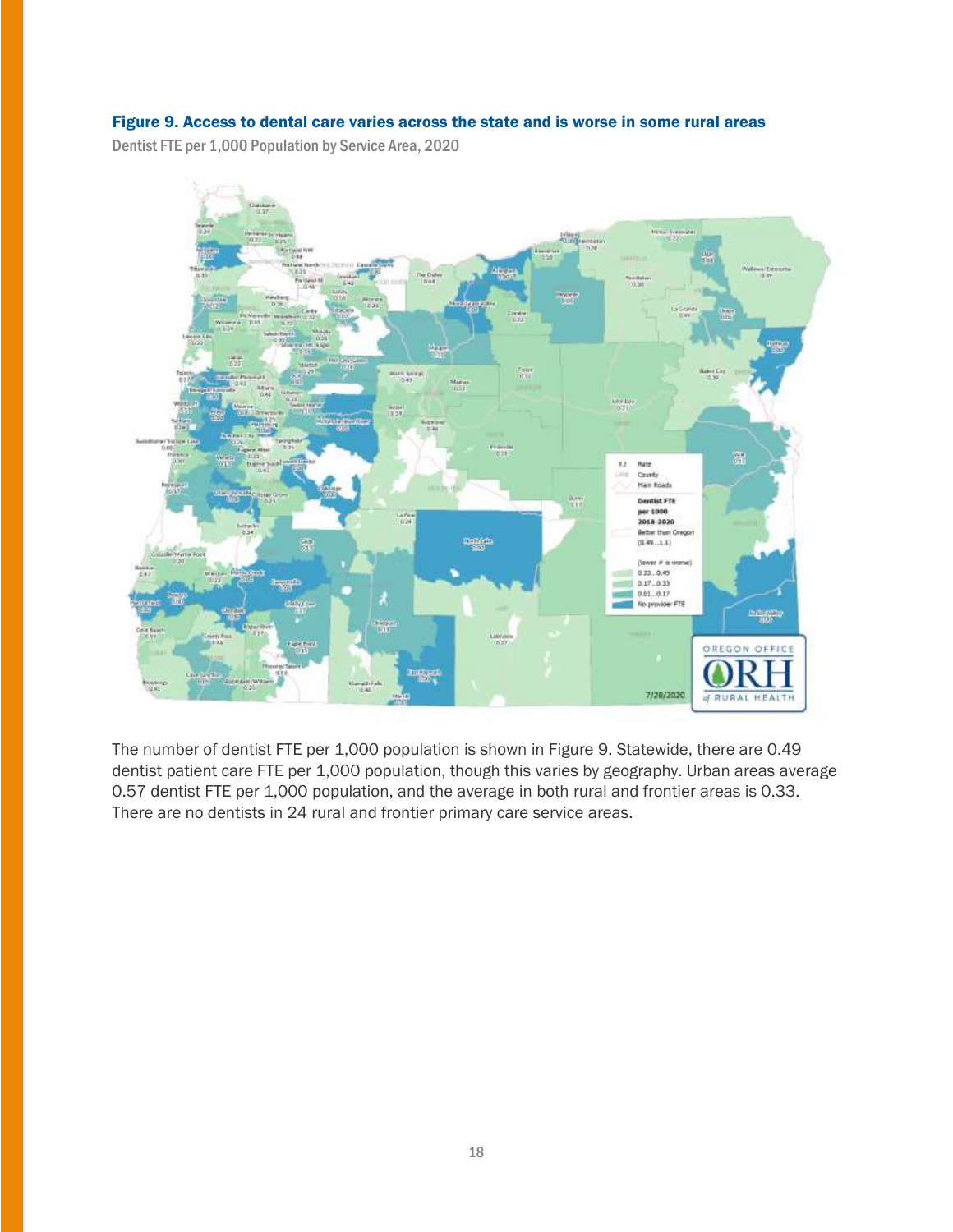#### Figure 9. Access to dental care varies across the state and is worse in some rural areas

Dentist FTE per 1,000 Population by Service Area, 2020



The number of dentist FTE per 1,000 population is shown in Figure 9. Statewide, there are 0.49 dentist patient care FTE per 1,000 population, though this varies by geography. Urban areas average 0.57 dentist FTE per 1,000 population, and the average in both rural and frontier areas is 0.33. There are no dentists in 24 rural and frontier primary care service areas.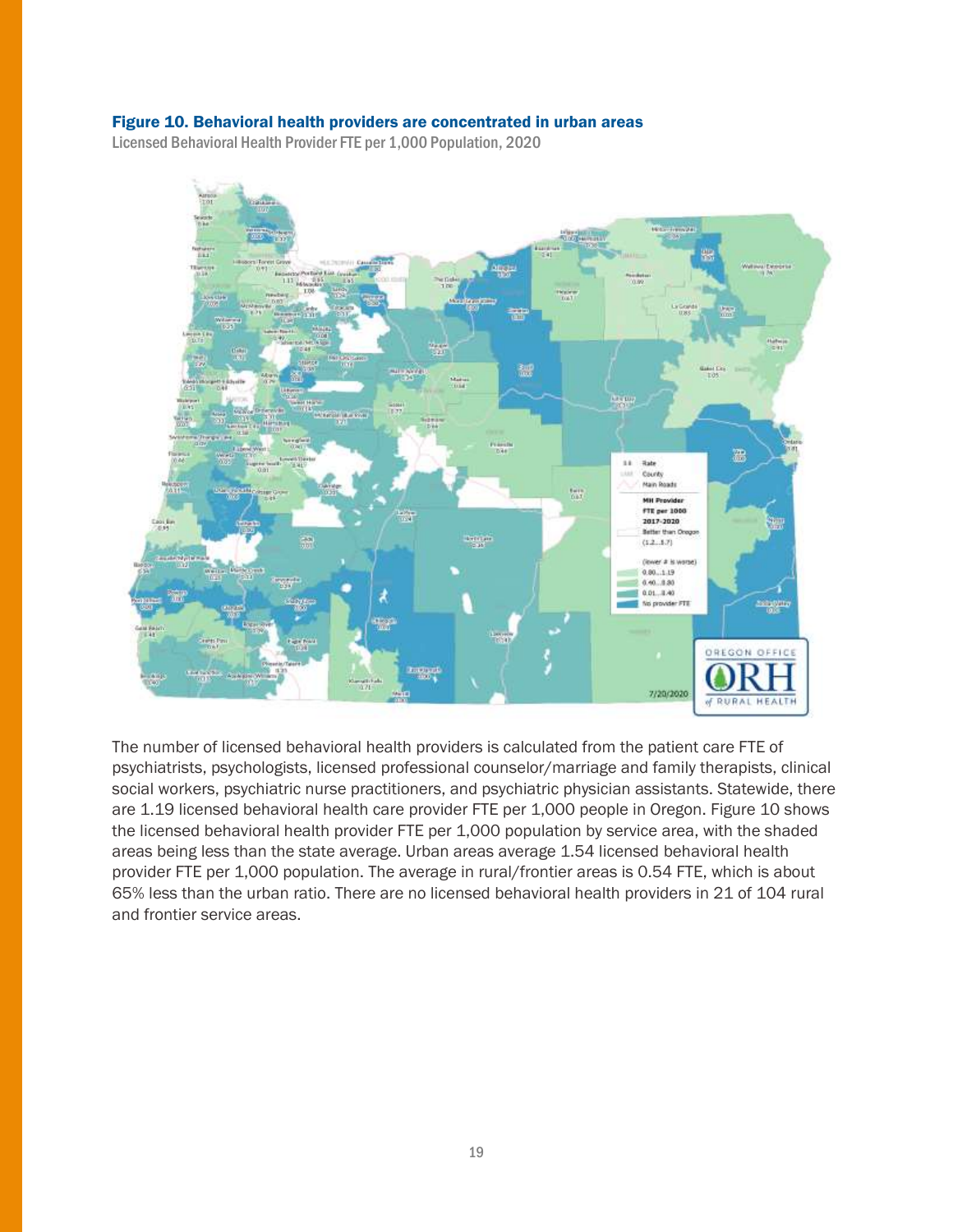#### Figure 10. Behavioral health providers are concentrated in urban areas

Licensed Behavioral Health Provider FTE per 1,000 Population, 2020



The number of licensed behavioral health providers is calculated from the patient care FTE of psychiatrists, psychologists, licensed professional counselor/marriage and family therapists, clinical social workers, psychiatric nurse practitioners, and psychiatric physician assistants. Statewide, there are 1.19 licensed behavioral health care provider FTE per 1,000 people in Oregon. Figure 10 shows the licensed behavioral health provider FTE per 1,000 population by service area, with the shaded areas being less than the state average. Urban areas average 1.54 licensed behavioral health provider FTE per 1,000 population. The average in rural/frontier areas is 0.54 FTE, which is about 65% less than the urban ratio. There are no licensed behavioral health providers in 21 of 104 rural and frontier service areas.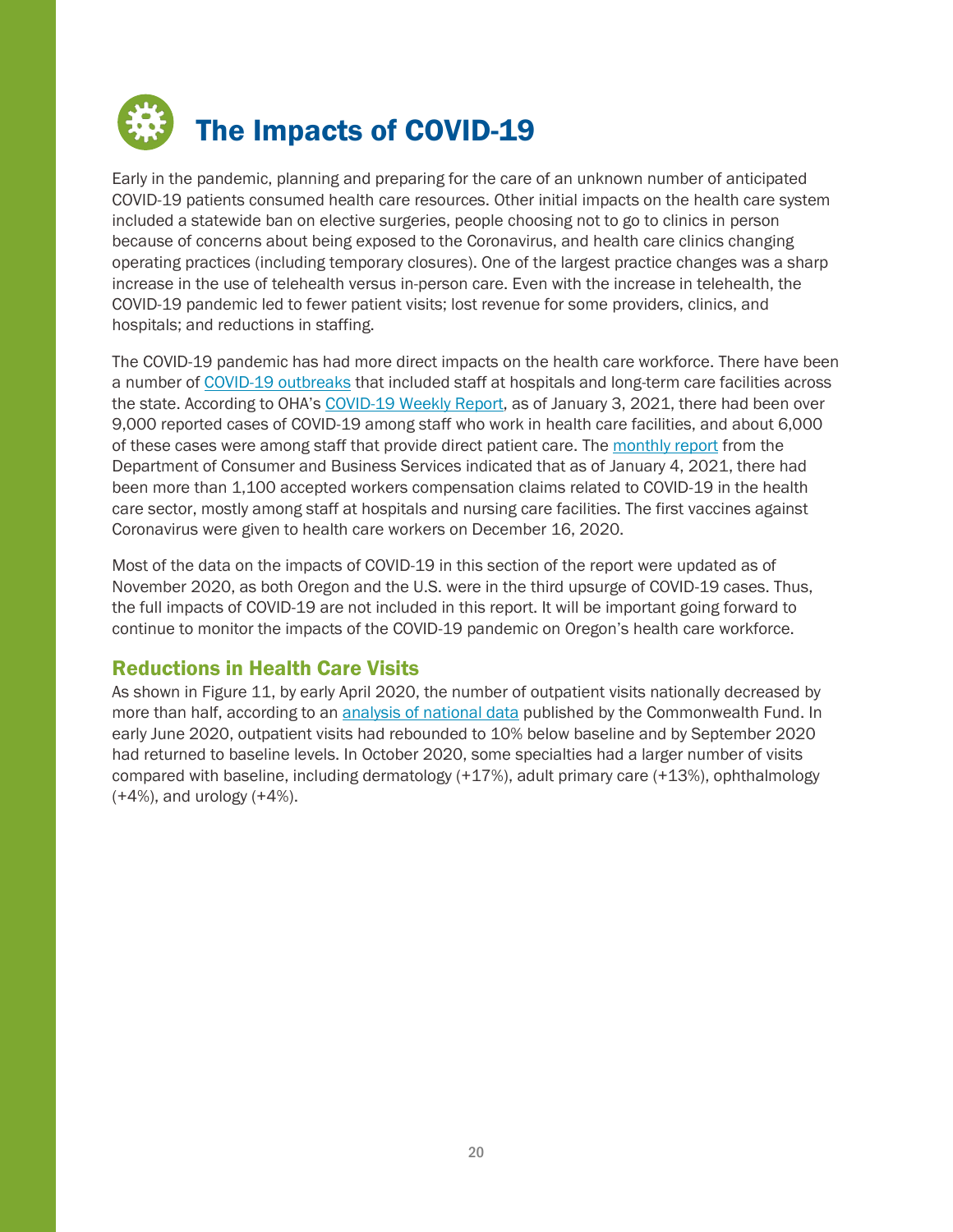<span id="page-19-0"></span>

Early in the pandemic, planning and preparing for the care of an unknown number of anticipated COVID-19 patients consumed health care resources. Other initial impacts on the health care system included a statewide ban on elective surgeries, people choosing not to go to clinics in person because of concerns about being exposed to the Coronavirus, and health care clinics changing operating practices (including temporary closures). One of the largest practice changes was a sharp increase in the use of telehealth versus in-person care. Even with the increase in telehealth, the COVID-19 pandemic led to fewer patient visits; lost revenue for some providers, clinics, and hospitals; and reductions in staffing.

The COVID-19 pandemic has had more direct impacts on the health care workforce. There have been a number of [COVID-19 outbreaks](https://www.oregon.gov/oha/PH/DISEASESCONDITIONS/DISEASESAZ/Emerging%20Respitory%20Infections/Weekly-Outbreak-COVID-19-Report.pdf) that included staff at hospitals and long-term care facilities across the state. According to OHA's [COVID-19 Weekly Report,](https://www.oregon.gov/oha/PH/DISEASESCONDITIONS/DISEASESAZ/Emerging%20Respitory%20Infections/Weekly-COVID-19-Report.pdf) as of January 3, 2021, there had been over 9,000 reported cases of COVID-19 among staff who work in health care facilities, and about 6,000 of these cases were among staff that provide direct patient care. The [monthly report](https://wcd.oregon.gov/Documents/monthly.pdf) from the Department of Consumer and Business Services indicated that as of January 4, 2021, there had been more than 1,100 accepted workers compensation claims related to COVID-19 in the health care sector, mostly among staff at hospitals and nursing care facilities. The first vaccines against Coronavirus were given to health care workers on December 16, 2020.

Most of the data on the impacts of COVID-19 in this section of the report were updated as of November 2020, as both Oregon and the U.S. were in the third upsurge of COVID-19 cases. Thus, the full impacts of COVID-19 are not included in this report. It will be important going forward to continue to monitor the impacts of the COVID-19 pandemic on Oregon's health care workforce.

## <span id="page-19-1"></span>Reductions in Health Care Visits

As shown in Figure 11, by early April 2020, the number of outpatient visits nationally decreased by more than half, according to an [analysis of national data](https://www.commonwealthfund.org/publications/2020/oct/impact-covid-19-pandemic-outpatient-care-visits-return-prepandemic-levels) published by the Commonwealth Fund. In early June 2020, outpatient visits had rebounded to 10% below baseline and by September 2020 had returned to baseline levels. In October 2020, some specialties had a larger number of visits compared with baseline, including dermatology (+17%), adult primary care (+13%), ophthalmology  $(+4%)$ , and urology  $(+4%)$ .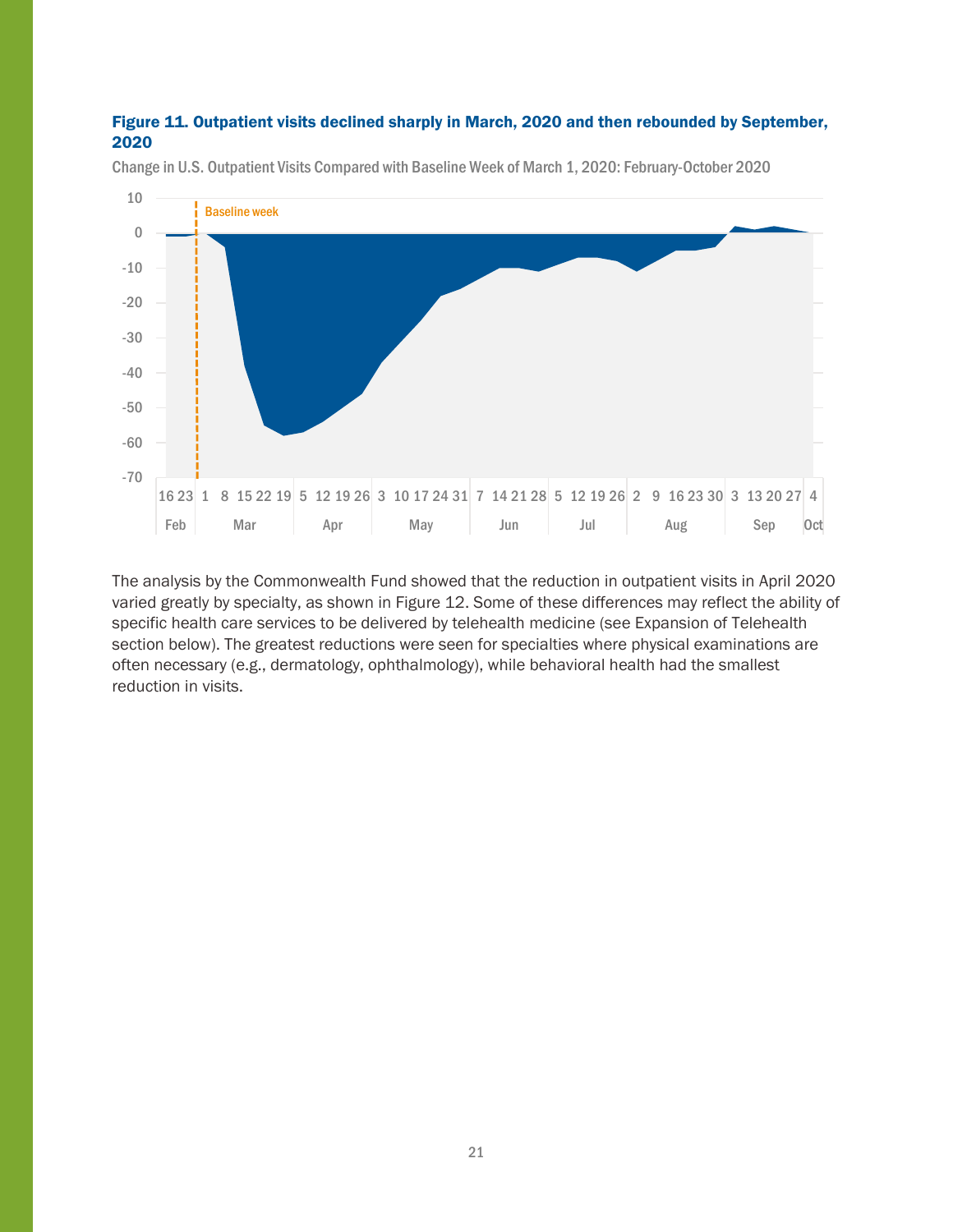#### Figure 11. Outpatient visits declined sharply in March, 2020 and then rebounded by September, 2020



Change in U.S. Outpatient Visits Compared with Baseline Week of March 1, 2020: February-October 2020

The analysis by the Commonwealth Fund showed that the reduction in outpatient visits in April 2020 varied greatly by specialty, as shown in Figure 12. Some of these differences may reflect the ability of specific health care services to be delivered by telehealth medicine (see Expansion of Telehealth section below). The greatest reductions were seen for specialties where physical examinations are often necessary (e.g., dermatology, ophthalmology), while behavioral health had the smallest reduction in visits.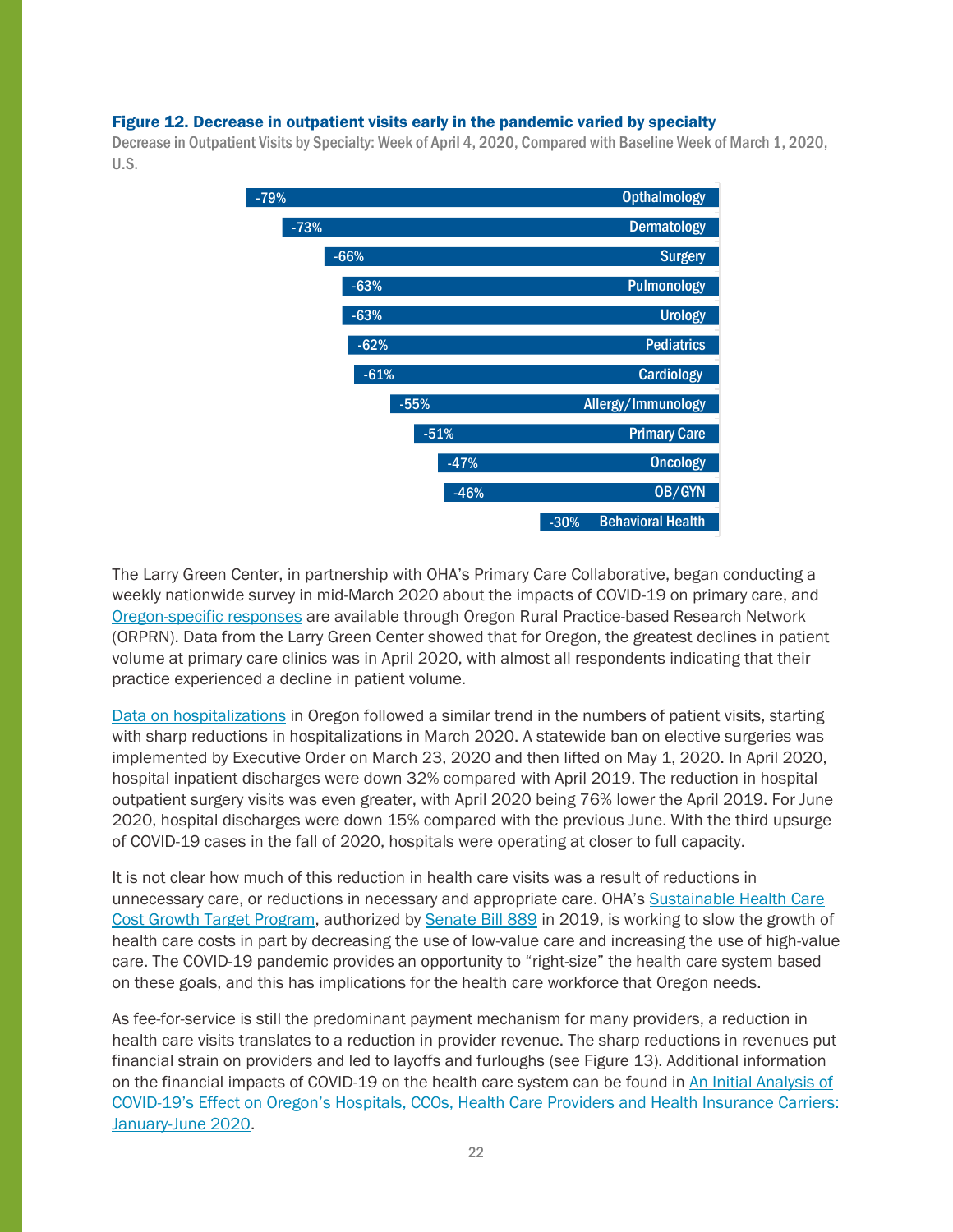#### Figure 12. Decrease in outpatient visits early in the pandemic varied by specialty

Decrease in Outpatient Visits by Specialty: Week of April 4, 2020, Compared with Baseline Week of March 1, 2020, U.S.



The Larry Green Center, in partnership with OHA's Primary Care Collaborative, began conducting a weekly nationwide survey in mid-March 2020 about the impacts of COVID-19 on primary care, and [Oregon-specific responses](https://www.ohsu.edu/oregon-rural-practice-based-research-network/hot-topics) are available through Oregon Rural Practice-based Research Network (ORPRN). Data from the Larry Green Center showed that for Oregon, the greatest declines in patient volume at primary care clinics was in April 2020, with almost all respondents indicating that their practice experienced a decline in patient volume.

[Data on hospitalizations](https://visual-data.dhsoha.state.or.us/t/OHA/views/Databankdashboard/Mainpage?iframeSizedToWindow=true&%3Aembed=y&%3AshowAppBanner=false&%3Adisplay_count=no&%3AshowVizHome=no&%3Aorigin=viz_share_link) in Oregon followed a similar trend in the numbers of patient visits, starting with sharp reductions in hospitalizations in March 2020. A statewide ban on elective surgeries was implemented by Executive Order on March 23, 2020 and then lifted on May 1, 2020. In April 2020, hospital inpatient discharges were down 32% compared with April 2019. The reduction in hospital outpatient surgery visits was even greater, with April 2020 being 76% lower the April 2019. For June 2020, hospital discharges were down 15% compared with the previous June. With the third upsurge of COVID-19 cases in the fall of 2020, hospitals were operating at closer to full capacity.

It is not clear how much of this reduction in health care visits was a result of reductions in unnecessary care, or reductions in necessary and appropriate care. OHA's [Sustainable Health Care](https://www.oregon.gov/oha/HPA/HP/Pages/Sustainable-Health-Care-Cost-Growth-Target.aspx)  [Cost Growth Target Program,](https://www.oregon.gov/oha/HPA/HP/Pages/Sustainable-Health-Care-Cost-Growth-Target.aspx) authorized by [Senate Bill 889](https://olis.oregonlegislature.gov/liz/2019R1/Downloads/MeasureDocument/SB889/A-Engrossed) in 2019, is working to slow the growth of health care costs in part by decreasing the use of low-value care and increasing the use of high-value care. The COVID-19 pandemic provides an opportunity to "right-size" the health care system based on these goals, and this has implications for the health care workforce that Oregon needs.

As fee-for-service is still the predominant payment mechanism for many providers, a reduction in health care visits translates to a reduction in provider revenue. The sharp reductions in revenues put financial strain on providers and led to layoffs and furloughs (see Figure 13). Additional information on the financial impacts of COVID-19 on the health care system can be found in [An Initial Analysis of](https://www.oregon.gov/oha/HPA/ANALYTICS/Documents/health-care-system-finances-q1-q2-brief-final.pdf)  COVID-[19's Effect on Oregon's Hospitals, CCOs, Health Care Providers and Health Insurance Carriers:](https://www.oregon.gov/oha/HPA/ANALYTICS/Documents/health-care-system-finances-q1-q2-brief-final.pdf)  [January-June 2020.](https://www.oregon.gov/oha/HPA/ANALYTICS/Documents/health-care-system-finances-q1-q2-brief-final.pdf)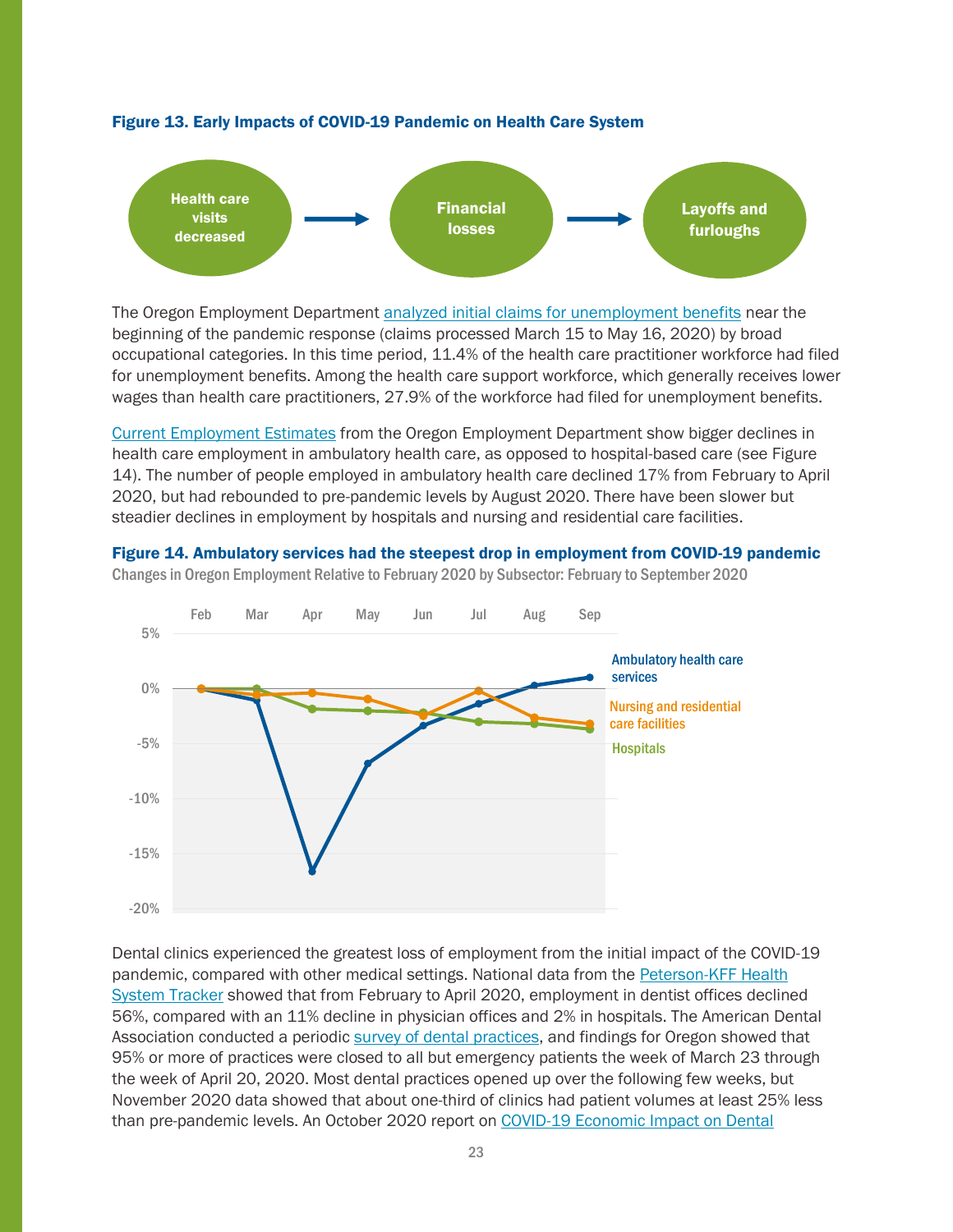

#### Figure 13. Early Impacts of COVID-19 Pandemic on Health Care System

The Oregon Employment Department [analyzed initial claims for unemployment benefits](https://www.qualityinfo.org/documents/10182/13336/Turning+Point+2020+Oregon%E2%80%99s+Workforce+from+Expansion+to+Pandemic?version=1.1) near the beginning of the pandemic response (claims processed March 15 to May 16, 2020) by broad occupational categories. In this time period, 11.4% of the health care practitioner workforce had filed for unemployment benefits. Among the health care support workforce, which generally receives lower wages than health care practitioners, 27.9% of the workforce had filed for unemployment benefits.

[Current Employment Estimates](https://www.qualityinfo.org/ed-ceest/?at=1&t1=41010000000~0~0~00000000~2014~or) from the Oregon Employment Department show bigger declines in health care employment in ambulatory health care, as opposed to hospital-based care (see Figure 14). The number of people employed in ambulatory health care declined 17% from February to April 2020, but had rebounded to pre-pandemic levels by August 2020. There have been slower but steadier declines in employment by hospitals and nursing and residential care facilities.

## Figure 14. Ambulatory services had the steepest drop in employment from COVID-19 pandemic Changes in Oregon Employment Relative to February 2020 by Subsector: February to September 2020



Dental clinics experienced the greatest loss of employment from the initial impact of the COVID-19 pandemic, compared with other medical settings. National data from the Peterson-KFF Health [System Tracker](https://www.healthsystemtracker.org/chart-collection/what-impact-has-the-coronavirus-pandemic-had-on-healthcare-employment/#item-8972) showed that from February to April 2020, employment in dentist offices declined 56%, compared with an 11% decline in physician offices and 2% in hospitals. The American Dental Association conducted a periodic [survey of dental practices,](https://www.ada.org/en/science-research/health-policy-institute/covid-19-dentists-economic-impact/survey-results) and findings for Oregon showed that 95% or more of practices were closed to all but emergency patients the week of March 23 through the week of April 20, 2020. Most dental practices opened up over the following few weeks, but November 2020 data showed that about one-third of clinics had patient volumes at least 25% less than pre-pandemic levels. An October 2020 report on COVID-19 Economic Impact on Dental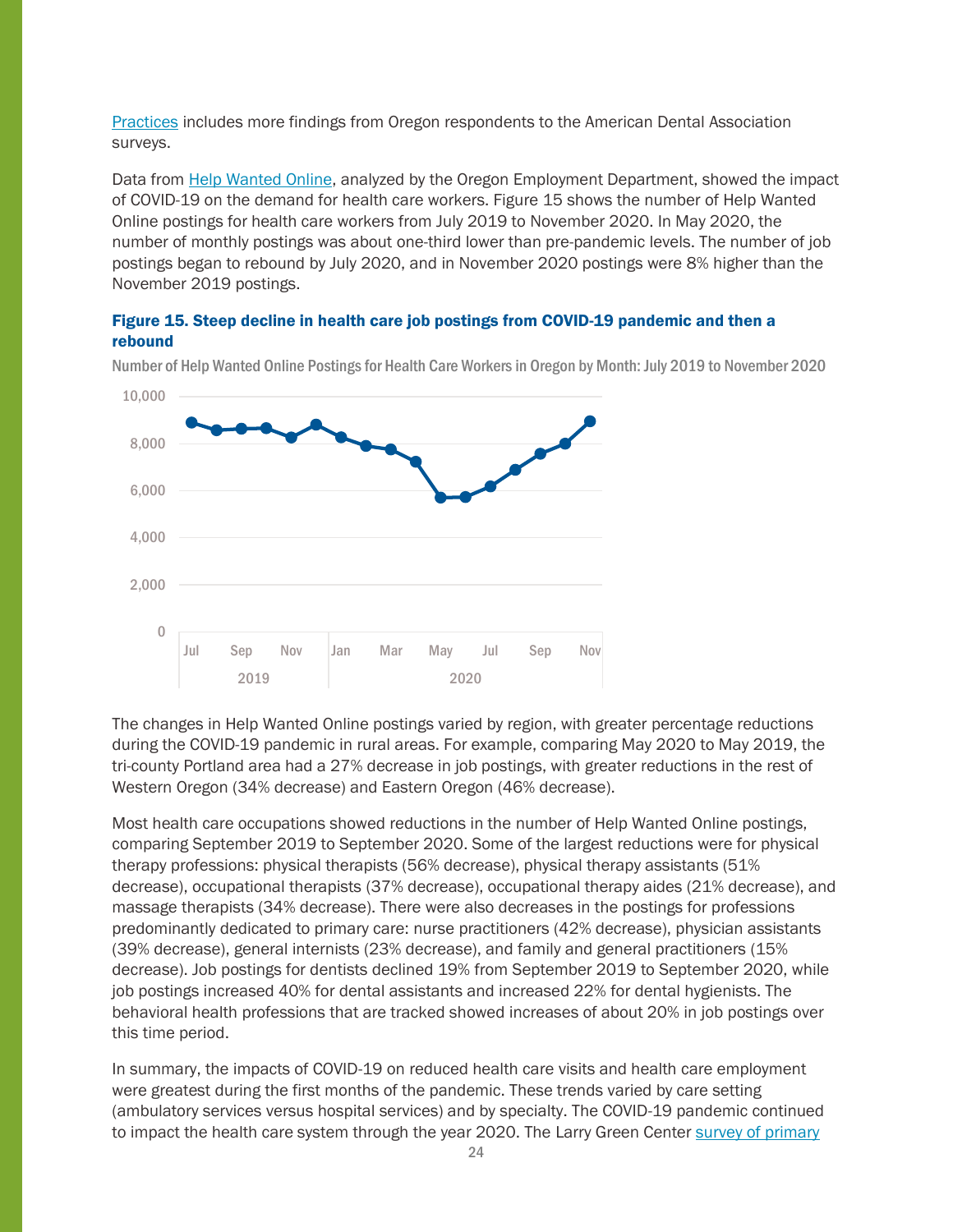[Practices](https://www.oregon.gov/oha/FOD/Documents/Dentist-Survey-Summary.pdf) includes more findings from Oregon respondents to the American Dental Association surveys.

Data from **Help Wanted Online**, analyzed by the Oregon Employment Department, showed the impact of COVID-19 on the demand for health care workers. Figure 15 shows the number of Help Wanted Online postings for health care workers from July 2019 to November 2020. In May 2020, the number of monthly postings was about one-third lower than pre-pandemic levels. The number of job postings began to rebound by July 2020, and in November 2020 postings were 8% higher than the November 2019 postings.

#### Figure 15. Steep decline in health care job postings from COVID-19 pandemic and then a rebound



Number of Help Wanted Online Postings for Health Care Workers in Oregon by Month: July 2019 to November 2020

The changes in Help Wanted Online postings varied by region, with greater percentage reductions during the COVID-19 pandemic in rural areas. For example, comparing May 2020 to May 2019, the tri-county Portland area had a 27% decrease in job postings, with greater reductions in the rest of Western Oregon (34% decrease) and Eastern Oregon (46% decrease).

Most health care occupations showed reductions in the number of Help Wanted Online postings, comparing September 2019 to September 2020. Some of the largest reductions were for physical therapy professions: physical therapists (56% decrease), physical therapy assistants (51% decrease), occupational therapists (37% decrease), occupational therapy aides (21% decrease), and massage therapists (34% decrease). There were also decreases in the postings for professions predominantly dedicated to primary care: nurse practitioners (42% decrease), physician assistants (39% decrease), general internists (23% decrease), and family and general practitioners (15% decrease). Job postings for dentists declined 19% from September 2019 to September 2020, while job postings increased 40% for dental assistants and increased 22% for dental hygienists. The behavioral health professions that are tracked showed increases of about 20% in job postings over this time period.

In summary, the impacts of COVID-19 on reduced health care visits and health care employment were greatest during the first months of the pandemic. These trends varied by care setting (ambulatory services versus hospital services) and by specialty. The COVID-19 pandemic continued to impact the health care system through the year 2020. The Larry Green Center [survey of primary](https://www.ohsu.edu/oregon-rural-practice-based-research-network/hot-topics)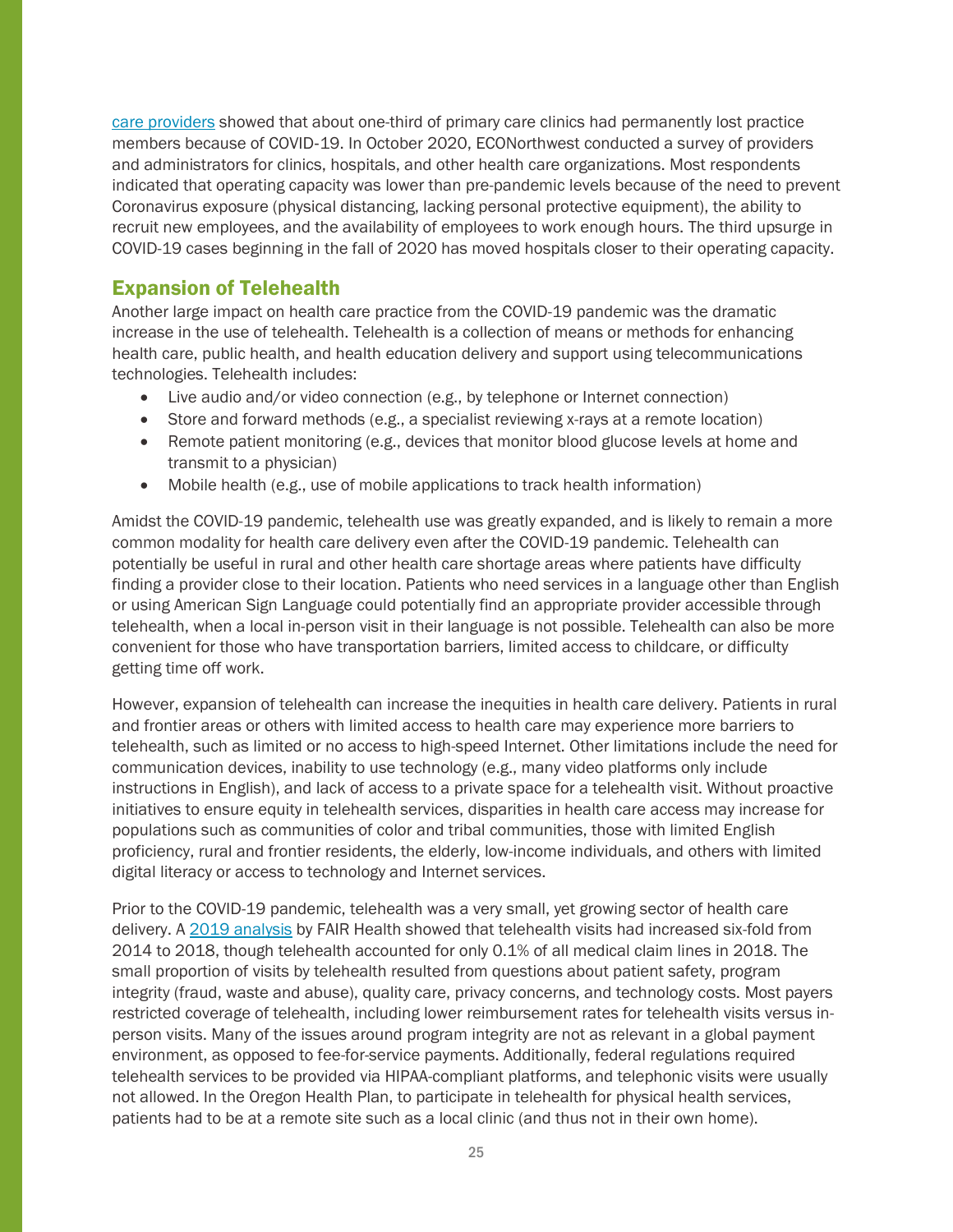[care providers](https://www.ohsu.edu/oregon-rural-practice-based-research-network/hot-topics) showed that about one-third of primary care clinics had permanently lost practice members because of COVID‐19. In October 2020, ECONorthwest conducted a survey of providers and administrators for clinics, hospitals, and other health care organizations. Most respondents indicated that operating capacity was lower than pre-pandemic levels because of the need to prevent Coronavirus exposure (physical distancing, lacking personal protective equipment), the ability to recruit new employees, and the availability of employees to work enough hours. The third upsurge in COVID-19 cases beginning in the fall of 2020 has moved hospitals closer to their operating capacity.

## <span id="page-24-0"></span>Expansion of Telehealth

Another large impact on health care practice from the COVID-19 pandemic was the dramatic increase in the use of telehealth. Telehealth is a collection of means or methods for enhancing health care, public health, and health education delivery and support using telecommunications technologies. Telehealth includes:

- Live audio and/or video connection (e.g., by telephone or Internet connection)
- Store and forward methods (e.g., a specialist reviewing x-rays at a remote location)
- Remote patient monitoring (e.g., devices that monitor blood glucose levels at home and transmit to a physician)
- Mobile health (e.g., use of mobile applications to track health information)

Amidst the COVID-19 pandemic, telehealth use was greatly expanded, and is likely to remain a more common modality for health care delivery even after the COVID-19 pandemic. Telehealth can potentially be useful in rural and other health care shortage areas where patients have difficulty finding a provider close to their location. Patients who need services in a language other than English or using American Sign Language could potentially find an appropriate provider accessible through telehealth, when a local in-person visit in their language is not possible. Telehealth can also be more convenient for those who have transportation barriers, limited access to childcare, or difficulty getting time off work.

However, expansion of telehealth can increase the inequities in health care delivery. Patients in rural and frontier areas or others with limited access to health care may experience more barriers to telehealth, such as limited or no access to high-speed Internet. Other limitations include the need for communication devices, inability to use technology (e.g., many video platforms only include instructions in English), and lack of access to a private space for a telehealth visit. Without proactive initiatives to ensure equity in telehealth services, disparities in health care access may increase for populations such as communities of color and tribal communities, those with limited English proficiency, rural and frontier residents, the elderly, low-income individuals, and others with limited digital literacy or access to technology and Internet services.

Prior to the COVID-19 pandemic, telehealth was a very small, yet growing sector of health care delivery. [A 2019 analysis](https://mma.prnewswire.com/media/947336/A_Multilayered_Analysis_of_Telehealth___A_FAIR_Health_White_Paper.pdf?p=pdf) by FAIR Health showed that telehealth visits had increased six-fold from 2014 to 2018, though telehealth accounted for only 0.1% of all medical claim lines in 2018. The small proportion of visits by telehealth resulted from questions about patient safety, program integrity (fraud, waste and abuse), quality care, privacy concerns, and technology costs. Most payers restricted coverage of telehealth, including lower reimbursement rates for telehealth visits versus inperson visits. Many of the issues around program integrity are not as relevant in a global payment environment, as opposed to fee-for-service payments. Additionally, federal regulations required telehealth services to be provided via HIPAA-compliant platforms, and telephonic visits were usually not allowed. In the Oregon Health Plan, to participate in telehealth for physical health services, patients had to be at a remote site such as a local clinic (and thus not in their own home).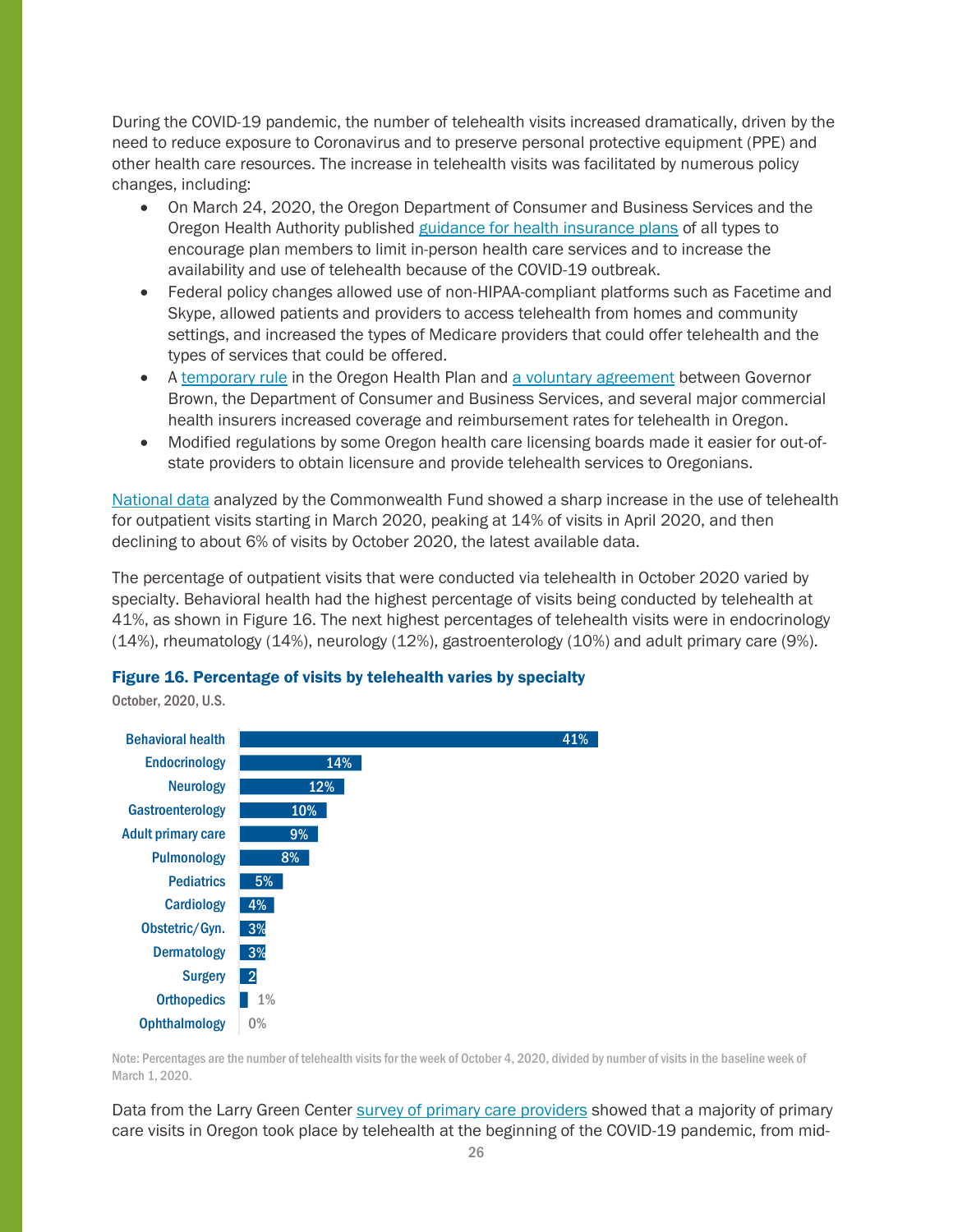During the COVID-19 pandemic, the number of telehealth visits increased dramatically, driven by the need to reduce exposure to Coronavirus and to preserve personal protective equipment (PPE) and other health care resources. The increase in telehealth visits was facilitated by numerous policy changes, including:

- On March 24, 2020, the Oregon Department of Consumer and Business Services and the Oregon Health Authority published [guidance for health insurance plans](https://dfr.oregon.gov/news/2020/Pages/20200324-telehealth-expectations.aspx) of all types to encourage plan members to limit in-person health care services and to increase the availability and use of telehealth because of the COVID-19 outbreak.
- Federal policy changes allowed use of non-HIPAA-compliant platforms such as Facetime and Skype, allowed patients and providers to access telehealth from homes and community settings, and increased the types of Medicare providers that could offer telehealth and the types of services that could be offered.
- A [temporary rule](https://www.oregon.gov/oha/HSD/OHP/Policies/141-3566-032620.pdf) in the Oregon Health Plan and [a voluntary agreement](https://dfr.oregon.gov/covid19-consumers/covid19-consumer-health/Pages/covid19-healthins-telehealth.aspx) between Governor Brown, the Department of Consumer and Business Services, and several major commercial health insurers increased coverage and reimbursement rates for telehealth in Oregon.
- Modified regulations by some Oregon health care licensing boards made it easier for out-ofstate providers to obtain licensure and provide telehealth services to Oregonians.

[National data](https://www.commonwealthfund.org/publications/2020/oct/impact-covid-19-pandemic-outpatient-care-visits-return-prepandemic-levels) analyzed by the Commonwealth Fund showed a sharp increase in the use of telehealth for outpatient visits starting in March 2020, peaking at 14% of visits in April 2020, and then declining to about 6% of visits by October 2020, the latest available data.

The percentage of outpatient visits that were conducted via telehealth in October 2020 varied by specialty. Behavioral health had the highest percentage of visits being conducted by telehealth at 41%, as shown in Figure 16. The next highest percentages of telehealth visits were in endocrinology (14%), rheumatology (14%), neurology (12%), gastroenterology (10%) and adult primary care (9%).

#### Figure 16. Percentage of visits by telehealth varies by specialty

October, 2020, U.S.



Note: Percentages are the number of telehealth visits for the week of October 4, 2020, divided by number of visits in the baseline week of March 1, 2020.

Data from the Larry Green Center [survey of primary care providers](https://www.ohsu.edu/oregon-rural-practice-based-research-network/hot-topics) showed that a majority of primary care visits in Oregon took place by telehealth at the beginning of the COVID-19 pandemic, from mid-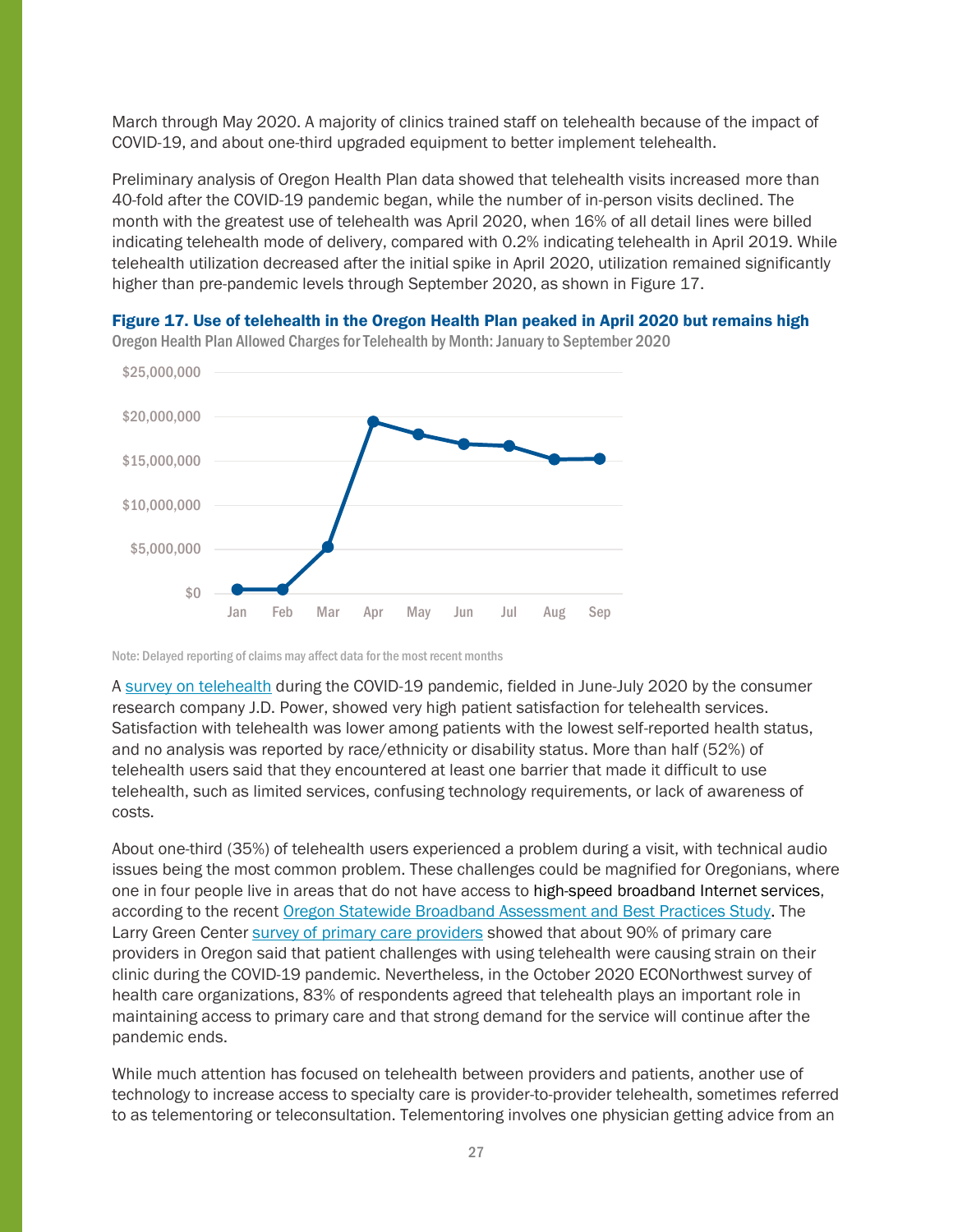March through May 2020. A majority of clinics trained staff on telehealth because of the impact of COVID-19, and about one-third upgraded equipment to better implement telehealth.

Preliminary analysis of Oregon Health Plan data showed that telehealth visits increased more than 40-fold after the COVID-19 pandemic began, while the number of in-person visits declined. The month with the greatest use of telehealth was April 2020, when 16% of all detail lines were billed indicating telehealth mode of delivery, compared with 0.2% indicating telehealth in April 2019. While telehealth utilization decreased after the initial spike in April 2020, utilization remained significantly higher than pre-pandemic levels through September 2020, as shown in Figure 17.



Figure 17. Use of telehealth in the Oregon Health Plan peaked in April 2020 but remains high

Note: Delayed reporting of claims may affect data for the most recent months

A [survey on telehealth](https://www.jdpower.com/business/press-releases/2020-us-telehealth-satisfaction-study) during the COVID-19 pandemic, fielded in June-July 2020 by the consumer research company J.D. Power, showed very high patient satisfaction for telehealth services. Satisfaction with telehealth was lower among patients with the lowest self-reported health status, and no analysis was reported by race/ethnicity or disability status. More than half (52%) of telehealth users said that they encountered at least one barrier that made it difficult to use telehealth, such as limited services, confusing technology requirements, or lack of awareness of costs.

About one-third (35%) of telehealth users experienced a problem during a visit, with technical audio issues being the most common problem. These challenges could be magnified for Oregonians, where one in four people live in areas that do not have access to high-speed broadband Internet services, according to the recent [Oregon Statewide Broadband Assessment and Best Practices Study.](https://www.oregon4biz.com/assets/docs/SNGStudy2020.pdf) The Larry Green Center [survey of primary care providers](https://www.ohsu.edu/oregon-rural-practice-based-research-network/hot-topics) showed that about 90% of primary care providers in Oregon said that patient challenges with using telehealth were causing strain on their clinic during the COVID-19 pandemic. Nevertheless, in the October 2020 ECONorthwest survey of health care organizations, 83% of respondents agreed that telehealth plays an important role in maintaining access to primary care and that strong demand for the service will continue after the pandemic ends.

While much attention has focused on telehealth between providers and patients, another use of technology to increase access to specialty care is provider-to-provider telehealth, sometimes referred to as telementoring or teleconsultation. Telementoring involves one physician getting advice from an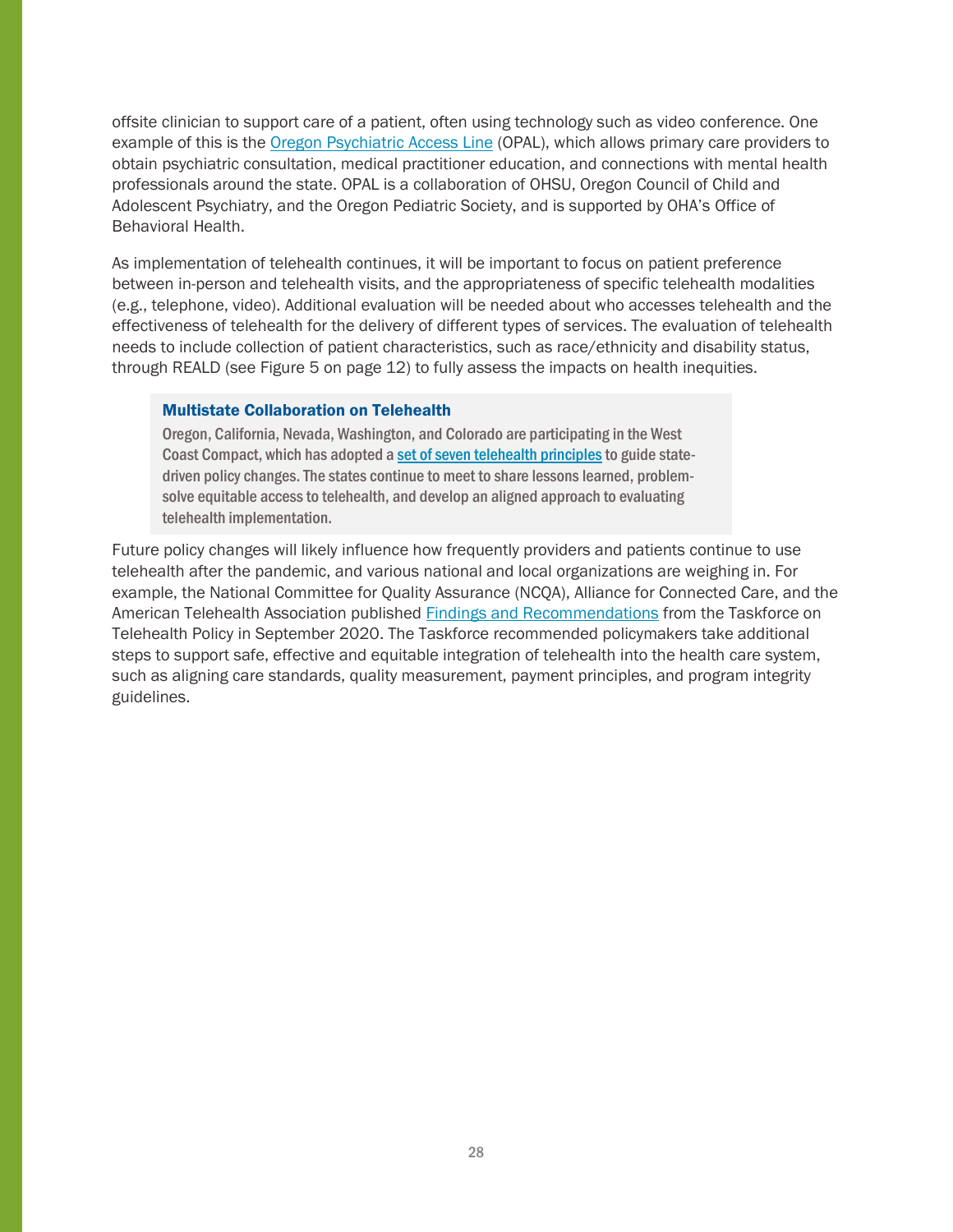offsite clinician to support care of a patient, often using technology such as video conference. One example of this is the [Oregon Psychiatric Access Line](https://www.ohsu.edu/school-of-medicine/child-and-adolescent-psychiatry/oregon-psychiatric-access-line) (OPAL), which allows primary care providers to obtain psychiatric consultation, medical practitioner education, and connections with mental health professionals around the state. OPAL is a collaboration of OHSU, Oregon Council of Child and Adolescent Psychiatry, and the Oregon Pediatric Society, and is supported by OHA's Office of Behavioral Health.

As implementation of telehealth continues, it will be important to focus on patient preference between in-person and telehealth visits, and the appropriateness of specific telehealth modalities (e.g., telephone, video). Additional evaluation will be needed about who accesses telehealth and the effectiveness of telehealth for the delivery of different types of services. The evaluation of telehealth needs to include collection of patient characteristics, such as race/ethnicity and disability status, through REALD (see Figure 5 on page 12) to fully assess the impacts on health inequities.

#### Multistate Collaboration on Telehealth

Oregon, California, Nevada, Washington, and Colorado are participating in the West Coast Compact, which has adopted a set of seven telehealth principles to guide statedriven policy changes. The states continue to meet to share lessons learned, problemsolve equitable access to telehealth, and develop an aligned approach to evaluating telehealth implementation.

Future policy changes will likely influence how frequently providers and patients continue to use telehealth after the pandemic, and various national and local organizations are weighing in. For example, the National Committee for Quality Assurance (NCQA), Alliance for Connected Care, and the American Telehealth Association published [Findings and Recommendations](https://www.ncqa.org/programs/data-and-information-technology/telehealth/taskforce-on-telehealth-policy/taskforce-on-telehealth-policy-ttp-findings-and-recommendations/) from the Taskforce on Telehealth Policy in September 2020. The Taskforce recommended policymakers take additional steps to support safe, effective and equitable integration of telehealth into the health care system, such as aligning care standards, quality measurement, payment principles, and program integrity guidelines.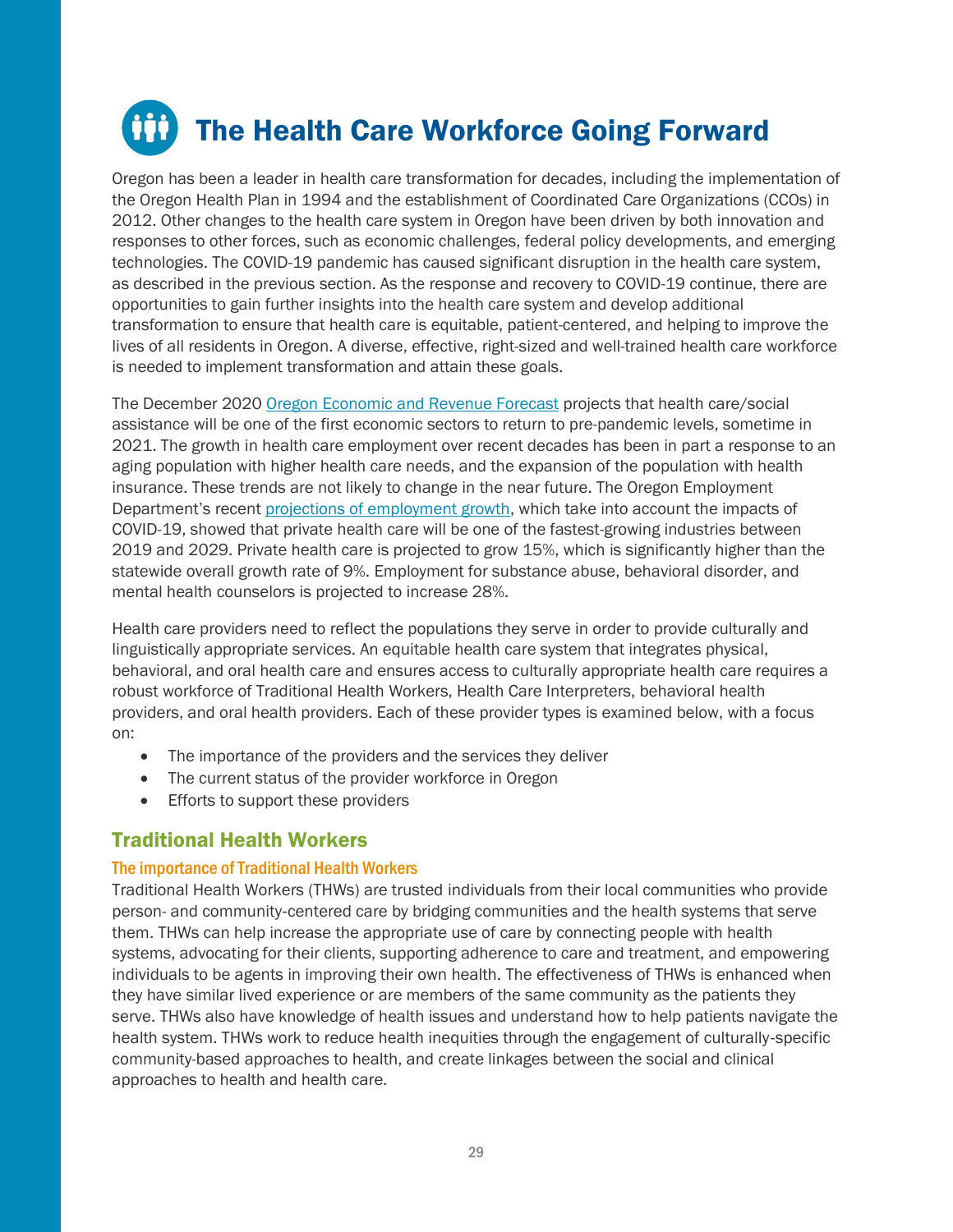# <span id="page-28-0"></span>**The Health Care Workforce Going Forward**

Oregon has been a leader in health care transformation for decades, including the implementation of the Oregon Health Plan in 1994 and the establishment of Coordinated Care Organizations (CCOs) in 2012. Other changes to the health care system in Oregon have been driven by both innovation and responses to other forces, such as economic challenges, federal policy developments, and emerging technologies. The COVID-19 pandemic has caused significant disruption in the health care system, as described in the previous section. As the response and recovery to COVID-19 continue, there are opportunities to gain further insights into the health care system and develop additional transformation to ensure that health care is equitable, patient-centered, and helping to improve the lives of all residents in Oregon. A diverse, effective, right-sized and well-trained health care workforce is needed to implement transformation and attain these goals.

The December 2020 [Oregon Economic and Revenue Forecast](https://www.oregon.gov/das/OEA/Documents/forecast1220.pdf) projects that health care/social assistance will be one of the first economic sectors to return to pre-pandemic levels, sometime in 2021. The growth in health care employment over recent decades has been in part a response to an aging population with higher health care needs, and the expansion of the population with health insurance. These trends are not likely to change in the near future. The Oregon Employment Department's recent [projections of employment growth,](https://www.qualityinfo.org/projections#1) which take into account the impacts of COVID-19, showed that private health care will be one of the fastest-growing industries between 2019 and 2029. Private health care is projected to grow 15%, which is significantly higher than the statewide overall growth rate of 9%. Employment for substance abuse, behavioral disorder, and mental health counselors is projected to increase 28%.

Health care providers need to reflect the populations they serve in order to provide culturally and linguistically appropriate services. An equitable health care system that integrates physical, behavioral, and oral health care and ensures access to culturally appropriate health care requires a robust workforce of Traditional Health Workers, Health Care Interpreters, behavioral health providers, and oral health providers. Each of these provider types is examined below, with a focus on:

- The importance of the providers and the services they deliver
- The current status of the provider workforce in Oregon
- Efforts to support these providers

## <span id="page-28-1"></span>Traditional Health Workers

### The importance of Traditional Health Workers

Traditional Health Workers (THWs) are trusted individuals from their local communities who provide person- and community‐centered care by bridging communities and the health systems that serve them. THWs can help increase the appropriate use of care by connecting people with health systems, advocating for their clients, supporting adherence to care and treatment, and empowering individuals to be agents in improving their own health. The effectiveness of THWs is enhanced when they have similar lived experience or are members of the same community as the patients they serve. THWs also have knowledge of health issues and understand how to help patients navigate the health system. THWs work to reduce health inequities through the engagement of culturally‐specific community-based approaches to health, and create linkages between the social and clinical approaches to health and health care.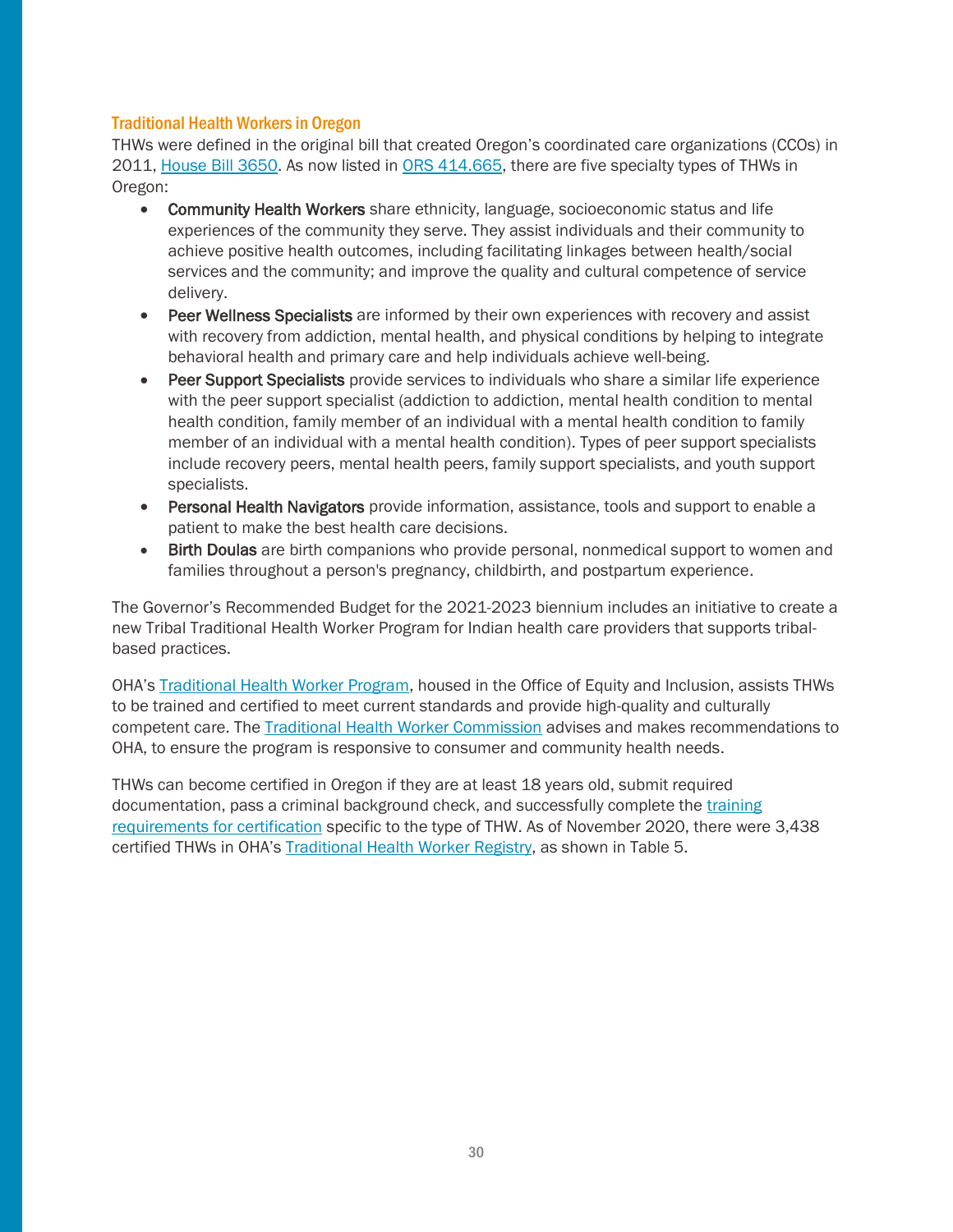#### Traditional Health Workers in Oregon

THWs were defined in the original bill that created Oregon's coordinated care organizations (CCOs) in 2011, [House Bill 3650.](https://olis.oregonlegislature.gov/liz/2011R1/Downloads/MeasureDocument/HB3650/C-Engrossed) As now listed in [ORS 414.665,](https://www.oregonlaws.org/ors/414.665) there are five specialty types of THWs in Oregon:

- Community Health Workers share ethnicity, language, socioeconomic status and life experiences of the community they serve. They assist individuals and their community to achieve positive health outcomes, including facilitating linkages between health/social services and the community; and improve the quality and cultural competence of service delivery.
- Peer Wellness Specialists are informed by their own experiences with recovery and assist with recovery from addiction, mental health, and physical conditions by helping to integrate behavioral health and primary care and help individuals achieve well-being.
- Peer Support Specialists provide services to individuals who share a similar life experience with the peer support specialist (addiction to addiction, mental health condition to mental health condition, family member of an individual with a mental health condition to family member of an individual with a mental health condition). Types of peer support specialists include recovery peers, mental health peers, family support specialists, and youth support specialists.
- Personal Health Navigators provide information, assistance, tools and support to enable a patient to make the best health care decisions.
- Birth Doulas are birth companions who provide personal, nonmedical support to women and families throughout a person's pregnancy, childbirth, and postpartum experience.

The Governor's Recommended Budget for the 2021-2023 biennium includes an initiative to create a new Tribal Traditional Health Worker Program for Indian health care providers that supports tribalbased practices.

OHA's [Traditional Health Worker Program,](https://www.oregon.gov/oha/OEI/Pages/index.aspx) housed in the Office of Equity and Inclusion, assists THWs to be trained and certified to meet current standards and provide high-quality and culturally competent care. The [Traditional Health Worker Commission](https://www.oregon.gov/oha/OEI/Pages/THW-Commission-Subcommittee.aspx) advises and makes recommendations to OHA, to ensure the program is responsive to consumer and community health needs.

THWs can become certified in Oregon if they are at least 18 years old, submit required documentation, pass a criminal background check, and successfully complete the [training](https://www.oregon.gov/oha/OEI/Pages/How-to-Become-a-THW.aspx)  [requirements for certification](https://www.oregon.gov/oha/OEI/Pages/How-to-Become-a-THW.aspx) specific to the type of THW. As of November 2020, there were 3,438 certified THWs in OHA's [Traditional Health Worker Registry,](https://traditionalhealthworkerregistry.oregon.gov/) as shown in Table 5.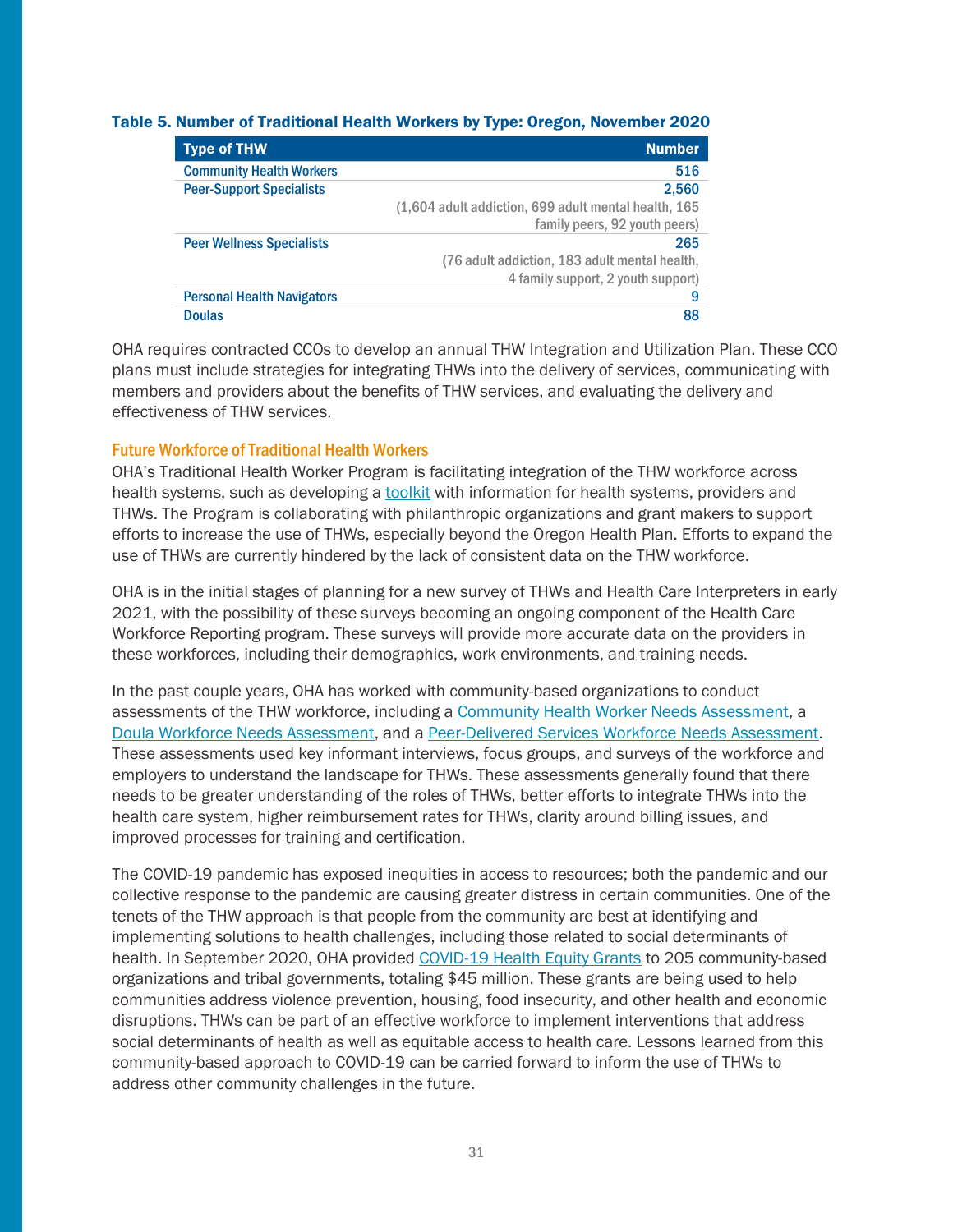#### Table 5. Number of Traditional Health Workers by Type: Oregon, November 2020

| <b>Type of THW</b>                | <b>Number</b>                                        |
|-----------------------------------|------------------------------------------------------|
| <b>Community Health Workers</b>   | 516                                                  |
| <b>Peer-Support Specialists</b>   | 2,560                                                |
|                                   | (1,604 adult addiction, 699 adult mental health, 165 |
|                                   | family peers, 92 youth peers)                        |
| <b>Peer Wellness Specialists</b>  | 265                                                  |
|                                   | (76 adult addiction, 183 adult mental health,        |
|                                   | 4 family support, 2 youth support)                   |
| <b>Personal Health Navigators</b> | 9                                                    |
| <b>Doulas</b>                     | 88                                                   |

OHA requires contracted CCOs to develop an annual THW Integration and Utilization Plan. These CCO plans must include strategies for integrating THWs into the delivery of services, communicating with members and providers about the benefits of THW services, and evaluating the delivery and effectiveness of THW services.

#### Future Workforce of Traditional Health Workers

OHA's Traditional Health Worker Program is facilitating integration of the THW workforce across health systems, such as developing [a toolkit](https://www.oregon.gov/oha/OEI/Pages/Information-for-Health-Systems,-Providers,-and-THW%27s.aspx) with information for health systems, providers and THWs. The Program is collaborating with philanthropic organizations and grant makers to support efforts to increase the use of THWs, especially beyond the Oregon Health Plan. Efforts to expand the use of THWs are currently hindered by the lack of consistent data on the THW workforce.

OHA is in the initial stages of planning for a new survey of THWs and Health Care Interpreters in early 2021, with the possibility of these surveys becoming an ongoing component of the Health Care Workforce Reporting program. These surveys will provide more accurate data on the providers in these workforces, including their demographics, work environments, and training needs.

In the past couple years, OHA has worked with community-based organizations to conduct assessments of the THW workforce, including a [Community Health Worker Needs Assessment,](https://www.oregon.gov/oha/OEI/Documents/2018-11-29_ORCHWA%20CHW%20Statewide%20Needs%20Assessment%20Report_FINAL.pdf) a [Doula Workforce Needs Assessment,](https://www.oregon.gov/oha/OEI/Documents/Doula%20Workforce%20Needs%20Assesment%20Full%20Report%202018.pdf) and a [Peer-Delivered Services Workforce Needs Assessment.](https://static1.squarespace.com/static/5a0de0f94c0dbf779166a592/t/5f9ca67b41d2a92c7ab2aa78/1604101778817/PDS+Needs+Assessment+Report+with+Appendices+-+FINAL.pdf) These assessments used key informant interviews, focus groups, and surveys of the workforce and employers to understand the landscape for THWs. These assessments generally found that there needs to be greater understanding of the roles of THWs, better efforts to integrate THWs into the health care system, higher reimbursement rates for THWs, clarity around billing issues, and improved processes for training and certification.

The COVID-19 pandemic has exposed inequities in access to resources; both the pandemic and our collective response to the pandemic are causing greater distress in certain communities. One of the tenets of the THW approach is that people from the community are best at identifying and implementing solutions to health challenges, including those related to social determinants of health. In September 2020, OHA provided [COVID-19 Health Equity Grants](https://www.oregon.gov/oha/covid19/Pages/equity-grants-covid-19.aspx) to 205 community-based organizations and tribal governments, totaling \$45 million. These grants are being used to help communities address violence prevention, housing, food insecurity, and other health and economic disruptions. THWs can be part of an effective workforce to implement interventions that address social determinants of health as well as equitable access to health care. Lessons learned from this community-based approach to COVID-19 can be carried forward to inform the use of THWs to address other community challenges in the future.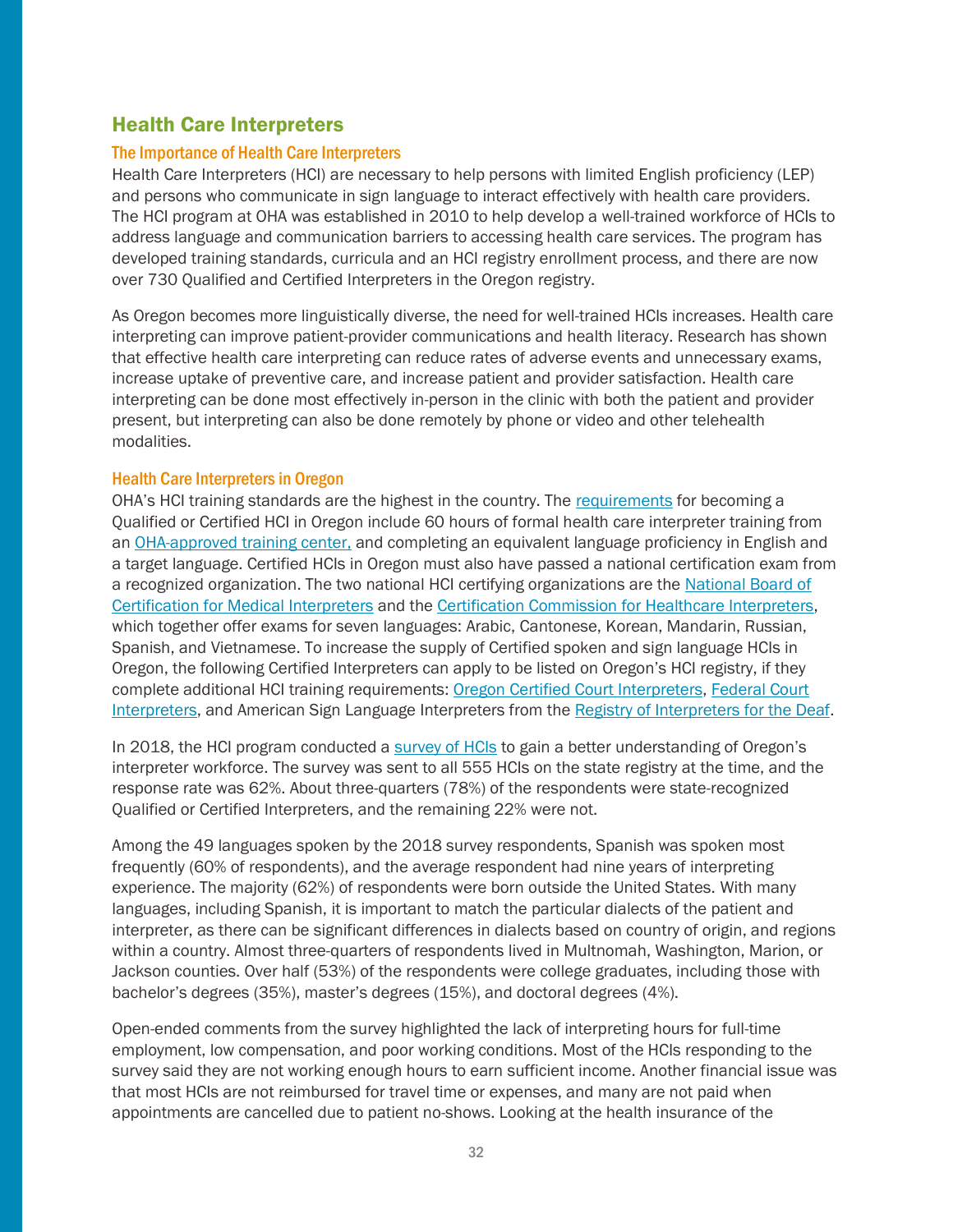## <span id="page-31-0"></span>Health Care Interpreters

#### The Importance of Health Care Interpreters

Health Care Interpreters (HCI) are necessary to help persons with limited English proficiency (LEP) and persons who communicate in sign language to interact effectively with health care providers. The HCI program at OHA was established in 2010 to help develop a well-trained workforce of HCIs to address language and communication barriers to accessing health care services. The program has developed training standards, curricula and an HCI registry enrollment process, and there are now over 730 Qualified and Certified Interpreters in the Oregon registry.

As Oregon becomes more linguistically diverse, the need for well-trained HCIs increases. Health care interpreting can improve patient-provider communications and health literacy. Research has shown that effective health care interpreting can reduce rates of adverse events and unnecessary exams, increase uptake of preventive care, and increase patient and provider satisfaction. Health care interpreting can be done most effectively in-person in the clinic with both the patient and provider present, but interpreting can also be done remotely by phone or video and other telehealth modalities.

#### Health Care Interpreters in Oregon

OHA's HCI training standards are the highest in the country. The [requirements](https://www.oregon.gov/oha/OEI/Documents/Oregon%20Health%20Care%20Interpreter%20Program%20Requirements_.pdf) for becoming a Qualified or Certified HCI in Oregon include 60 hours of formal health care interpreter training from an [OHA-approved training center,](https://www.oregon.gov/oha/oei/Pages/hci-training.aspx) and completing an equivalent language proficiency in English and a target language. Certified HCIs in Oregon must also have passed a national certification exam from a recognized organization. The two national HCI certifying organizations are the [National Board of](https://www.certifiedmedicalinterpreters.org/)  [Certification for Medical Interpreters](https://www.certifiedmedicalinterpreters.org/) and the [Certification Commission for Healthcare Interpreters,](https://cchicertification.org/) which together offer exams for seven languages: Arabic, Cantonese, Korean, Mandarin, Russian, Spanish, and Vietnamese. To increase the supply of Certified spoken and sign language HCIs in Oregon, the following Certified Interpreters can apply to be listed on Oregon's HCI registry, if they complete additional HCI training requirements: Oregon Certified [Court Interpreters,](https://www.courts.oregon.gov/programs/interpreters/want-to-be/Pages/default.aspx) [Federal Court](https://www.uscourts.gov/services-forms/federal-court-interpreters/federal-court-interpreter-certification-examination)  [Interpreters,](https://www.uscourts.gov/services-forms/federal-court-interpreters/federal-court-interpreter-certification-examination) and American Sign Language Interpreters from the [Registry of Interpreters for the Deaf.](https://rid.org/rid-certification-overview/)

In 2018, the HCI program conducted a [survey of HCIs](https://sharedsystems.dhsoha.state.or.us/DHSForms/Served/le2442.pdf) to gain a better understanding of Oregon's interpreter workforce. The survey was sent to all 555 HCIs on the state registry at the time, and the response rate was 62%. About three-quarters (78%) of the respondents were state-recognized Qualified or Certified Interpreters, and the remaining 22% were not.

Among the 49 languages spoken by the 2018 survey respondents, Spanish was spoken most frequently (60% of respondents), and the average respondent had nine years of interpreting experience. The majority (62%) of respondents were born outside the United States. With many languages, including Spanish, it is important to match the particular dialects of the patient and interpreter, as there can be significant differences in dialects based on country of origin, and regions within a country. Almost three-quarters of respondents lived in Multnomah, Washington, Marion, or Jackson counties. Over half (53%) of the respondents were college graduates, including those with bachelor's degrees (35%), master's degrees (15%), and doctoral degrees (4%).

Open-ended comments from the survey highlighted the lack of interpreting hours for full-time employment, low compensation, and poor working conditions. Most of the HCIs responding to the survey said they are not working enough hours to earn sufficient income. Another financial issue was that most HCIs are not reimbursed for travel time or expenses, and many are not paid when appointments are cancelled due to patient no-shows. Looking at the health insurance of the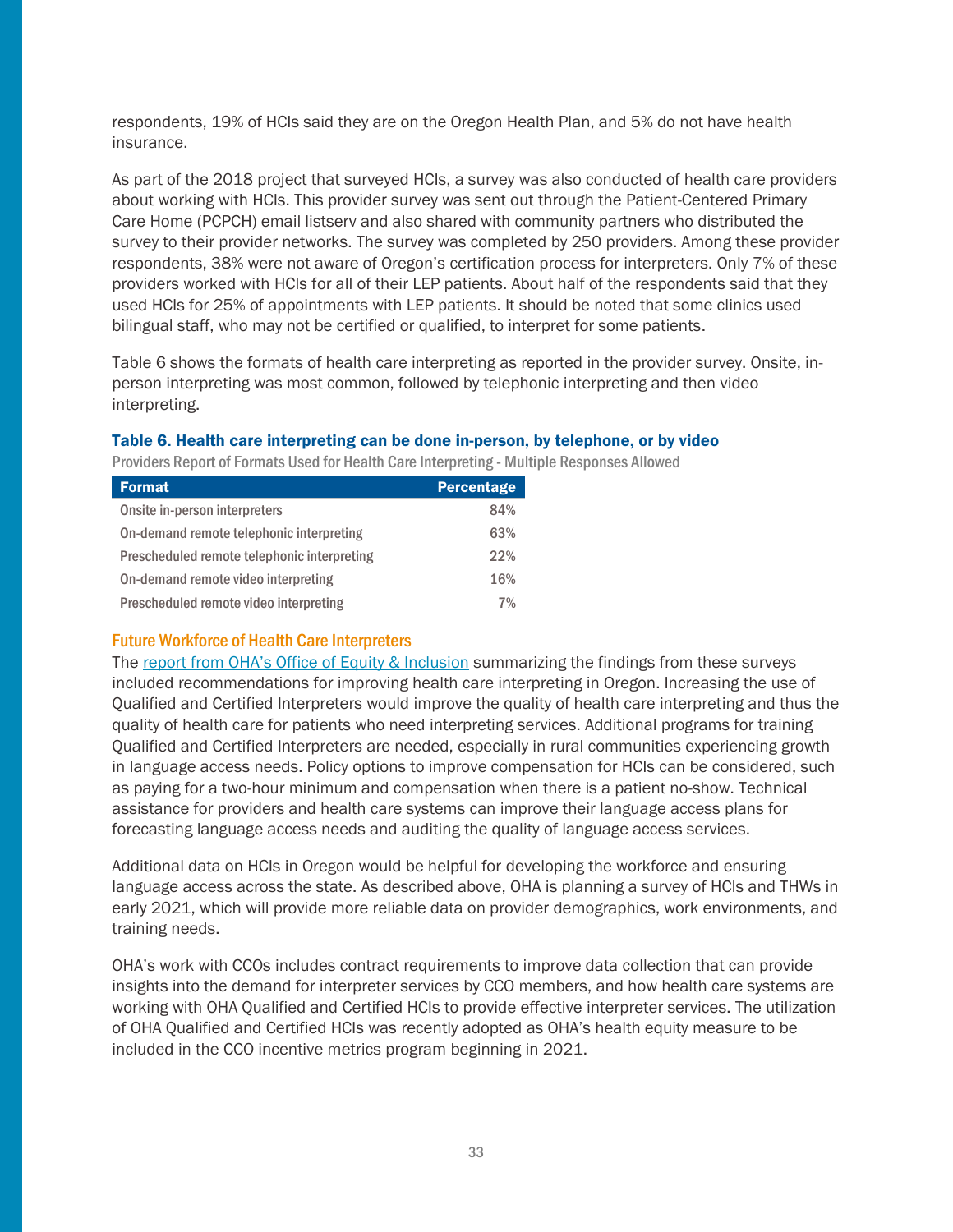respondents, 19% of HCIs said they are on the Oregon Health Plan, and 5% do not have health insurance.

As part of the 2018 project that surveyed HCIs, a survey was also conducted of health care providers about working with HCIs. This provider survey was sent out through the Patient-Centered Primary Care Home (PCPCH) email listserv and also shared with community partners who distributed the survey to their provider networks. The survey was completed by 250 providers. Among these provider respondents, 38% were not aware of Oregon's certification process for interpreters. Only 7% of these providers worked with HCIs for all of their LEP patients. About half of the respondents said that they used HCIs for 25% of appointments with LEP patients. It should be noted that some clinics used bilingual staff, who may not be certified or qualified, to interpret for some patients.

Table 6 shows the formats of health care interpreting as reported in the provider survey. Onsite, inperson interpreting was most common, followed by telephonic interpreting and then video interpreting.

#### Table 6. Health care interpreting can be done in-person, by telephone, or by video

| Format                                      | <b>Percentage</b> |
|---------------------------------------------|-------------------|
| Onsite in-person interpreters               | 84%               |
| On-demand remote telephonic interpreting    | 63%               |
| Prescheduled remote telephonic interpreting | 22%               |

On-demand remote video interpreting 16% Prescheduled remote video interpreting metal of the 7%

Providers Report of Formats Used for Health Care Interpreting - Multiple Responses Allowed

#### Future Workforce of Health Care Interpreters

The report [from OHA's Office of Equity & Inclusion](https://sharedsystems.dhsoha.state.or.us/DHSForms/Served/le2442.pdf) summarizing the findings from these surveys included recommendations for improving health care interpreting in Oregon. Increasing the use of Qualified and Certified Interpreters would improve the quality of health care interpreting and thus the quality of health care for patients who need interpreting services. Additional programs for training Qualified and Certified Interpreters are needed, especially in rural communities experiencing growth in language access needs. Policy options to improve compensation for HCIs can be considered, such as paying for a two-hour minimum and compensation when there is a patient no-show. Technical assistance for providers and health care systems can improve their language access plans for forecasting language access needs and auditing the quality of language access services.

Additional data on HCIs in Oregon would be helpful for developing the workforce and ensuring language access across the state. As described above, OHA is planning a survey of HCIs and THWs in early 2021, which will provide more reliable data on provider demographics, work environments, and training needs.

OHA's work with CCOs includes contract requirements to improve data collection that can provide insights into the demand for interpreter services by CCO members, and how health care systems are working with OHA Qualified and Certified HCIs to provide effective interpreter services. The utilization of OHA Qualified and Certified HCIs was recently adopted as OHA's health equity measure to be included in the CCO incentive metrics program beginning in 2021.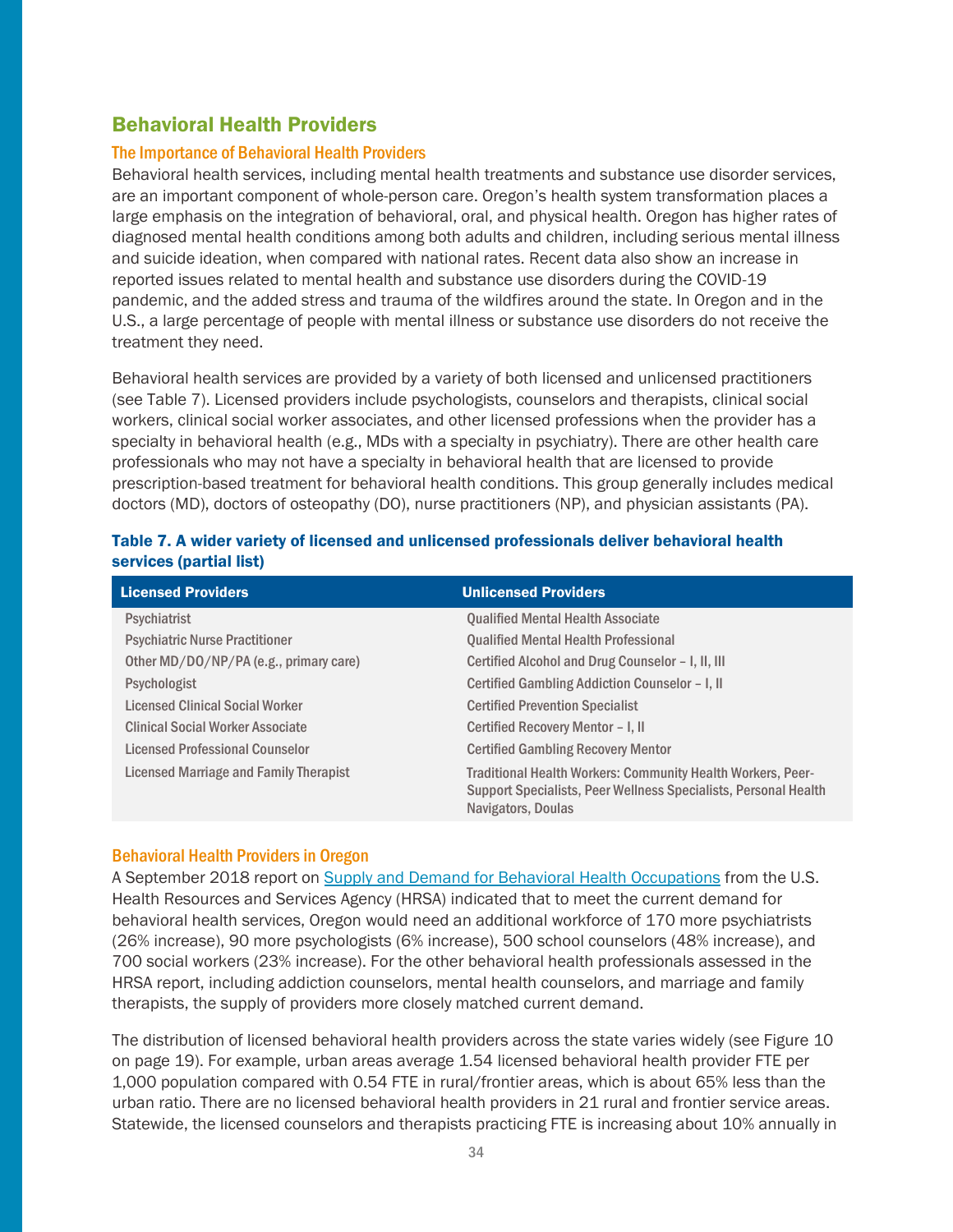## <span id="page-33-0"></span>Behavioral Health Providers

#### The Importance of Behavioral Health Providers

Behavioral health services, including mental health treatments and substance use disorder services, are an important component of whole-person care. Oregon's health system transformation places a large emphasis on the integration of behavioral, oral, and physical health. Oregon has higher rates of diagnosed mental health conditions among both adults and children, including serious mental illness and suicide ideation, when compared with national rates. Recent data also show an increase in reported issues related to mental health and substance use disorders during the COVID-19 pandemic, and the added stress and trauma of the wildfires around the state. In Oregon and in the U.S., a large percentage of people with mental illness or substance use disorders do not receive the treatment they need.

Behavioral health services are provided by a variety of both licensed and unlicensed practitioners (see Table 7). Licensed providers include psychologists, counselors and therapists, clinical social workers, clinical social worker associates, and other licensed professions when the provider has a specialty in behavioral health (e.g., MDs with a specialty in psychiatry). There are other health care professionals who may not have a specialty in behavioral health that are licensed to provide prescription-based treatment for behavioral health conditions. This group generally includes medical doctors (MD), doctors of osteopathy (DO), nurse practitioners (NP), and physician assistants (PA).

| <b>Licensed Providers</b>               | <b>Unlicensed Providers</b>                                                                                                                                 |
|-----------------------------------------|-------------------------------------------------------------------------------------------------------------------------------------------------------------|
| <b>Psychiatrist</b>                     | <b>Qualified Mental Health Associate</b>                                                                                                                    |
| <b>Psychiatric Nurse Practitioner</b>   | <b>Qualified Mental Health Professional</b>                                                                                                                 |
| Other MD/DO/NP/PA (e.g., primary care)  | Certified Alcohol and Drug Counselor - I, II, III                                                                                                           |
| Psychologist                            | Certified Gambling Addiction Counselor - I, II                                                                                                              |
| <b>Licensed Clinical Social Worker</b>  | <b>Certified Prevention Specialist</b>                                                                                                                      |
| <b>Clinical Social Worker Associate</b> | Certified Recovery Mentor - I, II                                                                                                                           |
| Licensed Professional Counselor         | <b>Certified Gambling Recovery Mentor</b>                                                                                                                   |
| Licensed Marriage and Family Therapist  | <b>Traditional Health Workers: Community Health Workers, Peer-</b><br>Support Specialists, Peer Wellness Specialists, Personal Health<br>Navigators, Doulas |

#### Table 7. A wider variety of licensed and unlicensed professionals deliver behavioral health services (partial list)

#### Behavioral Health Providers in Oregon

A September 2018 report on [Supply and Demand for Behavioral Health Occupations](https://bhw.hrsa.gov/sites/default/files/bureau-health-workforce/data-research/state-level-estimates-report-2018.pdf) from the U.S. Health Resources and Services Agency (HRSA) indicated that to meet the current demand for behavioral health services, Oregon would need an additional workforce of 170 more psychiatrists (26% increase), 90 more psychologists (6% increase), 500 school counselors (48% increase), and 700 social workers (23% increase). For the other behavioral health professionals assessed in the HRSA report, including addiction counselors, mental health counselors, and marriage and family therapists, the supply of providers more closely matched current demand.

The distribution of licensed behavioral health providers across the state varies widely (see Figure 10 on page 19). For example, urban areas average 1.54 licensed behavioral health provider FTE per 1,000 population compared with 0.54 FTE in rural/frontier areas, which is about 65% less than the urban ratio. There are no licensed behavioral health providers in 21 rural and frontier service areas. Statewide, the licensed counselors and therapists practicing FTE is increasing about 10% annually in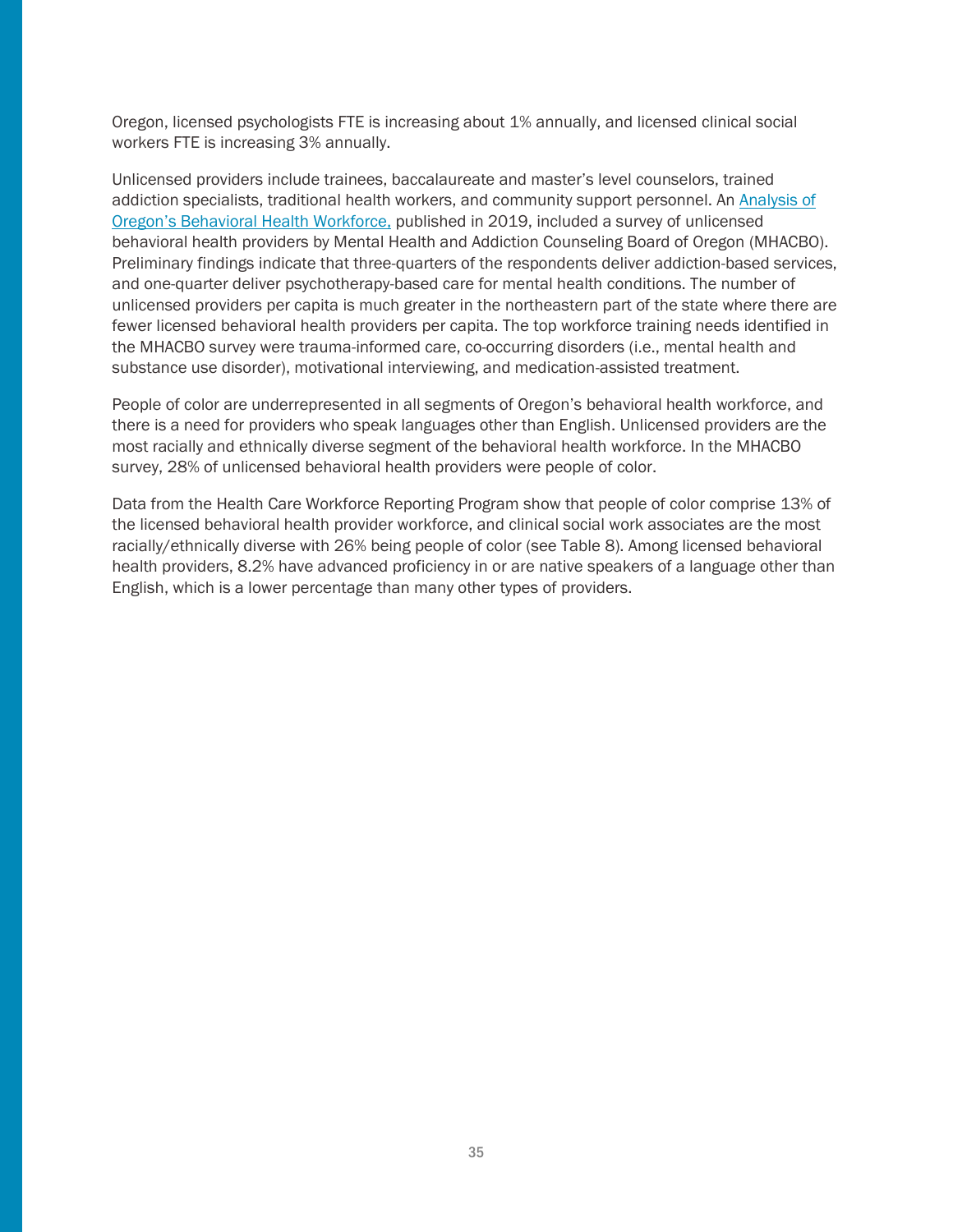Oregon, licensed psychologists FTE is increasing about 1% annually, and licensed clinical social workers FTE is increasing 3% annually.

Unlicensed providers include trainees, baccalaureate and master's level counselors, trained addiction specialists, traditional health workers, and community support personnel. An [Analysis of](https://www.oregon.gov/oha/HPA/HP-HCW/Documents/Analysis-%20Oregon-BH%20Workforce-July-2019.pdf)  [Oregon's Behavioral Health Workforce](https://www.oregon.gov/oha/HPA/HP-HCW/Documents/Analysis-%20Oregon-BH%20Workforce-July-2019.pdf), published in 2019, included a survey of unlicensed behavioral health providers by Mental Health and Addiction Counseling Board of Oregon (MHACBO). Preliminary findings indicate that three-quarters of the respondents deliver addiction-based services, and one-quarter deliver psychotherapy-based care for mental health conditions. The number of unlicensed providers per capita is much greater in the northeastern part of the state where there are fewer licensed behavioral health providers per capita. The top workforce training needs identified in the MHACBO survey were trauma-informed care, co-occurring disorders (i.e., mental health and substance use disorder), motivational interviewing, and medication-assisted treatment.

People of color are underrepresented in all segments of Oregon's behavioral health workforce, and there is a need for providers who speak languages other than English. Unlicensed providers are the most racially and ethnically diverse segment of the behavioral health workforce. In the MHACBO survey, 28% of unlicensed behavioral health providers were people of color.

Data from the Health Care Workforce Reporting Program show that people of color comprise 13% of the licensed behavioral health provider workforce, and clinical social work associates are the most racially/ethnically diverse with 26% being people of color (see Table 8). Among licensed behavioral health providers, 8.2% have advanced proficiency in or are native speakers of a language other than English, which is a lower percentage than many other types of providers.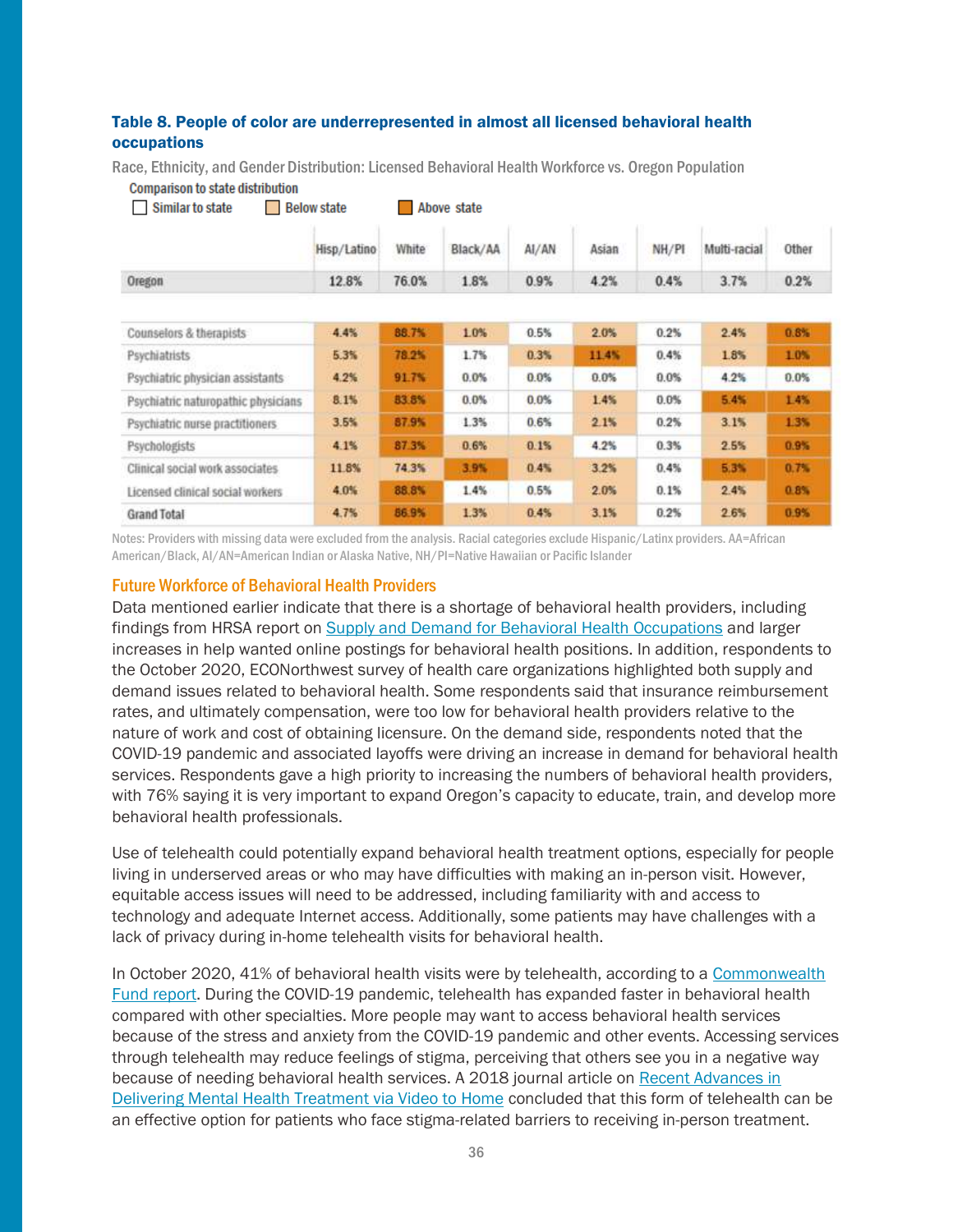#### Table 8. People of color are underrepresented in almost all licensed behavioral health occupations

Race, Ethnicity, and Gender Distribution: Licensed Behavioral Health Workforce vs. Oregon Population

|  | <b>Comparison to state distribution</b> |
|--|-----------------------------------------|
|--|-----------------------------------------|

| <b>Similar to state</b>             | <b>Below state</b> |       | Above state |       |       |       |              |       |
|-------------------------------------|--------------------|-------|-------------|-------|-------|-------|--------------|-------|
|                                     | Hisp/Latino        | White | Black/AA    | AI/AN | Asian | NH/PI | Multi-racial | Other |
| Oregon                              | 12.8%              | 76.0% | 1.8%        | 0.9%  | 4.2%  | 0.4%  | 3.7%         | 0.2%  |
|                                     |                    |       |             |       |       |       |              |       |
| Counselors & therapists             | 4.4%               | 88.7% | 1.0%        | 0.5%  | 2.0%  | 0.2%  | 2.4%         | 0.8%  |
| <b>Psychiatrists</b>                | 5.3%               | 78.2% | 1.7%        | 0.3%  | 11.4% | 0.4%  | 1.8%         | 1.0%  |
| Psychiatric physician assistants    | 4.2%               | 91.7% | 0.0%        | 0.0%  | 0.0%  | 0.0%  | 4.2%         | 0.0%  |
| Psychiatric naturopathic physicians | 8.1%               | 83.8% | 0.0%        | 0.0%  | 1.4%  | 0.0%  | 5.4%         | 1.4%  |
| Psychiatric nurse practitioners     | 3.5%               | 87.9% | 1.3%        | 0.6%  | 2.1%  | 0.2%  | 3.1%         | 1.3%  |
| Psychologists                       | 4.1%               | 87.3% | 0.6%        | 0.1%  | 4.2%  | 0.3%  | 2.5%         | 0.9%  |
| Clinical social work associates     | 11.8%              | 74.3% | 3.9%        | 0.4%  | 3.2%  | 0.4%  | 5.3%         | 0.7%  |
| Licensed clinical social workers    | 4.0%               | 88.8% | 1.4%        | 0.5%  | 2.0%  | 0.1%  | 2.4%         | 0.8%  |
| <b>Grand Total</b>                  | 4.7%               | 86.9% | 1.3%        | 0.4%  | 3.1%  | 0.2%  | 2.6%         | 0.9%  |

Notes: Providers with missing data were excluded from the analysis. Racial categories exclude Hispanic/Latinx providers. AA=African American/Black, AI/AN=American Indian or Alaska Native, NH/PI=Native Hawaiian or Pacific Islander

#### Future Workforce of Behavioral Health Providers

Data mentioned earlier indicate that there is a shortage of behavioral health providers, including findings from HRSA report on [Supply and Demand for Behavioral Health Occupations](https://bhw.hrsa.gov/sites/default/files/bureau-health-workforce/data-research/state-level-estimates-report-2018.pdf) and larger increases in help wanted online postings for behavioral health positions. In addition, respondents to the October 2020, ECONorthwest survey of health care organizations highlighted both supply and demand issues related to behavioral health. Some respondents said that insurance reimbursement rates, and ultimately compensation, were too low for behavioral health providers relative to the nature of work and cost of obtaining licensure. On the demand side, respondents noted that the COVID-19 pandemic and associated layoffs were driving an increase in demand for behavioral health services. Respondents gave a high priority to increasing the numbers of behavioral health providers, with 76% saying it is very important to expand Oregon's capacity to educate, train, and develop more behavioral health professionals.

Use of telehealth could potentially expand behavioral health treatment options, especially for people living in underserved areas or who may have difficulties with making an in-person visit. However, equitable access issues will need to be addressed, including familiarity with and access to technology and adequate Internet access. Additionally, some patients may have challenges with a lack of privacy during in-home telehealth visits for behavioral health.

In October 2020, 41% of behavioral health visits were by telehealth, according to a [Commonwealth](https://www.commonwealthfund.org/publications/2020/oct/impact-covid-19-pandemic-outpatient-care-visits-return-prepandemic-levels)  [Fund report.](https://www.commonwealthfund.org/publications/2020/oct/impact-covid-19-pandemic-outpatient-care-visits-return-prepandemic-levels) During the COVID-19 pandemic, telehealth has expanded faster in behavioral health compared with other specialties. More people may want to access behavioral health services because of the stress and anxiety from the COVID-19 pandemic and other events. Accessing services through telehealth may reduce feelings of stigma, perceiving that others see you in a negative way because of needing behavioral health services. A 2018 journal article on Recent Advances in [Delivering Mental Health Treatment via Video to Home](https://pubmed.ncbi.nlm.nih.gov/30032337/) concluded that this form of telehealth can be an effective option for patients who face stigma-related barriers to receiving in-person treatment.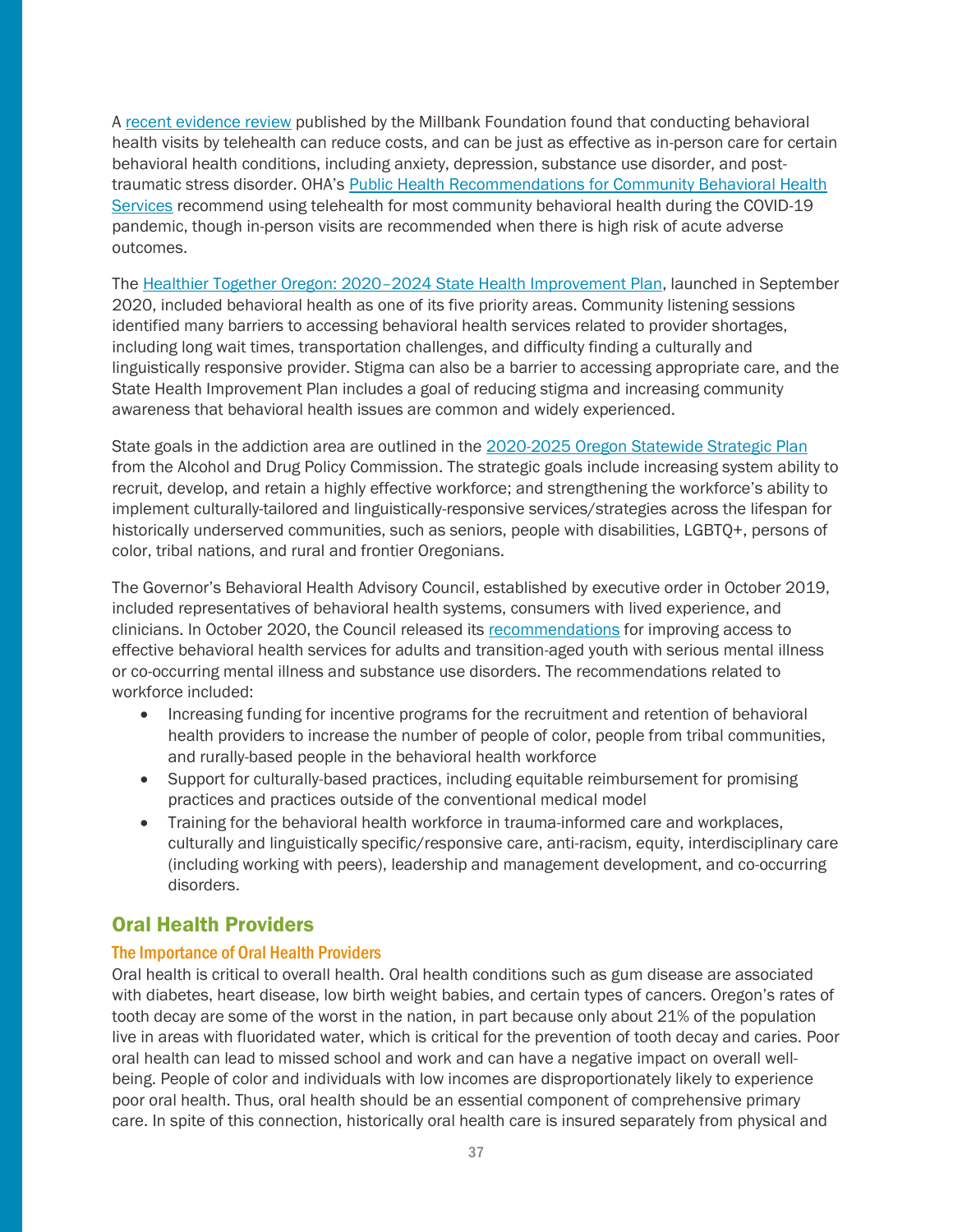A [recent evidence review](https://www.milbank.org/wp-content/uploads/2020/10/TeleBH_B_6.pdf) published by the Millbank Foundation found that conducting behavioral health visits by telehealth can reduce costs, and can be just as effective as in-person care for certain behavioral health conditions, including anxiety, depression, substance use disorder, and posttraumatic stress disorder. OHA's [Public Health Recommendations for Community Behavioral Health](https://sharedsystems.dhsoha.state.or.us/DHSForms/Served/le3224.pdf)  [Services](https://sharedsystems.dhsoha.state.or.us/DHSForms/Served/le3224.pdf) recommend using telehealth for most community behavioral health during the COVID-19 pandemic, though in-person visits are recommended when there is high risk of acute adverse outcomes.

The Healthier Together Oregon: 2020–[2024 State Health Improvement Plan,](https://www.oregon.gov/oha/PH/ABOUT/Documents/ship/2020-2024/Healthier-Together-Oregon-full-plan.pdf) launched in September 2020, included behavioral health as one of its five priority areas. Community listening sessions identified many barriers to accessing behavioral health services related to provider shortages, including long wait times, transportation challenges, and difficulty finding a culturally and linguistically responsive provider. Stigma can also be a barrier to accessing appropriate care, and the State Health Improvement Plan includes a goal of reducing stigma and increasing community awareness that behavioral health issues are common and widely experienced.

State goals in the addiction area are outlined in the [2020-2025 Oregon Statewide Strategic Plan](https://www.oregon.gov/adpc/SiteAssets/Pages/index/Statewide%20Strategic%20Plan%20Final%20(1).pdf) from the Alcohol and Drug Policy Commission. The strategic goals include increasing system ability to recruit, develop, and retain a highly effective workforce; and strengthening the workforce's ability to implement culturally-tailored and linguistically-responsive services/strategies across the lifespan for historically underserved communities, such as seniors, people with disabilities, LGBTO+, persons of color, tribal nations, and rural and frontier Oregonians.

The Governor's Behavioral Health Advisory Council, established by executive order in October 2019, included representatives of behavioral health systems, consumers with lived experience, and clinicians. In October 2020, the Council released its [recommendations](https://www.oregon.gov/oha/HSD/BHP/Documents/GBHAC-Final-Recommendations-Report.pdf) for improving access to effective behavioral health services for adults and transition-aged youth with serious mental illness or co-occurring mental illness and substance use disorders. The recommendations related to workforce included:

- Increasing funding for incentive programs for the recruitment and retention of behavioral health providers to increase the number of people of color, people from tribal communities, and rurally-based people in the behavioral health workforce
- Support for culturally-based practices, including equitable reimbursement for promising practices and practices outside of the conventional medical model
- Training for the behavioral health workforce in trauma-informed care and workplaces, culturally and linguistically specific/responsive care, anti-racism, equity, interdisciplinary care (including working with peers), leadership and management development, and co-occurring disorders.

## <span id="page-36-0"></span>Oral Health Providers

#### The Importance of Oral Health Providers

Oral health is critical to overall health. Oral health conditions such as gum disease are associated with diabetes, heart disease, low birth weight babies, and certain types of cancers. Oregon's rates of tooth decay are some of the worst in the nation, in part because only about 21% of the population live in areas with fluoridated water, which is critical for the prevention of tooth decay and caries. Poor oral health can lead to missed school and work and can have a negative impact on overall wellbeing. People of color and individuals with low incomes are disproportionately likely to experience poor oral health. Thus, oral health should be an essential component of comprehensive primary care. In spite of this connection, historically oral health care is insured separately from physical and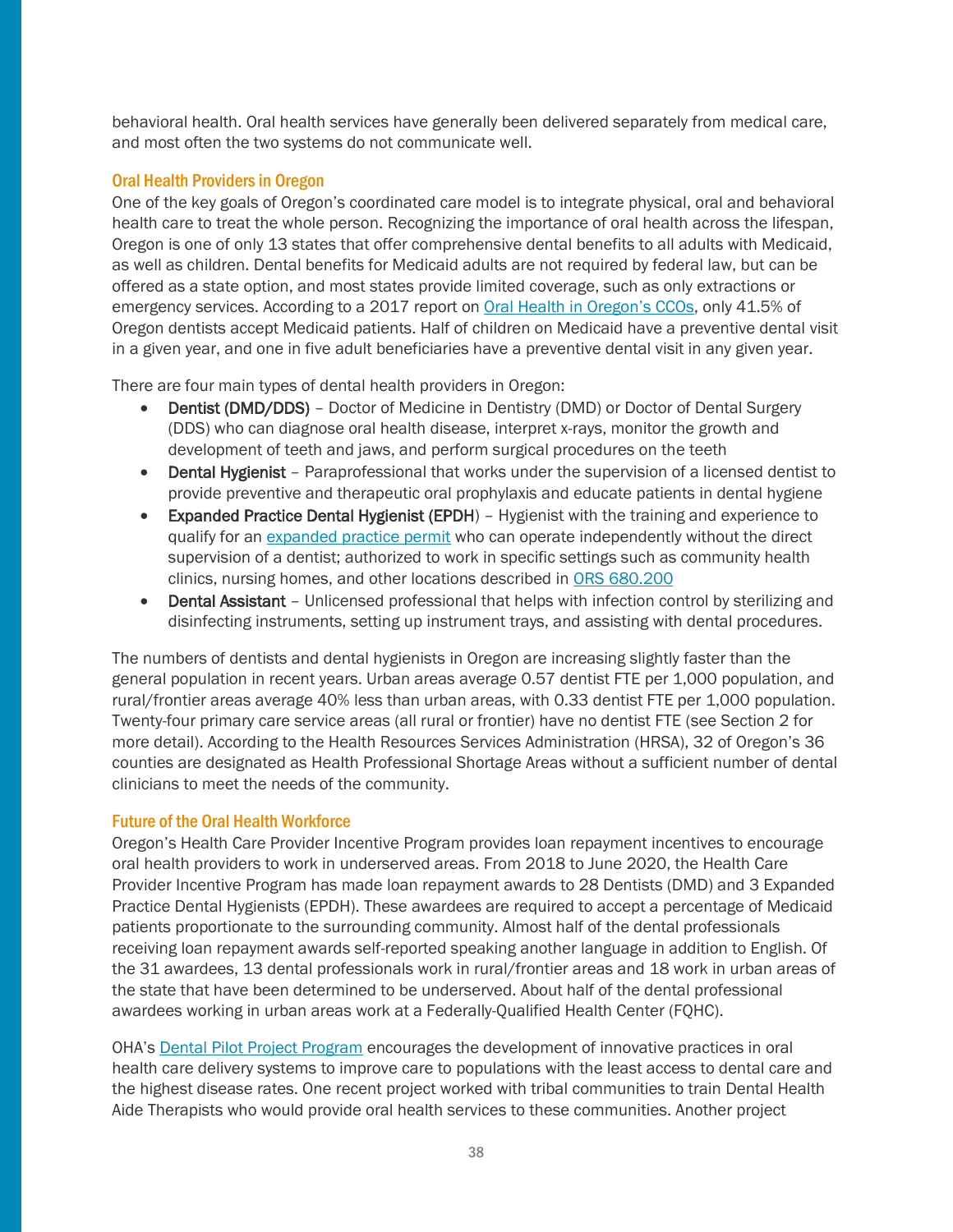behavioral health. Oral health services have generally been delivered separately from medical care, and most often the two systems do not communicate well.

#### Oral Health Providers in Oregon

One of the key goals of Oregon's coordinated care model is to integrate physical, oral and behavioral health care to treat the whole person. Recognizing the importance of oral health across the lifespan, Oregon is one of only 13 states that offer comprehensive dental benefits to all adults with Medicaid, as well as children. Dental benefits for Medicaid adults are not required by federal law, but can be offered as a state option, and most states provide limited coverage, such as only extractions or emergency services. According to a 2017 report on [Oral Health in Oregon's CCOs](https://www.oregon.gov/oha/PH/ABOUT/Documents/phab/CCO-Oral-Health-Metrics-Report.pdf), only 41.5% of Oregon dentists accept Medicaid patients. Half of children on Medicaid have a preventive dental visit in a given year, and one in five adult beneficiaries have a preventive dental visit in any given year.

There are four main types of dental health providers in Oregon:

- Dentist (DMD/DDS) Doctor of Medicine in Dentistry (DMD) or Doctor of Dental Surgery (DDS) who can diagnose oral health disease, interpret x-rays, monitor the growth and development of teeth and jaws, and perform surgical procedures on the teeth
- Dental Hygienist Paraprofessional that works under the supervision of a licensed dentist to provide preventive and therapeutic oral prophylaxis and educate patients in dental hygiene
- Expanded Practice Dental Hygienist (EPDH) Hygienist with the training and experience to qualify for an [expanded practice permit](https://www.oregon.gov/dentistry/Documents/Form_Dental_Hygiene_Expanded_Practice_Permit_Pathway_1.pdf) who can operate independently without the direct supervision of a dentist; authorized to work in specific settings such as community health clinics, nursing homes, and other locations described in ORS [680.200](https://www.oregonlaws.org/ors/680.200)
- Dental Assistant Unlicensed professional that helps with infection control by sterilizing and disinfecting instruments, setting up instrument trays, and assisting with dental procedures.

The numbers of dentists and dental hygienists in Oregon are increasing slightly faster than the general population in recent years. Urban areas average 0.57 dentist FTE per 1,000 population, and rural/frontier areas average 40% less than urban areas, with 0.33 dentist FTE per 1,000 population. Twenty-four primary care service areas (all rural or frontier) have no dentist FTE (see Section 2 for more detail). According to the Health Resources Services Administration (HRSA), 32 of Oregon's 36 counties are designated as Health Professional Shortage Areas without a sufficient number of dental clinicians to meet the needs of the community.

#### Future of the Oral Health Workforce

Oregon's Health Care Provider Incentive Program provides loan repayment incentives to encourage oral health providers to work in underserved areas. From 2018 to June 2020, the Health Care Provider Incentive Program has made loan repayment awards to 28 Dentists (DMD) and 3 Expanded Practice Dental Hygienists (EPDH). These awardees are required to accept a percentage of Medicaid patients proportionate to the surrounding community. Almost half of the dental professionals receiving loan repayment awards self-reported speaking another language in addition to English. Of the 31 awardees, 13 dental professionals work in rural/frontier areas and 18 work in urban areas of the state that have been determined to be underserved. About half of the dental professional awardees working in urban areas work at a Federally-Qualified Health Center (FQHC).

OHA's [Dental Pilot Project Program](https://www.oregon.gov/OHA/PH/PreventionWellness/oralhealth/dentalpilotprojects/Pages/index.aspx) encourages the development of innovative practices in oral health care delivery systems to improve care to populations with the least access to dental care and the highest disease rates. One recent project worked with tribal communities to train Dental Health Aide Therapists who would provide oral health services to these communities. Another project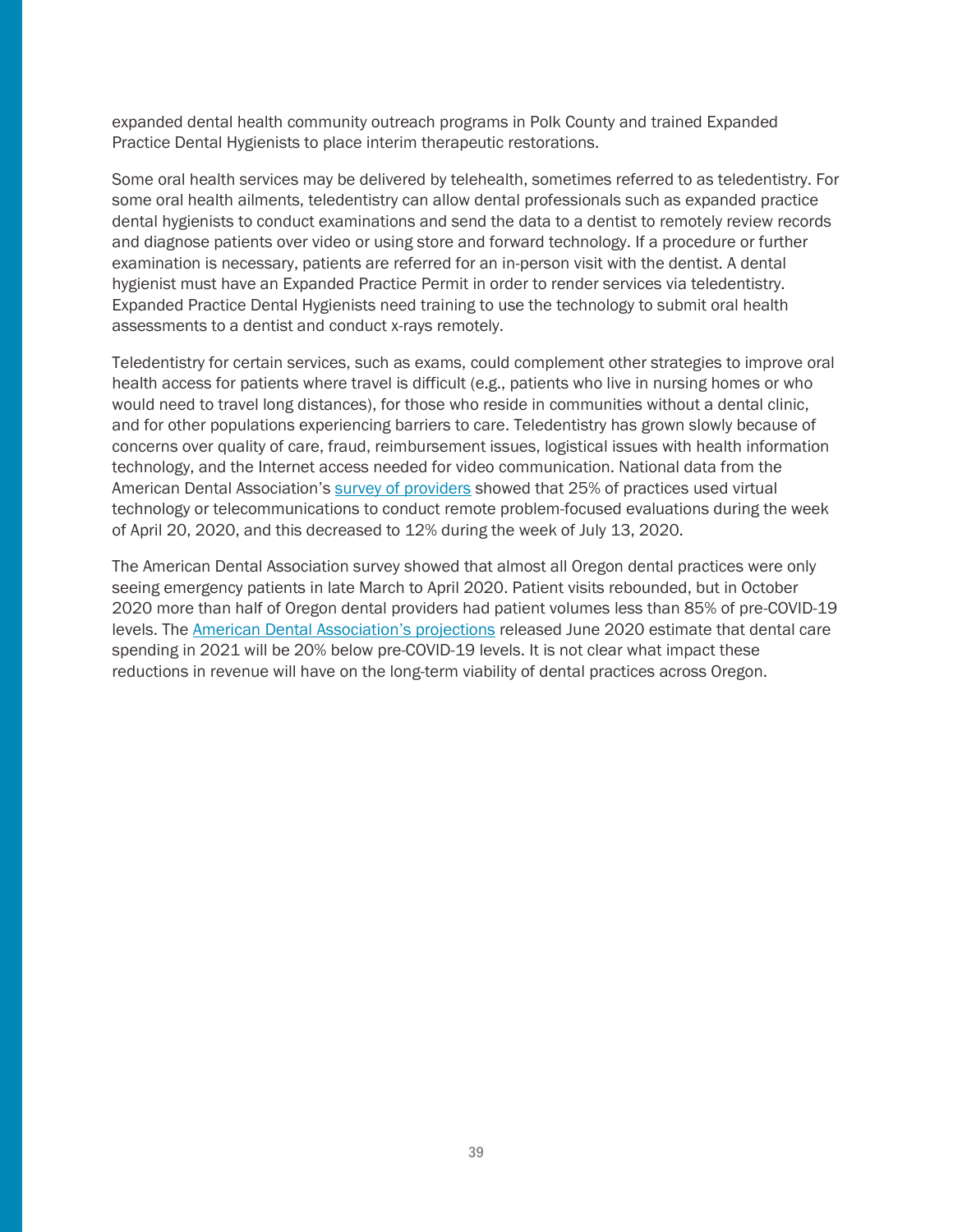expanded dental health community outreach programs in Polk County and trained Expanded Practice Dental Hygienists to place interim therapeutic restorations.

Some oral health services may be delivered by telehealth, sometimes referred to as teledentistry. For some oral health ailments, teledentistry can allow dental professionals such as expanded practice dental hygienists to conduct examinations and send the data to a dentist to remotely review records and diagnose patients over video or using store and forward technology. If a procedure or further examination is necessary, patients are referred for an in-person visit with the dentist. A dental hygienist must have an Expanded Practice Permit in order to render services via teledentistry. Expanded Practice Dental Hygienists need training to use the technology to submit oral health assessments to a dentist and conduct x-rays remotely.

Teledentistry for certain services, such as exams, could complement other strategies to improve oral health access for patients where travel is difficult (e.g., patients who live in nursing homes or who would need to travel long distances), for those who reside in communities without a dental clinic, and for other populations experiencing barriers to care. Teledentistry has grown slowly because of concerns over quality of care, fraud, reimbursement issues, logistical issues with health information technology, and the Internet access needed for video communication. National data from the American Dental Association's [survey of providers](https://www.ada.org/~/media/ADA/Science%20and%20Research/HPI/Files/HPI_COVID_Webinar_July_2020_2.pdf?la=en) showed that 25% of practices used virtual technology or telecommunications to conduct remote problem-focused evaluations during the week of April 20, 2020, and this decreased to 12% during the week of July 13, 2020.

The American Dental Association survey showed that almost all Oregon dental practices were only seeing emergency patients in late March to April 2020. Patient visits rebounded, but in October 2020 more than half of Oregon dental providers had patient volumes less than 85% of pre-COVID-19 levels. The [American Dental Association](https://www.ada.org/~/media/ADA/Science%20and%20Research/HPI/Files/HPIBrief_0620_1.pdf?la=en)'s projections released June 2020 estimate that dental care spending in 2021 will be 20% below pre-COVID-19 levels. It is not clear what impact these reductions in revenue will have on the long-term viability of dental practices across Oregon.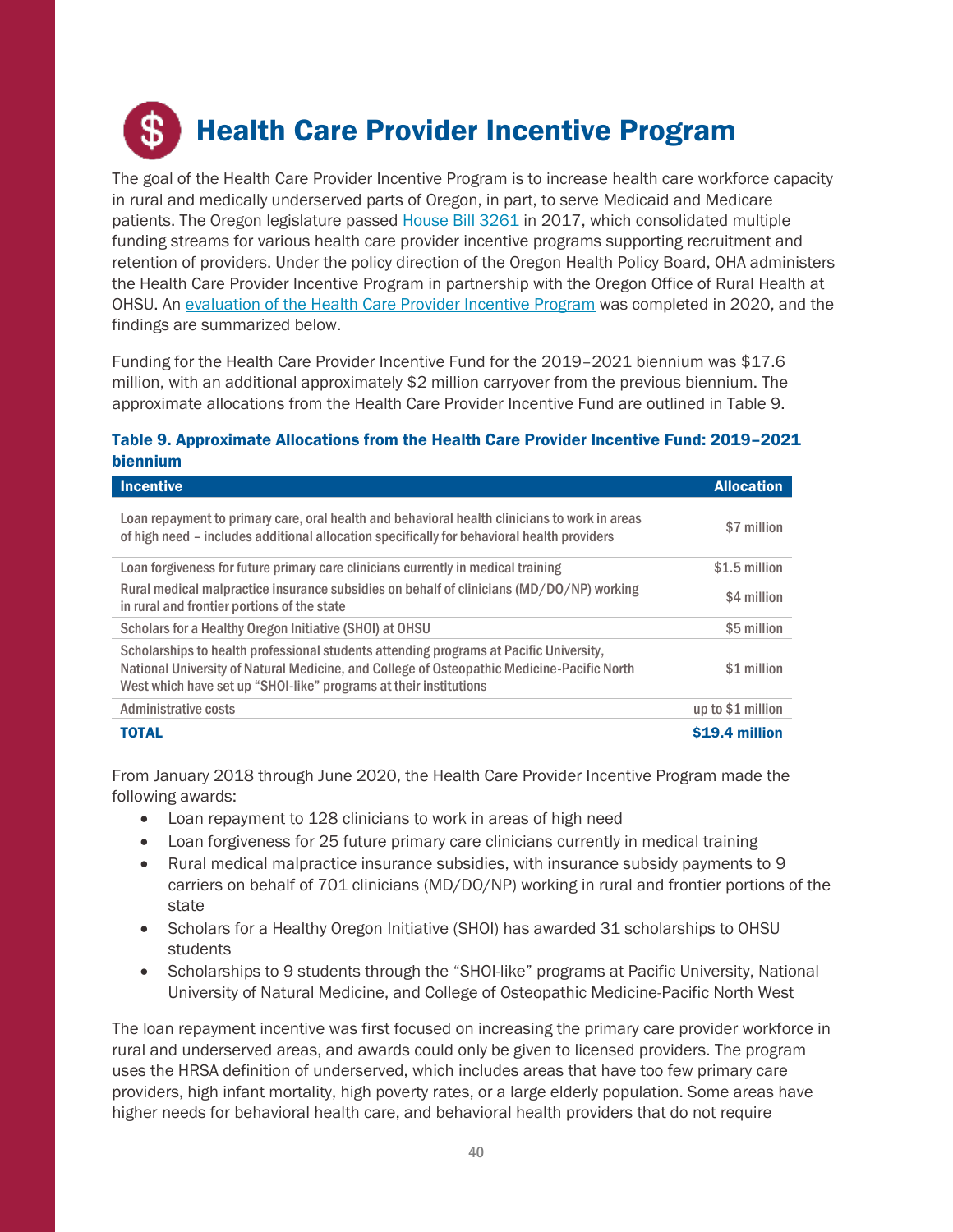## <span id="page-39-0"></span>Health Care Provider Incentive Program

The goal of the Health Care Provider Incentive Program is to increase health care workforce capacity in rural and medically underserved parts of Oregon, in part, to serve Medicaid and Medicare patients. The Oregon legislature passed House [Bill 3261](https://olis.leg.state.or.us/liz/2019R1/Downloads/MeasureDocument/HB3261/A-Engrossed) in 2017, which consolidated multiple funding streams for various health care provider incentive programs supporting recruitment and retention of providers. Under the policy direction of the Oregon Health Policy Board, OHA administers the Health Care Provider Incentive Program in partnership with the Oregon Office of Rural Health at OHSU. An [evaluation of the Health Care Provider Incentive Program](https://www.oregon.gov/oha/OHPB/MtgDocs/6.%20Health%20Care%20Provider%20Incentive%20Program%20Evaluation.pdf) was completed in 2020, and the findings are summarized below.

Funding for the Health Care Provider Incentive Fund for the 2019–2021 biennium was \$17.6 million, with an additional approximately \$2 million carryover from the previous biennium. The approximate allocations from the Health Care Provider Incentive Fund are outlined in Table 9.

#### Table 9. Approximate Allocations from the Health Care Provider Incentive Fund: 2019–2021 biennium

| <b>Incentive</b>                                                                                                                                                                                                                                          | <b>Allocation</b> |
|-----------------------------------------------------------------------------------------------------------------------------------------------------------------------------------------------------------------------------------------------------------|-------------------|
| Loan repayment to primary care, oral health and behavioral health clinicians to work in areas<br>of high need – includes additional allocation specifically for behavioral health providers                                                               | \$7 million       |
| Loan forgiveness for future primary care clinicians currently in medical training                                                                                                                                                                         | \$1.5 million     |
| Rural medical malpractice insurance subsidies on behalf of clinicians (MD/DO/NP) working<br>in rural and frontier portions of the state                                                                                                                   | \$4 million       |
| Scholars for a Healthy Oregon Initiative (SHOI) at OHSU                                                                                                                                                                                                   | \$5 million       |
| Scholarships to health professional students attending programs at Pacific University.<br>National University of Natural Medicine, and College of Osteopathic Medicine-Pacific North<br>West which have set up "SHOI-like" programs at their institutions | \$1 million       |
| Administrative costs                                                                                                                                                                                                                                      | up to \$1 million |
| TOTAL                                                                                                                                                                                                                                                     | \$19.4 million    |

From January 2018 through June 2020, the Health Care Provider Incentive Program made the following awards:

- Loan repayment to 128 clinicians to work in areas of high need
- Loan forgiveness for 25 future primary care clinicians currently in medical training
- Rural medical malpractice insurance subsidies, with insurance subsidy payments to 9 carriers on behalf of 701 clinicians (MD/DO/NP) working in rural and frontier portions of the state
- Scholars for a Healthy Oregon Initiative (SHOI) has awarded 31 scholarships to OHSU students
- Scholarships to 9 students through the "SHOI-like" programs at Pacific University, National University of Natural Medicine, and College of Osteopathic Medicine-Pacific North West

The loan repayment incentive was first focused on increasing the primary care provider workforce in rural and underserved areas, and awards could only be given to licensed providers. The program uses the HRSA definition of underserved, which includes areas that have too few primary care providers, high infant mortality, high poverty rates, or a large elderly population. Some areas have higher needs for behavioral health care, and behavioral health providers that do not require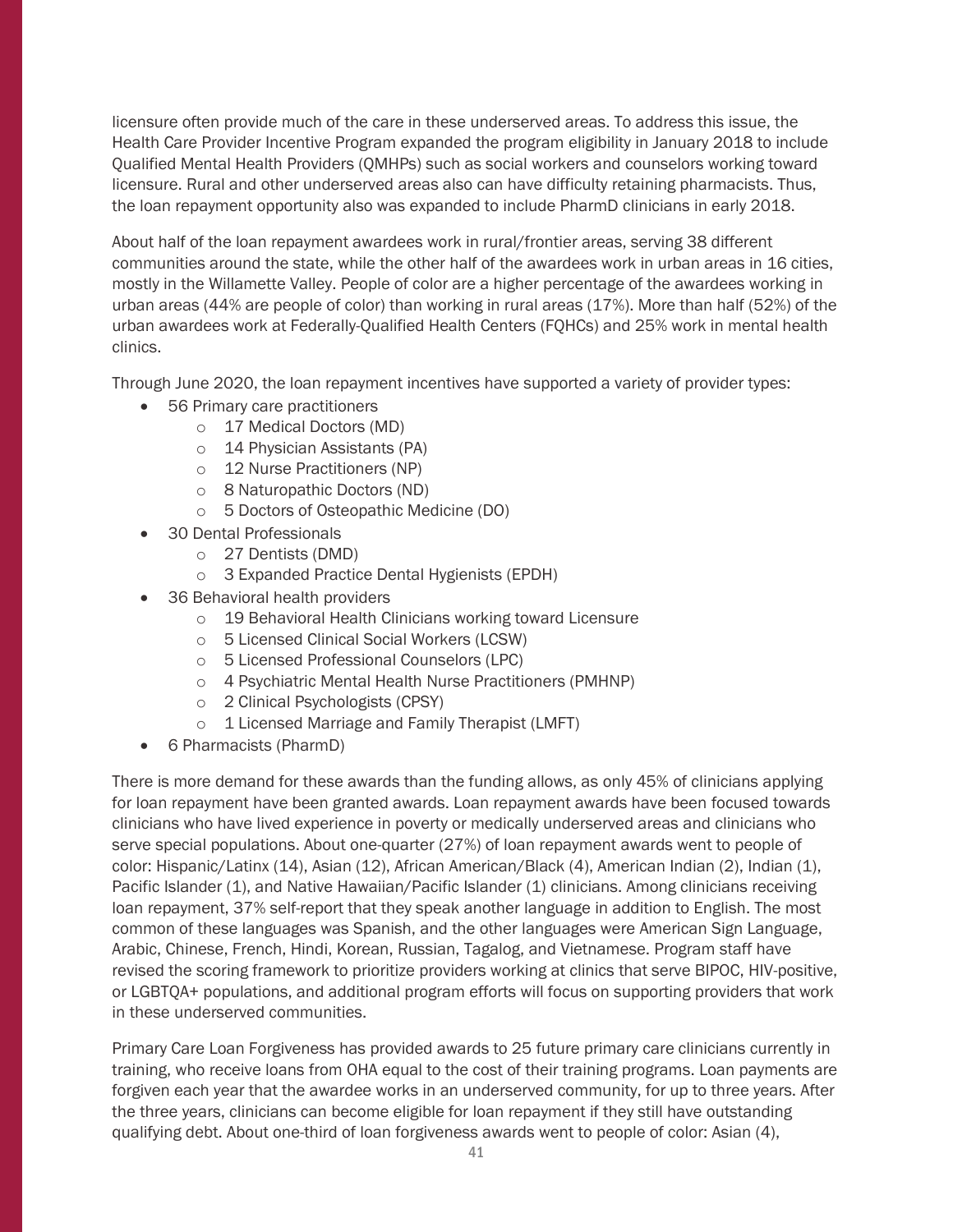licensure often provide much of the care in these underserved areas. To address this issue, the Health Care Provider Incentive Program expanded the program eligibility in January 2018 to include Qualified Mental Health Providers (QMHPs) such as social workers and counselors working toward licensure. Rural and other underserved areas also can have difficulty retaining pharmacists. Thus, the loan repayment opportunity also was expanded to include PharmD clinicians in early 2018.

About half of the loan repayment awardees work in rural/frontier areas, serving 38 different communities around the state, while the other half of the awardees work in urban areas in 16 cities, mostly in the Willamette Valley. People of color are a higher percentage of the awardees working in urban areas (44% are people of color) than working in rural areas (17%). More than half (52%) of the urban awardees work at Federally-Qualified Health Centers (FQHCs) and 25% work in mental health clinics.

Through June 2020, the loan repayment incentives have supported a variety of provider types:

- 56 Primary care practitioners
	- o 17 Medical Doctors (MD)
	- o 14 Physician Assistants (PA)
	- o 12 Nurse Practitioners (NP)
	- o 8 Naturopathic Doctors (ND)
	- o 5 Doctors of Osteopathic Medicine (DO)
- 30 Dental Professionals
	- o 27 Dentists (DMD)
	- o 3 Expanded Practice Dental Hygienists (EPDH)
- 36 Behavioral health providers
	- o 19 Behavioral Health Clinicians working toward Licensure
	- o 5 Licensed Clinical Social Workers (LCSW)
	- o 5 Licensed Professional Counselors (LPC)
	- o 4 Psychiatric Mental Health Nurse Practitioners (PMHNP)
	- o 2 Clinical Psychologists (CPSY)
	- o 1 Licensed Marriage and Family Therapist (LMFT)
- 6 Pharmacists (PharmD)

There is more demand for these awards than the funding allows, as only 45% of clinicians applying for loan repayment have been granted awards. Loan repayment awards have been focused towards clinicians who have lived experience in poverty or medically underserved areas and clinicians who serve special populations. About one-quarter (27%) of loan repayment awards went to people of color: Hispanic/Latinx (14), Asian (12), African American/Black (4), American Indian (2), Indian (1), Pacific Islander (1), and Native Hawaiian/Pacific Islander (1) clinicians. Among clinicians receiving loan repayment, 37% self-report that they speak another language in addition to English. The most common of these languages was Spanish, and the other languages were American Sign Language, Arabic, Chinese, French, Hindi, Korean, Russian, Tagalog, and Vietnamese. Program staff have revised the scoring framework to prioritize providers working at clinics that serve BIPOC, HIV-positive, or LGBTQA+ populations, and additional program efforts will focus on supporting providers that work in these underserved communities.

Primary Care Loan Forgiveness has provided awards to 25 future primary care clinicians currently in training, who receive loans from OHA equal to the cost of their training programs. Loan payments are forgiven each year that the awardee works in an underserved community, for up to three years. After the three years, clinicians can become eligible for loan repayment if they still have outstanding qualifying debt. About one-third of loan forgiveness awards went to people of color: Asian (4),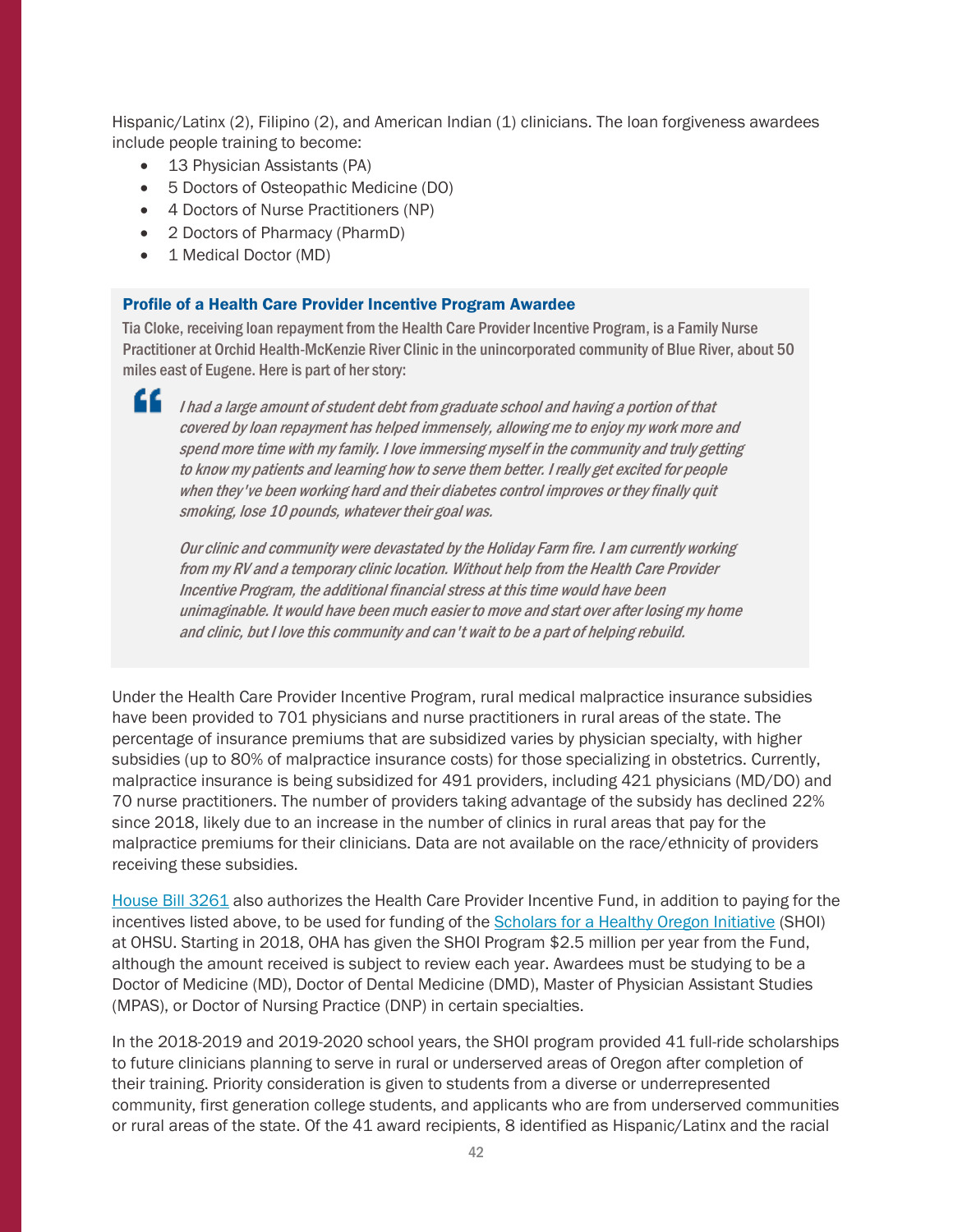Hispanic/Latinx (2), Filipino (2), and American Indian (1) clinicians. The loan forgiveness awardees include people training to become:

- 13 Physician Assistants (PA)
- 5 Doctors of Osteopathic Medicine (DO)
- 4 Doctors of Nurse Practitioners (NP)
- 2 Doctors of Pharmacy (PharmD)
- 1 Medical Doctor (MD)

#### Profile of a Health Care Provider Incentive Program Awardee

Tia Cloke, receiving loan repayment from the Health Care Provider Incentive Program, is a Family Nurse Practitioner at Orchid Health-McKenzie River Clinic in the unincorporated community of Blue River, about 50 miles east of Eugene. Here is part of her story:

66

I had a large amount of student debt from graduate school and having a portion of that covered by loan repayment has helped immensely, allowing me to enjoy my work more and spend more time with my family. I love immersing myself in the community and truly getting to know my patients and learning how to serve them better. I really get excited for people when they've been working hard and their diabetes control improves or they finally quit smoking, lose 10 pounds, whatever their goal was.

Our clinic and community were devastated by the Holiday Farm fire. I am currently working from my RV and a temporary clinic location. Without help from the Health Care Provider Incentive Program, the additional financial stress at this time would have been unimaginable. It would have been much easier to move and start over after losing my home and clinic, but I love this community and can't wait to be a part of helping rebuild.

Under the Health Care Provider Incentive Program, rural medical malpractice insurance subsidies have been provided to 701 physicians and nurse practitioners in rural areas of the state. The percentage of insurance premiums that are subsidized varies by physician specialty, with higher subsidies (up to 80% of malpractice insurance costs) for those specializing in obstetrics. Currently, malpractice insurance is being subsidized for 491 providers, including 421 physicians (MD/DO) and 70 nurse practitioners. The number of providers taking advantage of the subsidy has declined 22% since 2018, likely due to an increase in the number of clinics in rural areas that pay for the malpractice premiums for their clinicians. Data are not available on the race/ethnicity of providers receiving these subsidies.

[House Bill](https://olis.leg.state.or.us/liz/2019R1/Downloads/MeasureDocument/HB3261/A-Engrossed) 3261 also authorizes the Health Care Provider Incentive Fund, in addition to paying for the incentives listed above, to be used for funding of the [Scholars for a Healthy Oregon Initiative](https://www.ohsu.edu/education/scholars-healthy-oregon-initiative-shoi) (SHOI) at OHSU. Starting in 2018, OHA has given the SHOI Program \$2.5 million per year from the Fund, although the amount received is subject to review each year. Awardees must be studying to be a Doctor of Medicine (MD), Doctor of Dental Medicine (DMD), Master of Physician Assistant Studies (MPAS), or Doctor of Nursing Practice (DNP) in certain specialties.

In the 2018-2019 and 2019-2020 school years, the SHOI program provided 41 full-ride scholarships to future clinicians planning to serve in rural or underserved areas of Oregon after completion of their training. Priority consideration is given to students from a diverse or underrepresented community, first generation college students, and applicants who are from underserved communities or rural areas of the state. Of the 41 award recipients, 8 identified as Hispanic/Latinx and the racial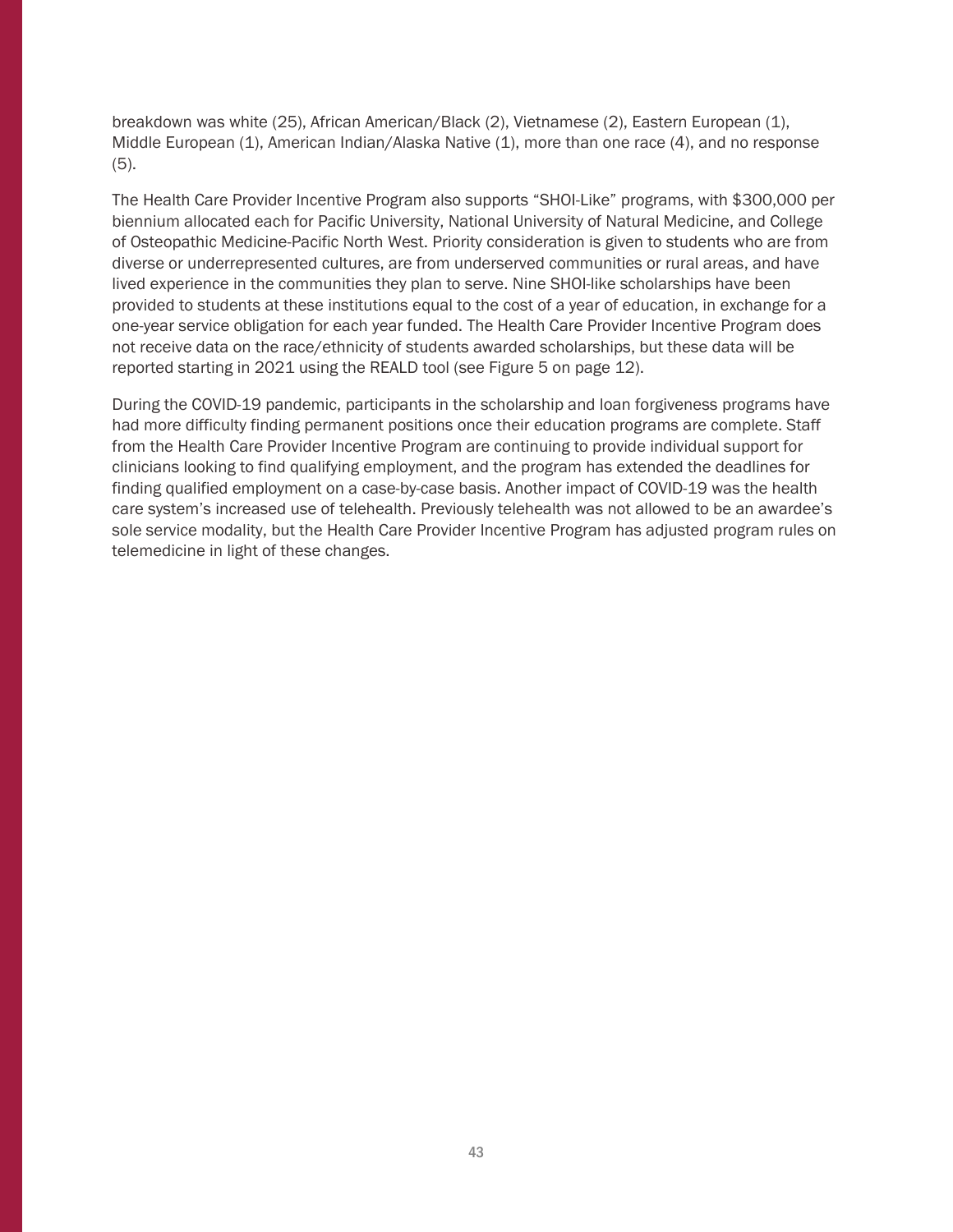breakdown was white (25), African American/Black (2), Vietnamese (2), Eastern European (1), Middle European (1), American Indian/Alaska Native (1), more than one race (4), and no response (5).

The Health Care Provider Incentive Program also supports "SHOI-Like" programs, with \$300,000 per biennium allocated each for Pacific University, National University of Natural Medicine, and College of Osteopathic Medicine-Pacific North West. Priority consideration is given to students who are from diverse or underrepresented cultures, are from underserved communities or rural areas, and have lived experience in the communities they plan to serve. Nine SHOI-like scholarships have been provided to students at these institutions equal to the cost of a year of education, in exchange for a one-year service obligation for each year funded. The Health Care Provider Incentive Program does not receive data on the race/ethnicity of students awarded scholarships, but these data will be reported starting in 2021 using the REALD tool (see Figure 5 on page 12).

During the COVID-19 pandemic, participants in the scholarship and loan forgiveness programs have had more difficulty finding permanent positions once their education programs are complete. Staff from the Health Care Provider Incentive Program are continuing to provide individual support for clinicians looking to find qualifying employment, and the program has extended the deadlines for finding qualified employment on a case-by-case basis. Another impact of COVID-19 was the health care system's increased use of telehealth. Previously telehealth was not allowed to be an awardee's sole service modality, but the Health Care Provider Incentive Program has adjusted program rules on telemedicine in light of these changes.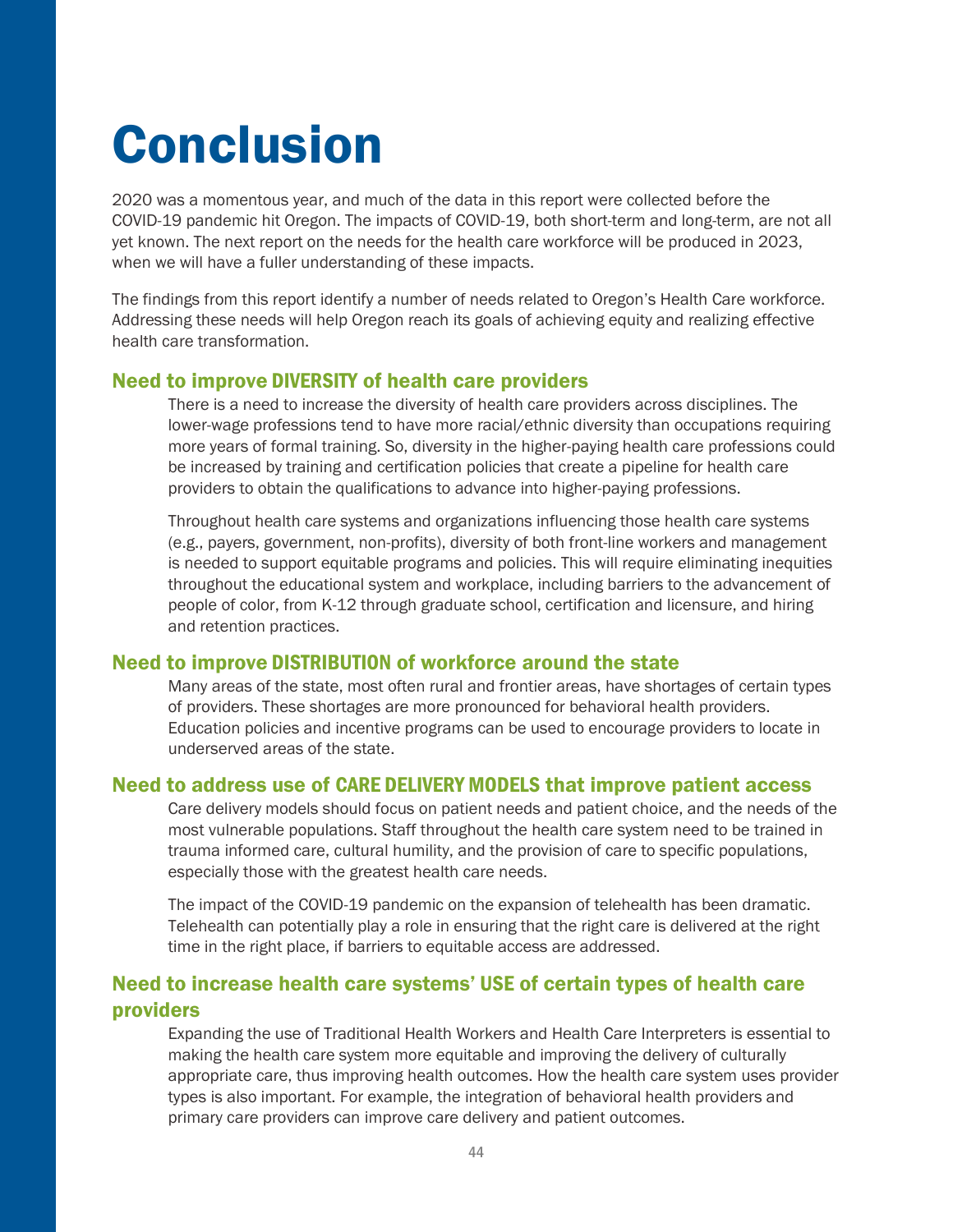# <span id="page-43-0"></span>Conclusion

2020 was a momentous year, and much of the data in this report were collected before the COVID-19 pandemic hit Oregon. The impacts of COVID-19, both short-term and long-term, are not all yet known. The next report on the needs for the health care workforce will be produced in 2023, when we will have a fuller understanding of these impacts.

The findings from this report identify a number of needs related to Oregon's Health Care workforce. Addressing these needs will help Oregon reach its goals of achieving equity and realizing effective health care transformation.

#### Need to improve DIVERSITY of health care providers

There is a need to increase the diversity of health care providers across disciplines. The lower-wage professions tend to have more racial/ethnic diversity than occupations requiring more years of formal training. So, diversity in the higher-paying health care professions could be increased by training and certification policies that create a pipeline for health care providers to obtain the qualifications to advance into higher-paying professions.

Throughout health care systems and organizations influencing those health care systems (e.g., payers, government, non-profits), diversity of both front-line workers and management is needed to support equitable programs and policies. This will require eliminating inequities throughout the educational system and workplace, including barriers to the advancement of people of color, from K-12 through graduate school, certification and licensure, and hiring and retention practices.

#### Need to improve DISTRIBUTION of workforce around the state

Many areas of the state, most often rural and frontier areas, have shortages of certain types of providers. These shortages are more pronounced for behavioral health providers. Education policies and incentive programs can be used to encourage providers to locate in underserved areas of the state.

#### Need to address use of CARE DELIVERY MODELS that improve patient access

Care delivery models should focus on patient needs and patient choice, and the needs of the most vulnerable populations. Staff throughout the health care system need to be trained in trauma informed care, cultural humility, and the provision of care to specific populations, especially those with the greatest health care needs.

The impact of the COVID-19 pandemic on the expansion of telehealth has been dramatic. Telehealth can potentially play a role in ensuring that the right care is delivered at the right time in the right place, if barriers to equitable access are addressed.

## Need to increase health care systems' USE of certain types of health care providers

Expanding the use of Traditional Health Workers and Health Care Interpreters is essential to making the health care system more equitable and improving the delivery of culturally appropriate care, thus improving health outcomes. How the health care system uses provider types is also important. For example, the integration of behavioral health providers and primary care providers can improve care delivery and patient outcomes.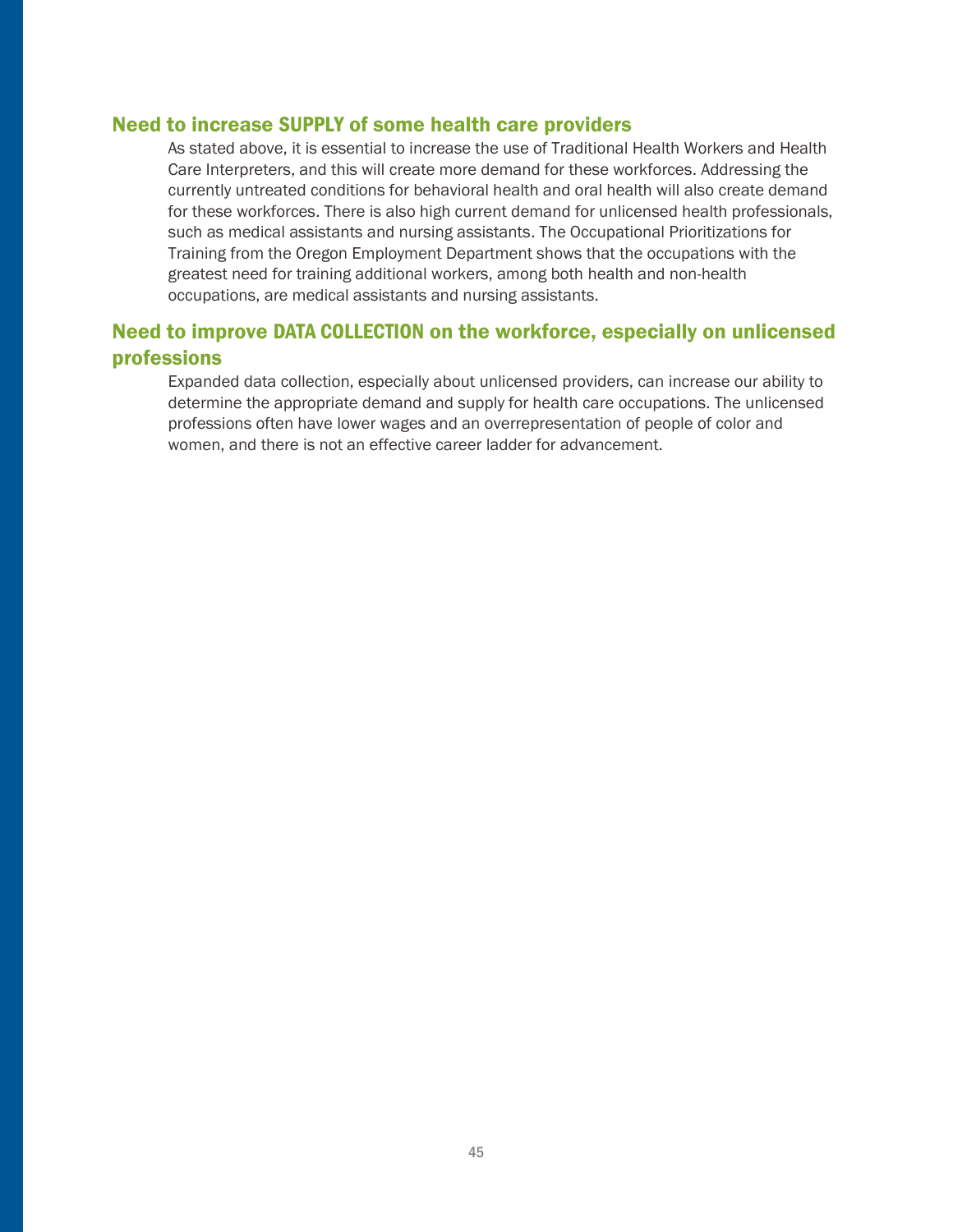#### Need to increase SUPPLY of some health care providers

As stated above, it is essential to increase the use of Traditional Health Workers and Health Care Interpreters, and this will create more demand for these workforces. Addressing the currently untreated conditions for behavioral health and oral health will also create demand for these workforces. There is also high current demand for unlicensed health professionals, such as medical assistants and nursing assistants. The [Occupational Prioritizations for](https://www.qualityinfo.org/te-op4t/?at=1&t1=4101000000~false~0~false~false~false~false~0~2.)  [Training](https://www.qualityinfo.org/te-op4t/?at=1&t1=4101000000~false~0~false~false~false~false~0~2.) from the Oregon Employment Department shows that the occupations with the greatest need for training additional workers, among both health and non-health occupations, are medical assistants and nursing assistants.

## Need to improve DATA COLLECTION on the workforce, especially on unlicensed professions

Expanded data collection, especially about unlicensed providers, can increase our ability to determine the appropriate demand and supply for health care occupations. The unlicensed professions often have lower wages and an overrepresentation of people of color and women, and there is not an effective career ladder for advancement.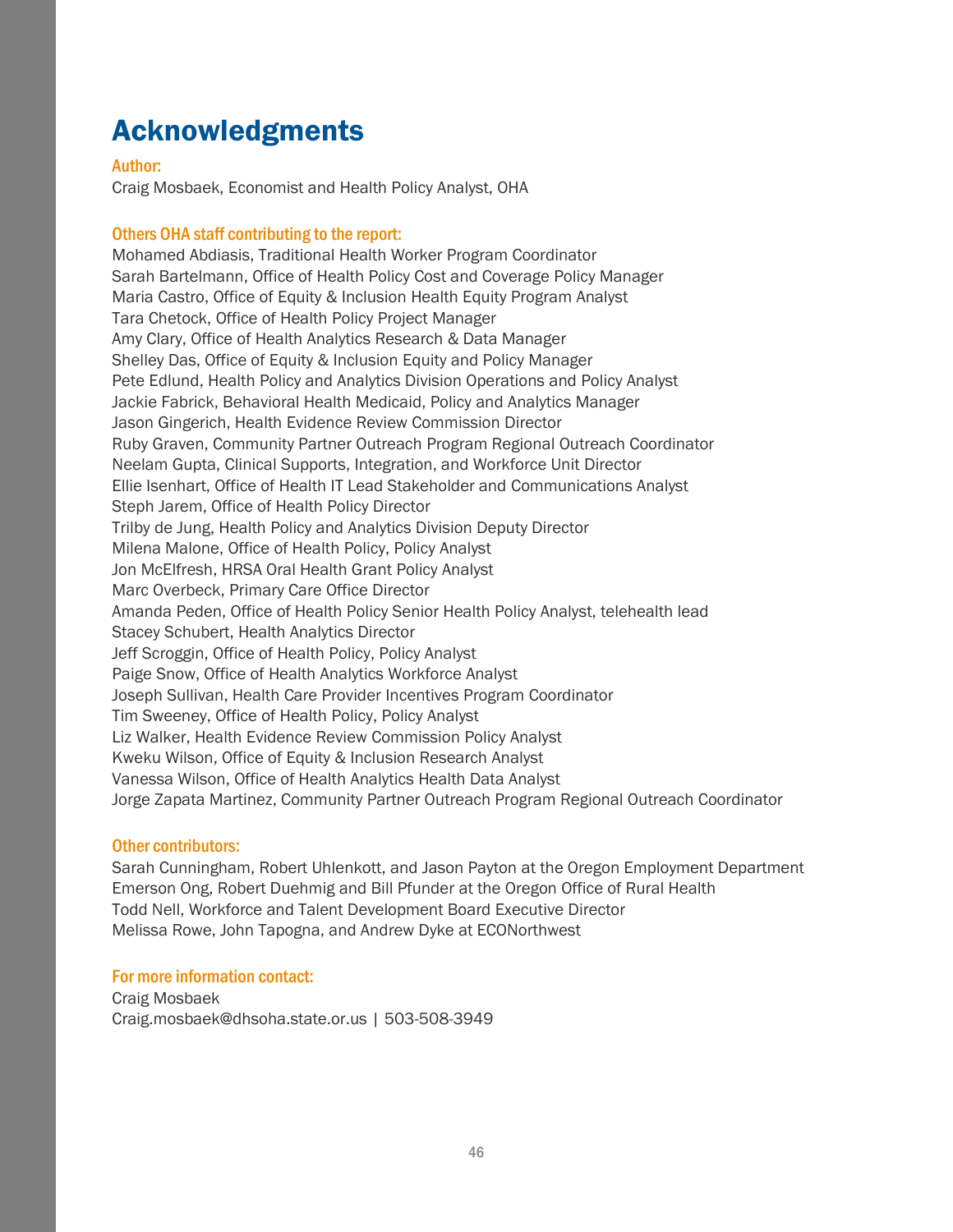## <span id="page-45-0"></span>Acknowledgments

Author:

Craig Mosbaek, Economist and Health Policy Analyst, OHA

#### Others OHA staff contributing to the report:

Mohamed Abdiasis, Traditional Health Worker Program Coordinator Sarah Bartelmann, Office of Health Policy Cost and Coverage Policy Manager Maria Castro, Office of Equity & Inclusion Health Equity Program Analyst Tara Chetock, Office of Health Policy Project Manager Amy Clary, Office of Health Analytics Research & Data Manager Shelley Das, Office of Equity & Inclusion Equity and Policy Manager Pete Edlund, Health Policy and Analytics Division Operations and Policy Analyst Jackie Fabrick, Behavioral Health Medicaid, Policy and Analytics Manager Jason Gingerich, Health Evidence Review Commission Director Ruby Graven, Community Partner Outreach Program Regional Outreach Coordinator Neelam Gupta, Clinical Supports, Integration, and Workforce Unit Director Ellie Isenhart, Office of Health IT Lead Stakeholder and Communications Analyst Steph Jarem, Office of Health Policy Director Trilby de Jung, Health Policy and Analytics Division Deputy Director Milena Malone, Office of Health Policy, Policy Analyst Jon McElfresh, HRSA Oral Health Grant Policy Analyst Marc Overbeck, Primary Care Office Director Amanda Peden, Office of Health Policy Senior Health Policy Analyst, telehealth lead Stacey Schubert, Health Analytics Director Jeff Scroggin, Office of Health Policy, Policy Analyst Paige Snow, Office of Health Analytics Workforce Analyst Joseph Sullivan, Health Care Provider Incentives Program Coordinator Tim Sweeney, Office of Health Policy, Policy Analyst Liz Walker, Health Evidence Review Commission Policy Analyst Kweku Wilson, Office of Equity & Inclusion Research Analyst Vanessa Wilson, Office of Health Analytics Health Data Analyst Jorge Zapata Martinez, Community Partner Outreach Program Regional Outreach Coordinator

#### Other contributors:

Sarah Cunningham, Robert Uhlenkott, and Jason Payton at the Oregon Employment Department Emerson Ong, Robert Duehmig and Bill Pfunder at the Oregon Office of Rural Health Todd Nell, Workforce and Talent Development Board Executive Director Melissa Rowe, John Tapogna, and Andrew Dyke at ECONorthwest

#### For more information contact:

Craig Mosbaek Craig.mosbaek@dhsoha.state.or.us | 503-508-3949